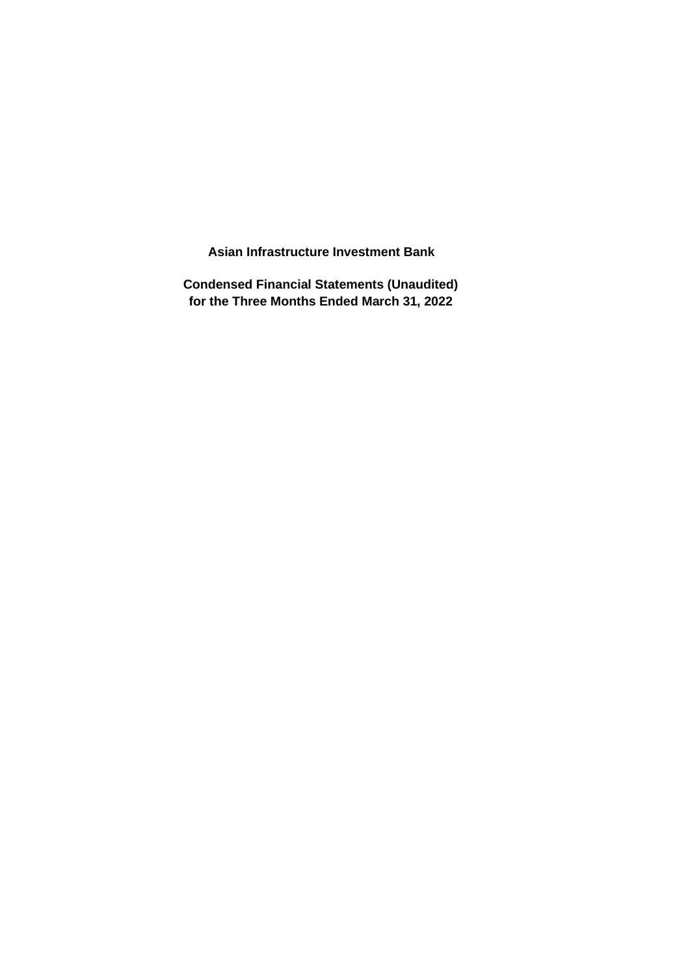**Asian Infrastructure Investment Bank**

**Condensed Financial Statements (Unaudited) for the Three Months Ended March 31, 2022**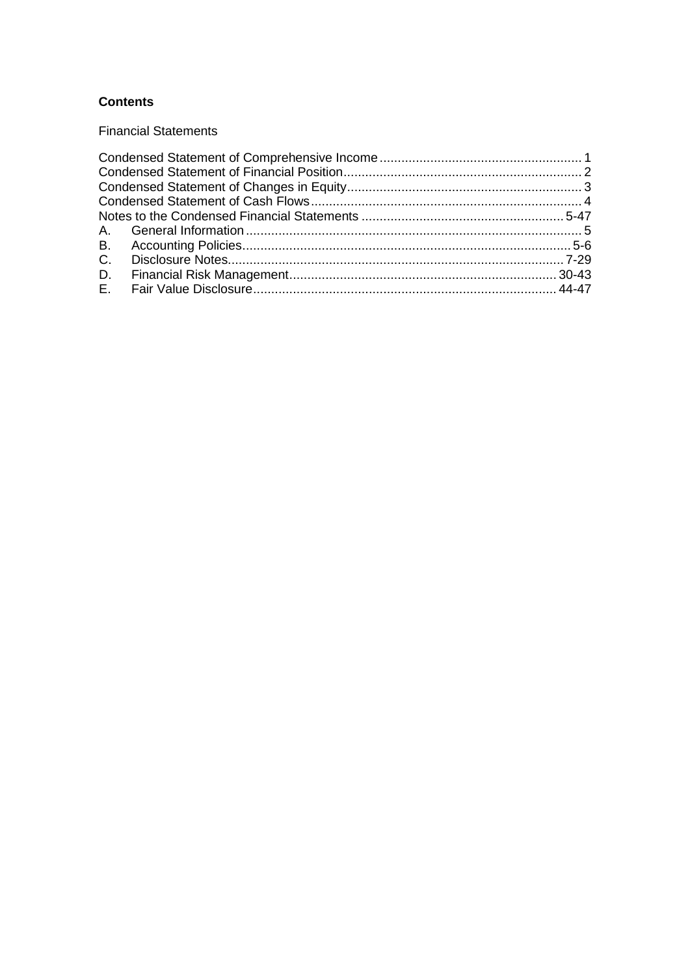# **Contents**

**Financial Statements**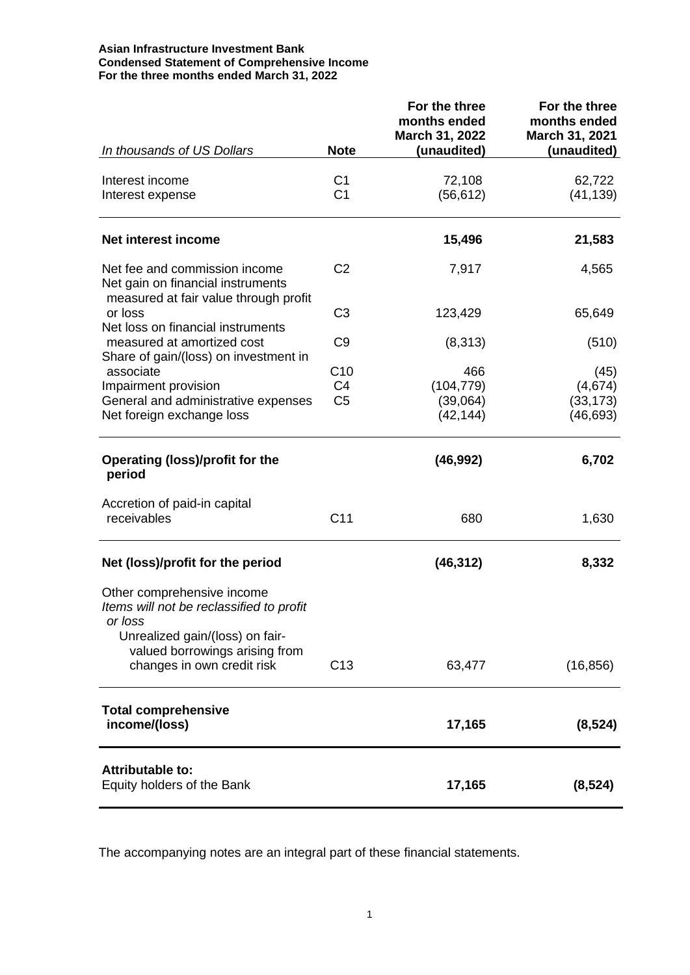#### **Asian Infrastructure Investment Bank Condensed Statement of Comprehensive Income For the three months ended March 31, 2022**

|                                                                                                       |                                                     | For the three<br>months ended<br>March 31, 2022 | For the three<br>months ended<br>March 31, 2021 |
|-------------------------------------------------------------------------------------------------------|-----------------------------------------------------|-------------------------------------------------|-------------------------------------------------|
| In thousands of US Dollars                                                                            | <b>Note</b>                                         | (unaudited)                                     | (unaudited)                                     |
| Interest income<br>Interest expense                                                                   | C <sub>1</sub><br>C <sub>1</sub>                    | 72,108<br>(56, 612)                             | 62,722<br>(41, 139)                             |
| Net interest income                                                                                   |                                                     | 15,496                                          | 21,583                                          |
| Net fee and commission income<br>Net gain on financial instruments                                    | C <sub>2</sub>                                      | 7,917                                           | 4,565                                           |
| measured at fair value through profit<br>or loss<br>Net loss on financial instruments                 | C <sub>3</sub>                                      | 123,429                                         | 65,649                                          |
| measured at amortized cost<br>Share of gain/(loss) on investment in                                   | C <sub>9</sub>                                      | (8,313)                                         | (510)                                           |
| associate<br>Impairment provision<br>General and administrative expenses<br>Net foreign exchange loss | C <sub>10</sub><br>C <sub>4</sub><br>C <sub>5</sub> | 466<br>(104, 779)<br>(39,064)<br>(42, 144)      | (45)<br>(4,674)<br>(33, 173)<br>(46, 693)       |
| Operating (loss)/profit for the<br>period                                                             |                                                     | (46, 992)                                       | 6,702                                           |
| Accretion of paid-in capital<br>receivables                                                           | C <sub>11</sub>                                     | 680                                             | 1,630                                           |
| Net (loss)/profit for the period                                                                      |                                                     | (46, 312)                                       | 8,332                                           |
| Other comprehensive income<br>Items will not be reclassified to profit<br>or loss                     |                                                     |                                                 |                                                 |
| Unrealized gain/(loss) on fair-<br>valued borrowings arising from<br>changes in own credit risk       | C <sub>13</sub>                                     | 63,477                                          | (16, 856)                                       |
| <b>Total comprehensive</b><br>income/(loss)                                                           |                                                     | 17,165                                          | (8, 524)                                        |
| <b>Attributable to:</b><br>Equity holders of the Bank                                                 |                                                     | 17,165                                          | (8, 524)                                        |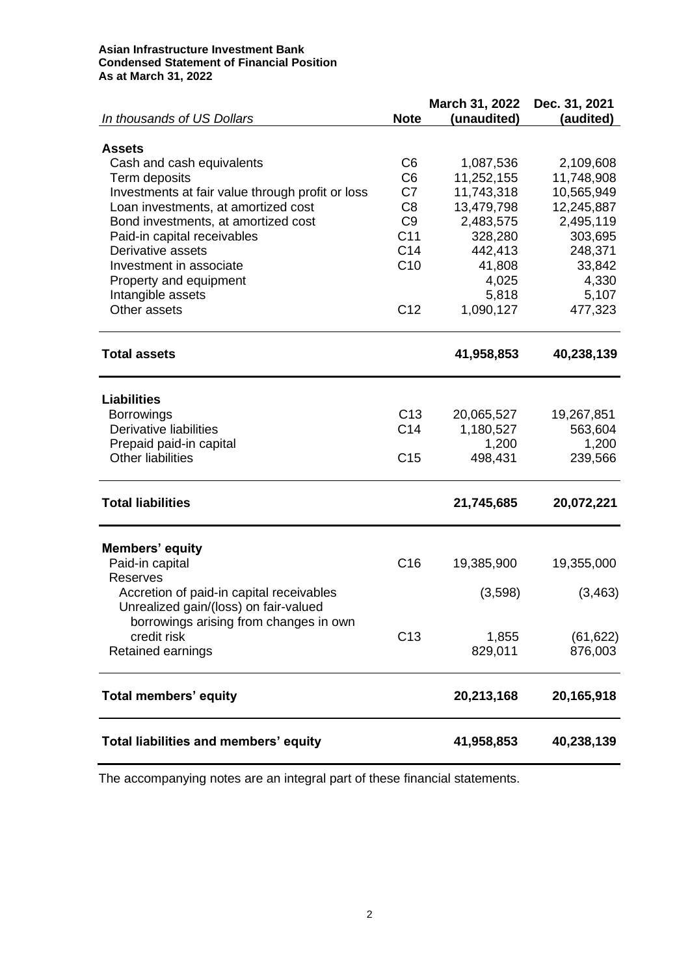#### **Asian Infrastructure Investment Bank Condensed Statement of Financial Position As at March 31, 2022**

|                                                  |                       | March 31, 2022 | Dec. 31, 2021 |
|--------------------------------------------------|-----------------------|----------------|---------------|
| In thousands of US Dollars                       | <b>Note</b>           | (unaudited)    | (audited)     |
|                                                  |                       |                |               |
| <b>Assets</b>                                    |                       |                |               |
| Cash and cash equivalents                        | C <sub>6</sub>        | 1,087,536      | 2,109,608     |
| Term deposits                                    | C <sub>6</sub><br>C7  | 11,252,155     | 11,748,908    |
| Investments at fair value through profit or loss |                       | 11,743,318     | 10,565,949    |
| Loan investments, at amortized cost              | C <sub>8</sub>        | 13,479,798     | 12,245,887    |
| Bond investments, at amortized cost              | C <sub>9</sub><br>C11 | 2,483,575      | 2,495,119     |
| Paid-in capital receivables<br>Derivative assets | C14                   | 328,280        | 303,695       |
|                                                  |                       | 442,413        | 248,371       |
| Investment in associate                          | C10                   | 41,808         | 33,842        |
| Property and equipment                           |                       | 4,025          | 4,330         |
| Intangible assets                                |                       | 5,818          | 5,107         |
| Other assets                                     | C <sub>12</sub>       | 1,090,127      | 477,323       |
| <b>Total assets</b>                              |                       | 41,958,853     | 40,238,139    |
|                                                  |                       |                |               |
| <b>Liabilities</b>                               |                       |                |               |
| <b>Borrowings</b>                                | C <sub>13</sub>       | 20,065,527     | 19,267,851    |
| Derivative liabilities                           | C <sub>14</sub>       | 1,180,527      | 563,604       |
| Prepaid paid-in capital                          |                       | 1,200          | 1,200         |
| <b>Other liabilities</b>                         | C <sub>15</sub>       | 498,431        | 239,566       |
| <b>Total liabilities</b>                         |                       | 21,745,685     | 20,072,221    |
|                                                  |                       |                |               |
| Members' equity                                  | C <sub>16</sub>       |                |               |
| Paid-in capital<br><b>Reserves</b>               |                       | 19,385,900     | 19,355,000    |
| Accretion of paid-in capital receivables         |                       | (3,598)        | (3, 463)      |
| Unrealized gain/(loss) on fair-valued            |                       |                |               |
| borrowings arising from changes in own           |                       |                |               |
| credit risk                                      | C <sub>13</sub>       | 1,855          | (61, 622)     |
| Retained earnings                                |                       | 829,011        | 876,003       |
|                                                  |                       |                |               |
| <b>Total members' equity</b>                     |                       | 20,213,168     | 20,165,918    |
| Total liabilities and members' equity            |                       | 41,958,853     | 40,238,139    |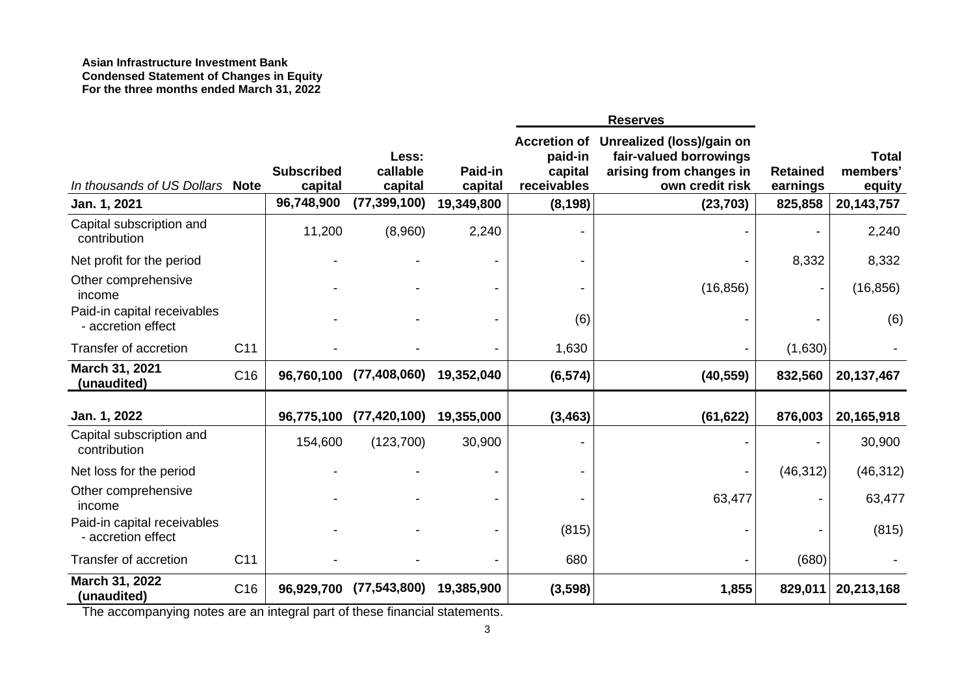#### **Asian Infrastructure Investment Bank Condensed Statement of Changes in Equity For the three months ended March 31, 2022**

|                                                   |                 |                              |                              |                    | <b>Reserves</b>                                          |                                                                                                   |                             |                                    |
|---------------------------------------------------|-----------------|------------------------------|------------------------------|--------------------|----------------------------------------------------------|---------------------------------------------------------------------------------------------------|-----------------------------|------------------------------------|
| In thousands of US Dollars                        | <b>Note</b>     | <b>Subscribed</b><br>capital | Less:<br>callable<br>capital | Paid-in<br>capital | <b>Accretion of</b><br>paid-in<br>capital<br>receivables | Unrealized (loss)/gain on<br>fair-valued borrowings<br>arising from changes in<br>own credit risk | <b>Retained</b><br>earnings | <b>Total</b><br>members'<br>equity |
| Jan. 1, 2021                                      |                 | 96,748,900                   | (77, 399, 100)               | 19,349,800         | (8, 198)                                                 | (23, 703)                                                                                         | 825,858                     | 20,143,757                         |
| Capital subscription and<br>contribution          |                 | 11,200                       | (8,960)                      | 2,240              |                                                          |                                                                                                   |                             | 2,240                              |
| Net profit for the period                         |                 |                              |                              |                    |                                                          |                                                                                                   | 8,332                       | 8,332                              |
| Other comprehensive<br>income                     |                 |                              |                              |                    |                                                          | (16, 856)                                                                                         |                             | (16, 856)                          |
| Paid-in capital receivables<br>- accretion effect |                 |                              |                              |                    | (6)                                                      |                                                                                                   |                             | (6)                                |
| Transfer of accretion                             | C <sub>11</sub> |                              |                              |                    | 1,630                                                    |                                                                                                   | (1,630)                     |                                    |
| March 31, 2021<br>(unaudited)                     | C <sub>16</sub> | 96,760,100                   | (77, 408, 060)               | 19,352,040         | (6, 574)                                                 | (40, 559)                                                                                         | 832,560                     | 20,137,467                         |
| Jan. 1, 2022                                      |                 | 96,775,100                   | (77, 420, 100)               | 19,355,000         | (3, 463)                                                 | (61, 622)                                                                                         | 876,003                     | 20,165,918                         |
| Capital subscription and<br>contribution          |                 | 154,600                      | (123,700)                    | 30,900             |                                                          |                                                                                                   |                             | 30,900                             |
| Net loss for the period                           |                 |                              |                              |                    |                                                          |                                                                                                   | (46, 312)                   | (46, 312)                          |
| Other comprehensive<br>income                     |                 |                              |                              |                    |                                                          | 63,477                                                                                            |                             | 63,477                             |
| Paid-in capital receivables<br>- accretion effect |                 |                              |                              |                    | (815)                                                    |                                                                                                   |                             | (815)                              |
| Transfer of accretion                             | C <sub>11</sub> |                              |                              |                    | 680                                                      |                                                                                                   | (680)                       |                                    |
| March 31, 2022<br>(unaudited)                     | C <sub>16</sub> | 96,929,700                   | (77, 543, 800)               | 19,385,900         | (3, 598)                                                 | 1,855                                                                                             | 829,011                     | 20,213,168                         |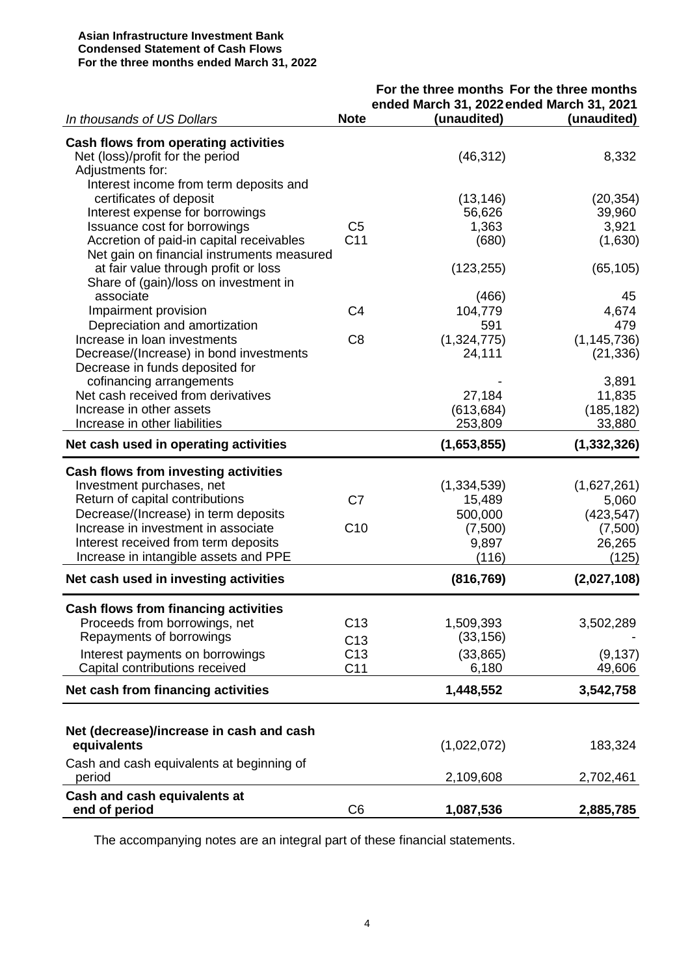#### **Asian Infrastructure Investment Bank Condensed Statement of Cash Flows For the three months ended March 31, 2022**

|                                             |                 | For the three months For the three months |               |
|---------------------------------------------|-----------------|-------------------------------------------|---------------|
|                                             |                 | ended March 31, 2022 ended March 31, 2021 |               |
| In thousands of US Dollars                  | <b>Note</b>     | (unaudited)                               | (unaudited)   |
| Cash flows from operating activities        |                 |                                           |               |
| Net (loss)/profit for the period            |                 | (46, 312)                                 | 8,332         |
| Adjustments for:                            |                 |                                           |               |
| Interest income from term deposits and      |                 |                                           |               |
| certificates of deposit                     |                 | (13, 146)                                 | (20, 354)     |
| Interest expense for borrowings             |                 | 56,626                                    | 39,960        |
| Issuance cost for borrowings                | C <sub>5</sub>  | 1,363                                     | 3,921         |
| Accretion of paid-in capital receivables    | C <sub>11</sub> | (680)                                     | (1,630)       |
| Net gain on financial instruments measured  |                 |                                           |               |
| at fair value through profit or loss        |                 | (123, 255)                                | (65, 105)     |
| Share of (gain)/loss on investment in       |                 |                                           |               |
| associate                                   |                 | (466)                                     | 45            |
| Impairment provision                        | C <sub>4</sub>  | 104,779                                   | 4,674         |
| Depreciation and amortization               |                 | 591                                       | 479           |
| Increase in loan investments                | C <sub>8</sub>  | (1,324,775)                               | (1, 145, 736) |
| Decrease/(Increase) in bond investments     |                 | 24,111                                    | (21, 336)     |
| Decrease in funds deposited for             |                 |                                           |               |
| cofinancing arrangements                    |                 |                                           | 3,891         |
| Net cash received from derivatives          |                 | 27,184                                    | 11,835        |
| Increase in other assets                    |                 | (613, 684)                                | (185, 182)    |
| Increase in other liabilities               |                 | 253,809                                   | 33,880        |
|                                             |                 |                                           |               |
| Net cash used in operating activities       |                 | (1,653,855)                               | (1, 332, 326) |
| Cash flows from investing activities        |                 |                                           |               |
| Investment purchases, net                   |                 | (1, 334, 539)                             | (1,627,261)   |
| Return of capital contributions             | C7              | 15,489                                    | 5,060         |
| Decrease/(Increase) in term deposits        |                 | 500,000                                   | (423, 547)    |
| Increase in investment in associate         | C <sub>10</sub> | (7,500)                                   | (7,500)       |
| Interest received from term deposits        |                 | 9,897                                     | 26,265        |
| Increase in intangible assets and PPE       |                 | (116)                                     | (125)         |
|                                             |                 |                                           |               |
| Net cash used in investing activities       |                 | (816, 769)                                | (2,027,108)   |
| <b>Cash flows from financing activities</b> |                 |                                           |               |
| Proceeds from borrowings, net               | C <sub>13</sub> | 1,509,393                                 | 3,502,289     |
| Repayments of borrowings                    |                 | (33, 156)                                 |               |
|                                             | C <sub>13</sub> |                                           |               |
| Interest payments on borrowings             | C <sub>13</sub> | (33, 865)                                 | (9, 137)      |
| Capital contributions received              | C <sub>11</sub> | 6,180                                     | 49,606        |
| Net cash from financing activities          |                 | 1,448,552                                 | 3,542,758     |
|                                             |                 |                                           |               |
| Net (decrease)/increase in cash and cash    |                 |                                           |               |
| equivalents                                 |                 | (1,022,072)                               | 183,324       |
| Cash and cash equivalents at beginning of   |                 |                                           |               |
| period                                      |                 | 2,109,608                                 | 2,702,461     |
| Cash and cash equivalents at                |                 |                                           |               |
| end of period                               | C <sub>6</sub>  | 1,087,536                                 | 2,885,785     |
|                                             |                 |                                           |               |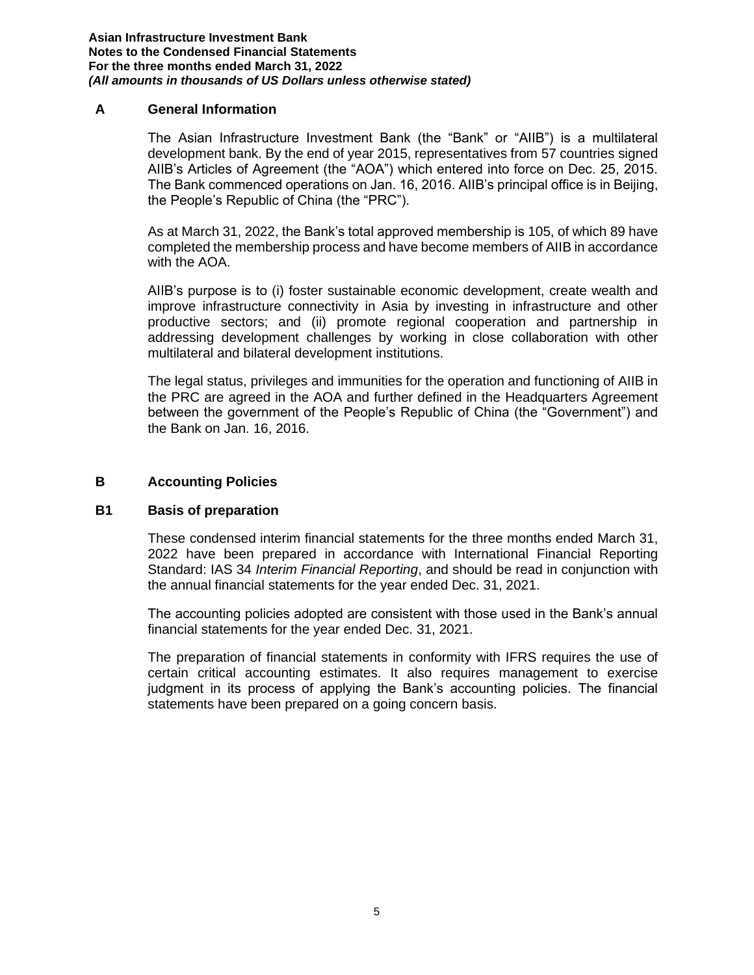#### **A General Information**

The Asian Infrastructure Investment Bank (the "Bank" or "AIIB") is a multilateral development bank. By the end of year 2015, representatives from 57 countries signed AIIB's Articles of Agreement (the "AOA") which entered into force on Dec. 25, 2015. The Bank commenced operations on Jan. 16, 2016. AIIB's principal office is in Beijing, the People's Republic of China (the "PRC").

As at March 31, 2022, the Bank's total approved membership is 105, of which 89 have completed the membership process and have become members of AIIB in accordance with the AOA.

AIIB's purpose is to (i) foster sustainable economic development, create wealth and improve infrastructure connectivity in Asia by investing in infrastructure and other productive sectors; and (ii) promote regional cooperation and partnership in addressing development challenges by working in close collaboration with other multilateral and bilateral development institutions.

The legal status, privileges and immunities for the operation and functioning of AIIB in the PRC are agreed in the AOA and further defined in the Headquarters Agreement between the government of the People's Republic of China (the "Government") and the Bank on Jan. 16, 2016.

#### **B Accounting Policies**

#### **B1 Basis of preparation**

These condensed interim financial statements for the three months ended March 31, 2022 have been prepared in accordance with International Financial Reporting Standard: IAS 34 *Interim Financial Reporting*, and should be read in conjunction with the annual financial statements for the year ended Dec. 31, 2021.

The accounting policies adopted are consistent with those used in the Bank's annual financial statements for the year ended Dec. 31, 2021.

The preparation of financial statements in conformity with IFRS requires the use of certain critical accounting estimates. It also requires management to exercise judgment in its process of applying the Bank's accounting policies. The financial statements have been prepared on a going concern basis.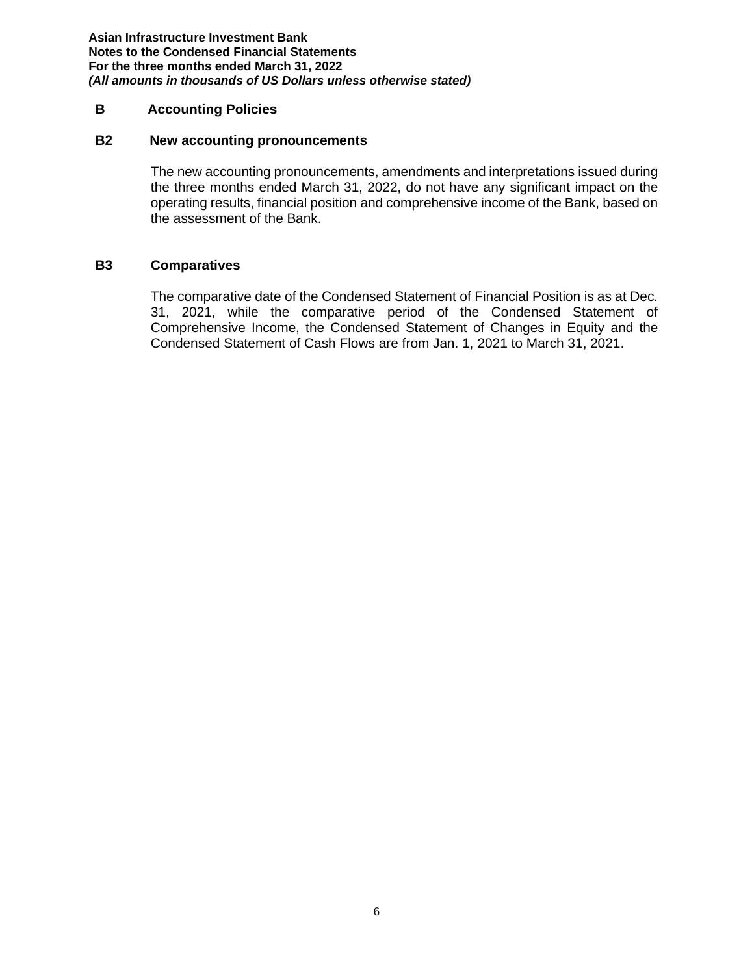#### **B Accounting Policies**

#### **B2 New accounting pronouncements**

The new accounting pronouncements, amendments and interpretations issued during the three months ended March 31, 2022, do not have any significant impact on the operating results, financial position and comprehensive income of the Bank, based on the assessment of the Bank.

### **B3 Comparatives**

The comparative date of the Condensed Statement of Financial Position is as at Dec. 31, 2021, while the comparative period of the Condensed Statement of Comprehensive Income, the Condensed Statement of Changes in Equity and the Condensed Statement of Cash Flows are from Jan. 1, 2021 to March 31, 2021.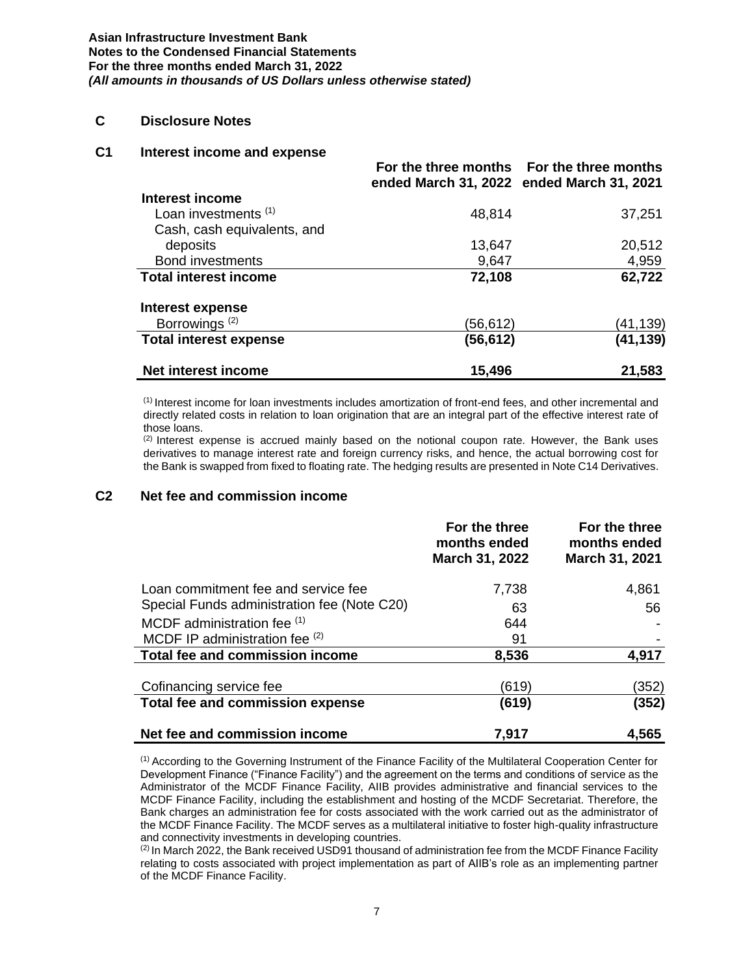#### **C Disclosure Notes**

#### **C1 Interest income and expense**

|                                 | ended March 31, 2022 ended March 31, 2021 | For the three months For the three months |
|---------------------------------|-------------------------------------------|-------------------------------------------|
| Interest income                 |                                           |                                           |
| Loan investments <sup>(1)</sup> | 48,814                                    | 37,251                                    |
| Cash, cash equivalents, and     |                                           |                                           |
| deposits                        | 13,647                                    | 20,512                                    |
| <b>Bond investments</b>         | 9,647                                     | 4,959                                     |
| <b>Total interest income</b>    | 72,108                                    | 62,722                                    |
| Interest expense                |                                           |                                           |
| Borrowings <sup>(2)</sup>       | (56,612)                                  | (41,139)                                  |
| <b>Total interest expense</b>   | (56,612)                                  | (41,139)                                  |
| Net interest income             | 15,496                                    | 21,583                                    |

(1) Interest income for loan investments includes amortization of front-end fees, and other incremental and directly related costs in relation to loan origination that are an integral part of the effective interest rate of those loans.

 $<sup>(2)</sup>$  Interest expense is accrued mainly based on the notional coupon rate. However, the Bank uses</sup> derivatives to manage interest rate and foreign currency risks, and hence, the actual borrowing cost for the Bank is swapped from fixed to floating rate. The hedging results are presented in Note C14 Derivatives.

#### **C2 Net fee and commission income**

|                                             | For the three<br>months ended<br>March 31, 2022 | For the three<br>months ended<br>March 31, 2021 |
|---------------------------------------------|-------------------------------------------------|-------------------------------------------------|
| Loan commitment fee and service fee         | 7,738                                           | 4,861                                           |
| Special Funds administration fee (Note C20) | 63                                              | 56                                              |
| MCDF administration fee (1)                 | 644                                             |                                                 |
| MCDF IP administration fee (2)              | 91                                              |                                                 |
| Total fee and commission income             | 8,536                                           | 4,917                                           |
| Cofinancing service fee                     | (619)                                           | (352)                                           |
| Total fee and commission expense            | (619)                                           | (352)                                           |
| Net fee and commission income               | 7,917                                           | 4,565                                           |

(1) According to the Governing Instrument of the Finance Facility of the Multilateral Cooperation Center for Development Finance ("Finance Facility") and the agreement on the terms and conditions of service as the Administrator of the MCDF Finance Facility, AIIB provides administrative and financial services to the MCDF Finance Facility, including the establishment and hosting of the MCDF Secretariat. Therefore, the Bank charges an administration fee for costs associated with the work carried out as the administrator of the MCDF Finance Facility. The MCDF serves as a multilateral initiative to foster high-quality infrastructure and connectivity investments in developing countries.

 $<sup>(2)</sup>$  In March 2022, the Bank received USD91 thousand of administration fee from the MCDF Finance Facility</sup> relating to costs associated with project implementation as part of AIIB's role as an implementing partner of the MCDF Finance Facility.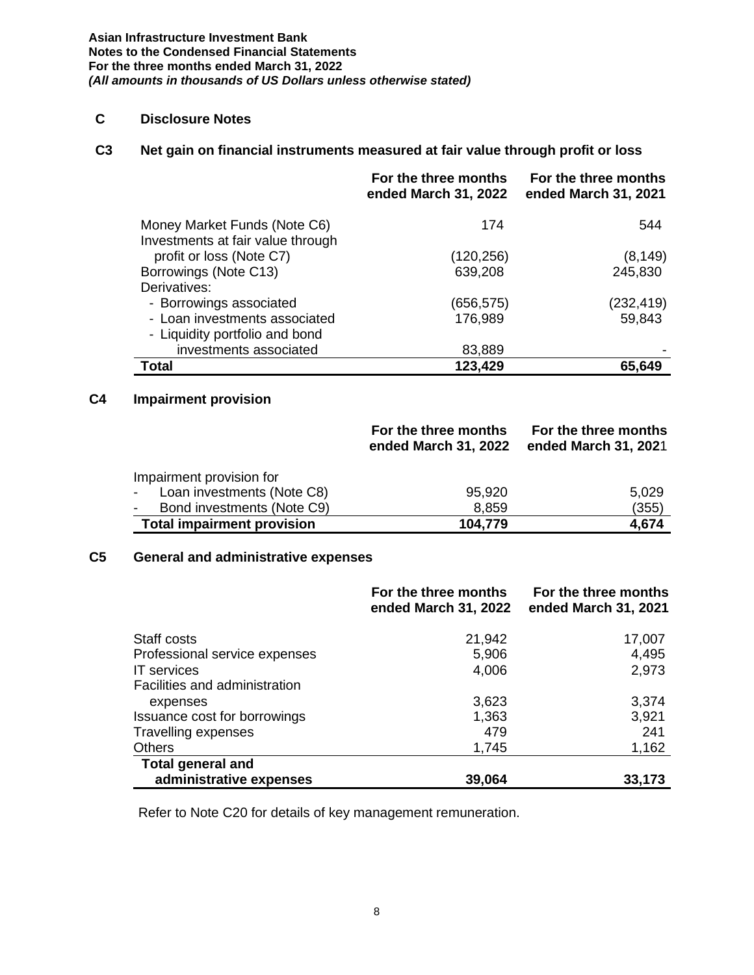# **C Disclosure Notes**

# **C3 Net gain on financial instruments measured at fair value through profit or loss**

|                                                                   | For the three months<br>ended March 31, 2022 | For the three months<br>ended March 31, 2021 |
|-------------------------------------------------------------------|----------------------------------------------|----------------------------------------------|
| Money Market Funds (Note C6)<br>Investments at fair value through | 174                                          | 544                                          |
| profit or loss (Note C7)                                          | (120, 256)                                   | (8, 149)                                     |
| Borrowings (Note C13)                                             | 639,208                                      | 245,830                                      |
| Derivatives:                                                      |                                              |                                              |
| - Borrowings associated                                           | (656,575)                                    | (232, 419)                                   |
| - Loan investments associated                                     | 176,989                                      | 59,843                                       |
| - Liquidity portfolio and bond                                    |                                              |                                              |
| investments associated                                            | 83,889                                       |                                              |
| Total                                                             | 123,429                                      | 65.649                                       |

# **C4 Impairment provision**

|                                                          | For the three months<br>ended March 31, 2022 | For the three months<br>ended March 31, 2021 |
|----------------------------------------------------------|----------------------------------------------|----------------------------------------------|
| Impairment provision for                                 |                                              |                                              |
| Loan investments (Note C8)<br>$\mathbf{L}^{\text{max}}$  | 95,920                                       | 5,029                                        |
| Bond investments (Note C9)<br>$\mathcal{L}_{\text{max}}$ | 8,859                                        | (355)                                        |
| <b>Total impairment provision</b>                        | 104,779                                      | 4,674                                        |

### **C5 General and administrative expenses**

|                               | For the three months<br>ended March 31, 2022 | For the three months<br>ended March 31, 2021 |
|-------------------------------|----------------------------------------------|----------------------------------------------|
| Staff costs                   | 21,942                                       | 17,007                                       |
| Professional service expenses | 5,906                                        | 4,495                                        |
| <b>IT</b> services            | 4,006                                        | 2,973                                        |
| Facilities and administration |                                              |                                              |
| expenses                      | 3,623                                        | 3,374                                        |
| Issuance cost for borrowings  | 1,363                                        | 3,921                                        |
| <b>Travelling expenses</b>    | 479                                          | 241                                          |
| <b>Others</b>                 | 1,745                                        | 1,162                                        |
| <b>Total general and</b>      |                                              |                                              |
| administrative expenses       | 39,064                                       | 33,173                                       |

Refer to Note C20 for details of key management remuneration.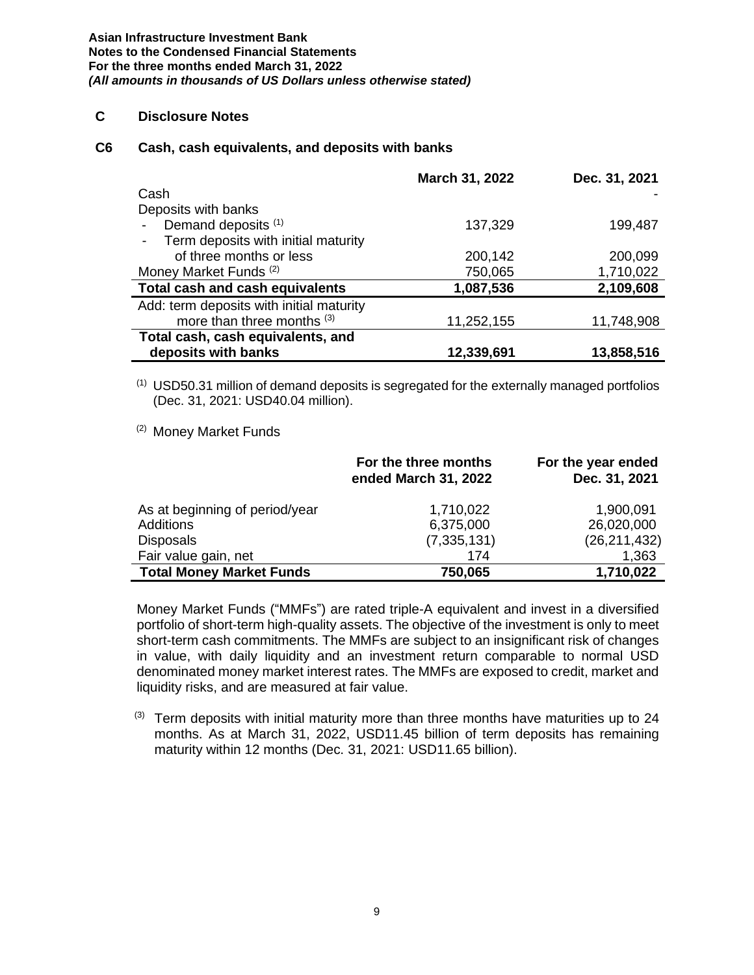## **C Disclosure Notes**

#### **C6 Cash, cash equivalents, and deposits with banks**

|                                          | March 31, 2022 | Dec. 31, 2021 |
|------------------------------------------|----------------|---------------|
| Cash                                     |                |               |
| Deposits with banks                      |                |               |
| Demand deposits (1)                      | 137,329        | 199,487       |
| Term deposits with initial maturity      |                |               |
| of three months or less                  | 200,142        | 200,099       |
| Money Market Funds <sup>(2)</sup>        | 750,065        | 1,710,022     |
| Total cash and cash equivalents          | 1,087,536      | 2,109,608     |
| Add: term deposits with initial maturity |                |               |
| more than three months (3)               | 11,252,155     | 11,748,908    |
| Total cash, cash equivalents, and        |                |               |
| deposits with banks                      | 12,339,691     | 13,858,516    |

 $(1)$  USD50.31 million of demand deposits is segregated for the externally managed portfolios (Dec. 31, 2021: USD40.04 million).

#### (2) Money Market Funds

|                                 | For the three months<br>ended March 31, 2022 | For the year ended<br>Dec. 31, 2021 |
|---------------------------------|----------------------------------------------|-------------------------------------|
| As at beginning of period/year  | 1,710,022                                    | 1,900,091                           |
| Additions                       | 6,375,000                                    | 26,020,000                          |
| <b>Disposals</b>                | (7, 335, 131)                                | (26, 211, 432)                      |
| Fair value gain, net            | 174                                          | 1,363                               |
| <b>Total Money Market Funds</b> | 750,065                                      | 1,710,022                           |

Money Market Funds ("MMFs") are rated triple-A equivalent and invest in a diversified portfolio of short-term high-quality assets. The objective of the investment is only to meet short-term cash commitments. The MMFs are subject to an insignificant risk of changes in value, with daily liquidity and an investment return comparable to normal USD denominated money market interest rates. The MMFs are exposed to credit, market and liquidity risks, and are measured at fair value.

 $(3)$  Term deposits with initial maturity more than three months have maturities up to 24 months. As at March 31, 2022, USD11.45 billion of term deposits has remaining maturity within 12 months (Dec. 31, 2021: USD11.65 billion).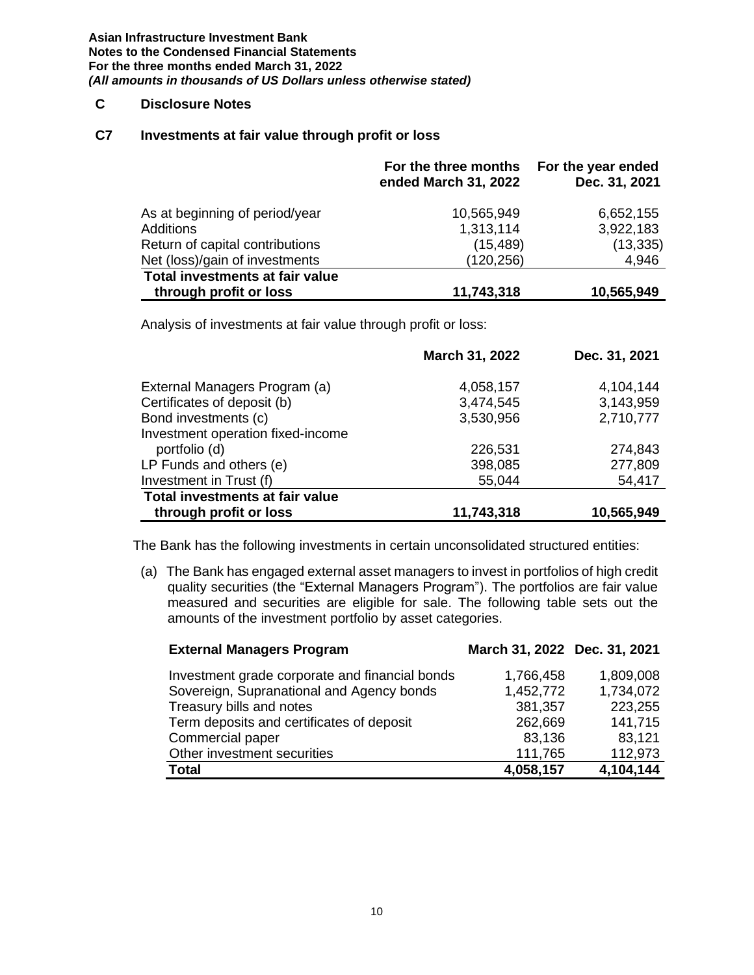#### **C Disclosure Notes**

#### **C7 Investments at fair value through profit or loss**

|                                 | For the three months<br>ended March 31, 2022 | For the year ended<br>Dec. 31, 2021 |
|---------------------------------|----------------------------------------------|-------------------------------------|
| As at beginning of period/year  | 10,565,949                                   | 6,652,155                           |
| <b>Additions</b>                | 1,313,114                                    | 3,922,183                           |
| Return of capital contributions | (15, 489)                                    | (13, 335)                           |
| Net (loss)/gain of investments  | (120, 256)                                   | 4,946                               |
| Total investments at fair value |                                              |                                     |
| through profit or loss          | 11,743,318                                   | 10,565,949                          |

Analysis of investments at fair value through profit or loss:

|                                   | March 31, 2022 | Dec. 31, 2021 |
|-----------------------------------|----------------|---------------|
| External Managers Program (a)     | 4,058,157      | 4,104,144     |
| Certificates of deposit (b)       | 3,474,545      | 3,143,959     |
| Bond investments (c)              | 3,530,956      | 2,710,777     |
| Investment operation fixed-income |                |               |
| portfolio (d)                     | 226,531        | 274,843       |
| LP Funds and others (e)           | 398,085        | 277,809       |
| Investment in Trust (f)           | 55,044         | 54,417        |
| Total investments at fair value   |                |               |
| through profit or loss            | 11,743,318     | 10,565,949    |

The Bank has the following investments in certain unconsolidated structured entities:

(a) The Bank has engaged external asset managers to invest in portfolios of high credit quality securities (the "External Managers Program"). The portfolios are fair value measured and securities are eligible for sale. The following table sets out the amounts of the investment portfolio by asset categories.

| <b>External Managers Program</b>               | March 31, 2022 Dec. 31, 2021 |           |
|------------------------------------------------|------------------------------|-----------|
| Investment grade corporate and financial bonds | 1,766,458                    | 1,809,008 |
| Sovereign, Supranational and Agency bonds      | 1,452,772                    | 1,734,072 |
| Treasury bills and notes                       | 381,357                      | 223,255   |
| Term deposits and certificates of deposit      | 262,669                      | 141,715   |
| Commercial paper                               | 83,136                       | 83,121    |
| Other investment securities                    | 111,765                      | 112,973   |
| <b>Total</b>                                   | 4,058,157                    | 4,104,144 |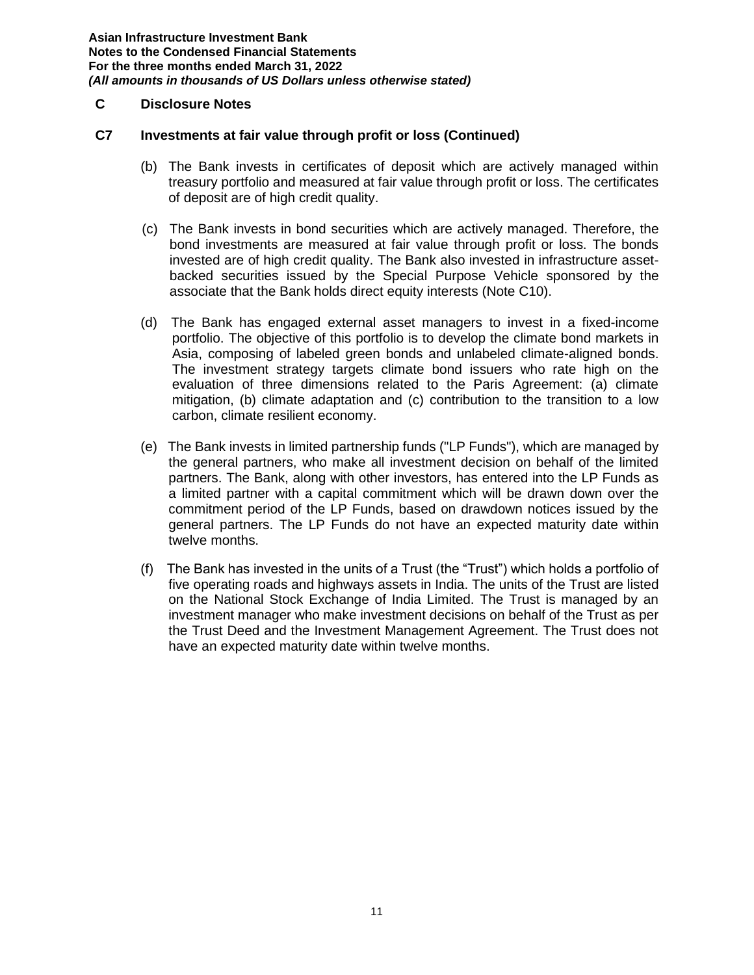## **C Disclosure Notes**

#### **C7 Investments at fair value through profit or loss (Continued)**

- (b) The Bank invests in certificates of deposit which are actively managed within treasury portfolio and measured at fair value through profit or loss. The certificates of deposit are of high credit quality.
- (c) The Bank invests in bond securities which are actively managed. Therefore, the bond investments are measured at fair value through profit or loss. The bonds invested are of high credit quality. The Bank also invested in infrastructure assetbacked securities issued by the Special Purpose Vehicle sponsored by the associate that the Bank holds direct equity interests (Note C10).
- (d) The Bank has engaged external asset managers to invest in a fixed-income portfolio. The objective of this portfolio is to develop the climate bond markets in Asia, composing of labeled green bonds and unlabeled climate-aligned bonds. The investment strategy targets climate bond issuers who rate high on the evaluation of three dimensions related to the Paris Agreement: (a) climate mitigation, (b) climate adaptation and (c) contribution to the transition to a low carbon, climate resilient economy.
- (e) The Bank invests in limited partnership funds ("LP Funds"), which are managed by the general partners, who make all investment decision on behalf of the limited partners. The Bank, along with other investors, has entered into the LP Funds as a limited partner with a capital commitment which will be drawn down over the commitment period of the LP Funds, based on drawdown notices issued by the general partners. The LP Funds do not have an expected maturity date within twelve months.
- (f) The Bank has invested in the units of a Trust (the "Trust") which holds a portfolio of five operating roads and highways assets in India. The units of the Trust are listed on the National Stock Exchange of India Limited. The Trust is managed by an investment manager who make investment decisions on behalf of the Trust as per the Trust Deed and the Investment Management Agreement. The Trust does not have an expected maturity date within twelve months.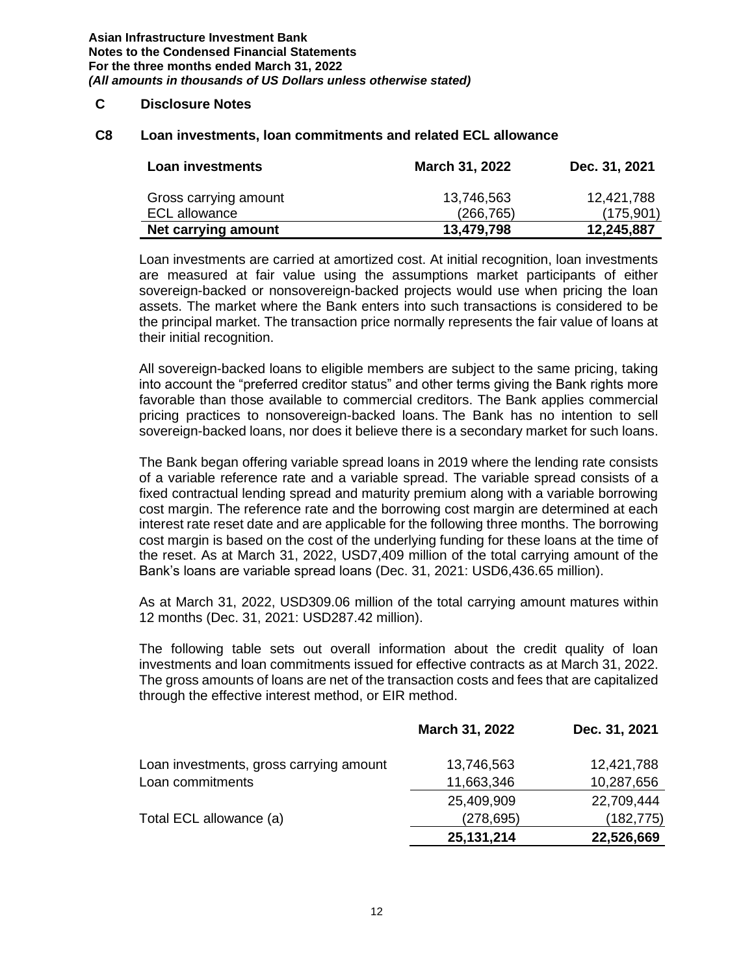#### **C Disclosure Notes**

#### **C8 Loan investments, loan commitments and related ECL allowance**

| Loan investments                              | March 31, 2022           | Dec. 31, 2021           |
|-----------------------------------------------|--------------------------|-------------------------|
| Gross carrying amount<br><b>ECL allowance</b> | 13,746,563<br>(266, 765) | 12,421,788<br>(175,901) |
| Net carrying amount                           | 13,479,798               | 12,245,887              |

Loan investments are carried at amortized cost. At initial recognition, loan investments are measured at fair value using the assumptions market participants of either sovereign-backed or nonsovereign-backed projects would use when pricing the loan assets. The market where the Bank enters into such transactions is considered to be the principal market. The transaction price normally represents the fair value of loans at their initial recognition.

All sovereign-backed loans to eligible members are subject to the same pricing, taking into account the "preferred creditor status" and other terms giving the Bank rights more favorable than those available to commercial creditors. The Bank applies commercial pricing practices to nonsovereign-backed loans. The Bank has no intention to sell sovereign-backed loans, nor does it believe there is a secondary market for such loans.

The Bank began offering variable spread loans in 2019 where the lending rate consists of a variable reference rate and a variable spread. The variable spread consists of a fixed contractual lending spread and maturity premium along with a variable borrowing cost margin. The reference rate and the borrowing cost margin are determined at each interest rate reset date and are applicable for the following three months. The borrowing cost margin is based on the cost of the underlying funding for these loans at the time of the reset. As at March 31, 2022, USD7,409 million of the total carrying amount of the Bank's loans are variable spread loans (Dec. 31, 2021: USD6,436.65 million).

As at March 31, 2022, USD309.06 million of the total carrying amount matures within 12 months (Dec. 31, 2021: USD287.42 million).

The following table sets out overall information about the credit quality of loan investments and loan commitments issued for effective contracts as at March 31, 2022. The gross amounts of loans are net of the transaction costs and fees that are capitalized through the effective interest method, or EIR method.

|                                         | March 31, 2022 | Dec. 31, 2021 |
|-----------------------------------------|----------------|---------------|
| Loan investments, gross carrying amount | 13,746,563     | 12,421,788    |
| Loan commitments                        | 11,663,346     | 10,287,656    |
|                                         | 25,409,909     | 22,709,444    |
| Total ECL allowance (a)                 | (278, 695)     | (182, 775)    |
|                                         | 25, 131, 214   | 22,526,669    |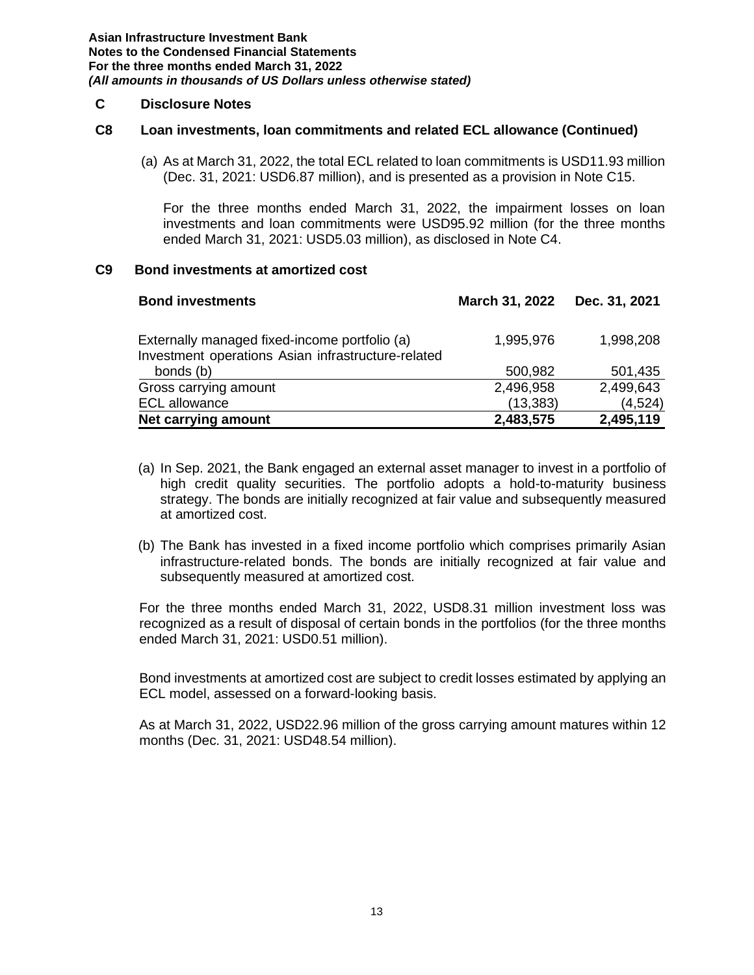#### **C Disclosure Notes**

#### **C8 Loan investments, loan commitments and related ECL allowance (Continued)**

(a) As at March 31, 2022, the total ECL related to loan commitments is USD11.93 million (Dec. 31, 2021: USD6.87 million), and is presented as a provision in Note C15.

For the three months ended March 31, 2022, the impairment losses on loan investments and loan commitments were USD95.92 million (for the three months ended March 31, 2021: USD5.03 million), as disclosed in Note C4.

#### **Bond investments at amortized cost C9**

| <b>Bond investments</b>                                                                             | March 31, 2022 | Dec. 31, 2021 |
|-----------------------------------------------------------------------------------------------------|----------------|---------------|
| Externally managed fixed-income portfolio (a)<br>Investment operations Asian infrastructure-related | 1,995,976      | 1,998,208     |
| bonds (b)                                                                                           | 500,982        | 501,435       |
| Gross carrying amount                                                                               | 2,496,958      | 2,499,643     |
| <b>ECL allowance</b>                                                                                | (13, 383)      | (4,524)       |
| Net carrying amount                                                                                 | 2,483,575      | 2,495,119     |

- (a) In Sep. 2021, the Bank engaged an external asset manager to invest in a portfolio of high credit quality securities. The portfolio adopts a hold-to-maturity business strategy. The bonds are initially recognized at fair value and subsequently measured at amortized cost.
- (b) The Bank has invested in a fixed income portfolio which comprises primarily Asian infrastructure-related bonds. The bonds are initially recognized at fair value and subsequently measured at amortized cost.

For the three months ended March 31, 2022, USD8.31 million investment loss was recognized as a result of disposal of certain bonds in the portfolios (for the three months ended March 31, 2021: USD0.51 million).

Bond investments at amortized cost are subject to credit losses estimated by applying an ECL model, assessed on a forward-looking basis.

As at March 31, 2022, USD22.96 million of the gross carrying amount matures within 12 months (Dec. 31, 2021: USD48.54 million).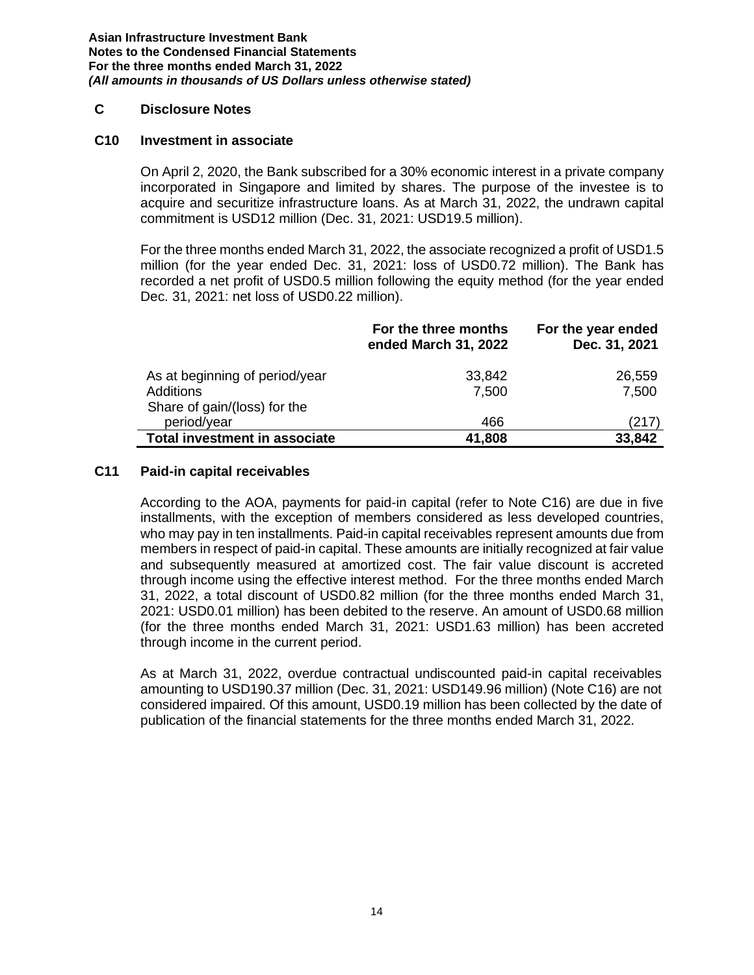#### **C Disclosure Notes**

#### **C10 Investment in associate**

On April 2, 2020, the Bank subscribed for a 30% economic interest in a private company incorporated in Singapore and limited by shares. The purpose of the investee is to acquire and securitize infrastructure loans. As at March 31, 2022, the undrawn capital commitment is USD12 million (Dec. 31, 2021: USD19.5 million).

For the three months ended March 31, 2022, the associate recognized a profit of USD1.5 million (for the year ended Dec. 31, 2021: loss of USD0.72 million). The Bank has recorded a net profit of USD0.5 million following the equity method (for the year ended Dec. 31, 2021: net loss of USD0.22 million).

|                                                                             | For the three months<br>ended March 31, 2022 | For the year ended<br>Dec. 31, 2021 |
|-----------------------------------------------------------------------------|----------------------------------------------|-------------------------------------|
| As at beginning of period/year<br>Additions<br>Share of gain/(loss) for the | 33,842<br>7,500                              | 26,559<br>7,500                     |
| period/year                                                                 | 466                                          | (217)                               |
| Total investment in associate                                               | 41,808                                       | 33,842                              |

#### **C11 Paid-in capital receivables**

According to the AOA, payments for paid-in capital (refer to Note C16) are due in five installments, with the exception of members considered as less developed countries, who may pay in ten installments. Paid-in capital receivables represent amounts due from members in respect of paid-in capital. These amounts are initially recognized at fair value and subsequently measured at amortized cost. The fair value discount is accreted through income using the effective interest method. For the three months ended March 31, 2022, a total discount of USD0.82 million (for the three months ended March 31, 2021: USD0.01 million) has been debited to the reserve. An amount of USD0.68 million (for the three months ended March 31, 2021: USD1.63 million) has been accreted through income in the current period.

As at March 31, 2022, overdue contractual undiscounted paid-in capital receivables amounting to USD190.37 million (Dec. 31, 2021: USD149.96 million) (Note C16) are not considered impaired. Of this amount, USD0.19 million has been collected by the date of publication of the financial statements for the three months ended March 31, 2022.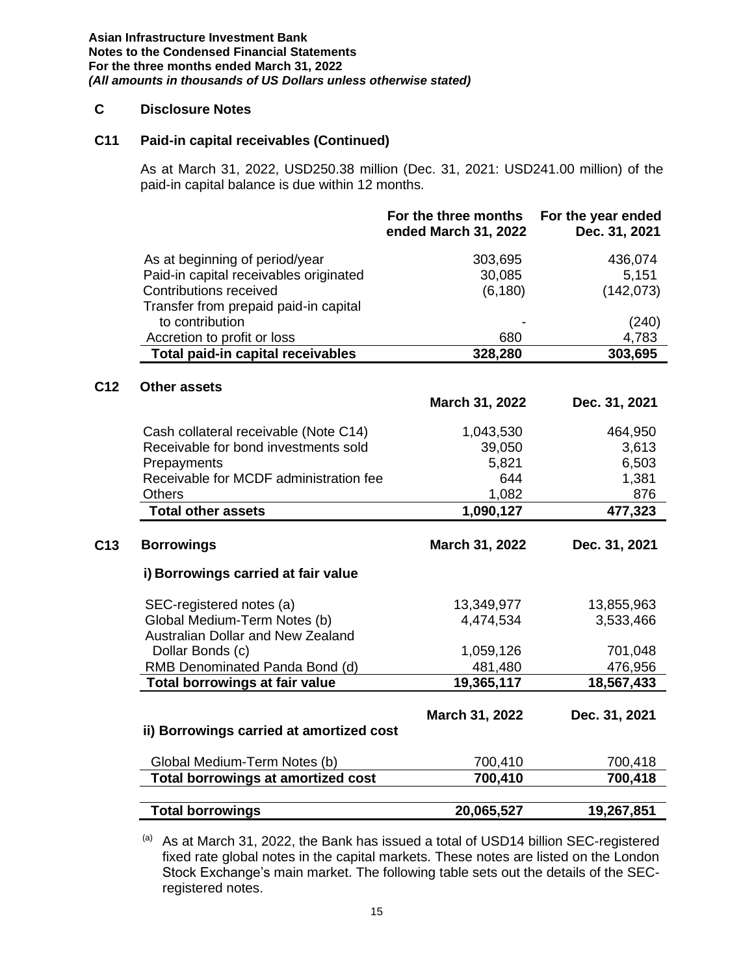### **C Disclosure Notes**

#### **C11 Paid-in capital receivables (Continued)**

As at March 31, 2022, USD250.38 million (Dec. 31, 2021: USD241.00 million) of the paid-in capital balance is due within 12 months.

|                 |                                           | For the three months<br>ended March 31, 2022 | For the year ended<br>Dec. 31, 2021 |
|-----------------|-------------------------------------------|----------------------------------------------|-------------------------------------|
|                 | As at beginning of period/year            | 303,695                                      | 436,074                             |
|                 | Paid-in capital receivables originated    | 30,085                                       | 5,151                               |
|                 | Contributions received                    | (6, 180)                                     | (142, 073)                          |
|                 | Transfer from prepaid paid-in capital     |                                              |                                     |
|                 | to contribution                           |                                              | (240)                               |
|                 | Accretion to profit or loss               | 680                                          | 4,783                               |
|                 | <b>Total paid-in capital receivables</b>  | 328,280                                      | 303,695                             |
| C <sub>12</sub> | <b>Other assets</b>                       |                                              |                                     |
|                 |                                           | March 31, 2022                               | Dec. 31, 2021                       |
|                 | Cash collateral receivable (Note C14)     | 1,043,530                                    | 464,950                             |
|                 | Receivable for bond investments sold      | 39,050                                       | 3,613                               |
|                 | Prepayments                               | 5,821                                        | 6,503                               |
|                 | Receivable for MCDF administration fee    | 644                                          | 1,381                               |
|                 | <b>Others</b>                             | 1,082                                        | 876                                 |
|                 | <b>Total other assets</b>                 | 1,090,127                                    | 477,323                             |
| C <sub>13</sub> | <b>Borrowings</b>                         | March 31, 2022                               | Dec. 31, 2021                       |
|                 | i) Borrowings carried at fair value       |                                              |                                     |
|                 | SEC-registered notes (a)                  | 13,349,977                                   | 13,855,963                          |
|                 | Global Medium-Term Notes (b)              | 4,474,534                                    | 3,533,466                           |
|                 | <b>Australian Dollar and New Zealand</b>  |                                              |                                     |
|                 | Dollar Bonds (c)                          | 1,059,126                                    | 701,048                             |
|                 | RMB Denominated Panda Bond (d)            | 481,480                                      | 476,956                             |
|                 | Total borrowings at fair value            | 19,365,117                                   | 18,567,433                          |
|                 |                                           | March 31, 2022                               | Dec. 31, 2021                       |
|                 | ii) Borrowings carried at amortized cost  |                                              |                                     |
|                 | Global Medium-Term Notes (b)              | 700,410                                      | 700,418                             |
|                 | <b>Total borrowings at amortized cost</b> | 700,410                                      | 700,418                             |
|                 |                                           |                                              |                                     |
|                 | <b>Total borrowings</b>                   | 20,065,527                                   | 19,267,851                          |

 $(a)$  As at March 31, 2022, the Bank has issued a total of USD14 billion SEC-registered fixed rate global notes in the capital markets. These notes are listed on the London Stock Exchange's main market. The following table sets out the details of the SECregistered notes.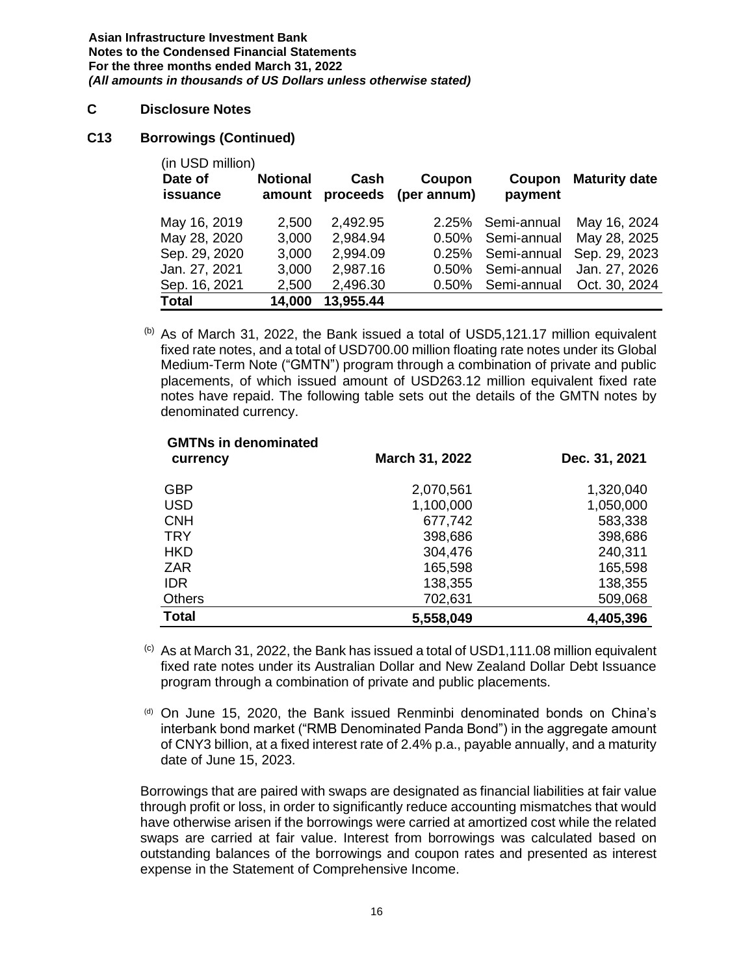#### **C Disclosure Notes**

#### **C13 Borrowings (Continued)**

| (in USD million) |                 |           |             |             |                      |
|------------------|-----------------|-----------|-------------|-------------|----------------------|
| Date of          | <b>Notional</b> | Cash      | Coupon      | Coupon      | <b>Maturity date</b> |
| <b>issuance</b>  | amount          | proceeds  | (per annum) | payment     |                      |
| May 16, 2019     | 2,500           | 2,492.95  | 2.25%       | Semi-annual | May 16, 2024         |
| May 28, 2020     | 3,000           | 2,984.94  | $0.50\%$    | Semi-annual | May 28, 2025         |
| Sep. 29, 2020    | 3,000           | 2,994.09  | 0.25%       | Semi-annual | Sep. 29, 2023        |
| Jan. 27, 2021    | 3,000           | 2,987.16  | $0.50\%$    | Semi-annual | Jan. 27, 2026        |
| Sep. 16, 2021    | 2,500           | 2,496.30  | $0.50\%$    | Semi-annual | Oct. 30, 2024        |
| <b>Total</b>     | 14,000          | 13,955.44 |             |             |                      |

 $(b)$  As of March 31, 2022, the Bank issued a total of USD5,121.17 million equivalent fixed rate notes, and a total of USD700.00 million floating rate notes under its Global Medium-Term Note ("GMTN") program through a combination of private and public placements, of which issued amount of USD263.12 million equivalent fixed rate notes have repaid. The following table sets out the details of the GMTN notes by denominated currency.

| <b>GMTNs in denominated</b><br>currency | March 31, 2022 | Dec. 31, 2021 |
|-----------------------------------------|----------------|---------------|
| GBP                                     | 2,070,561      | 1,320,040     |
| <b>USD</b>                              | 1,100,000      | 1,050,000     |
| <b>CNH</b>                              | 677,742        | 583,338       |
| <b>TRY</b>                              | 398,686        | 398,686       |
| <b>HKD</b>                              | 304,476        | 240,311       |
| <b>ZAR</b>                              | 165,598        | 165,598       |
| <b>IDR</b>                              | 138,355        | 138,355       |
| <b>Others</b>                           | 702,631        | 509,068       |
| <b>Total</b>                            | 5,558,049      | 4,405,396     |

 $\circ$  As at March 31, 2022, the Bank has issued a total of USD1,111.08 million equivalent fixed rate notes under its Australian Dollar and New Zealand Dollar Debt Issuance program through a combination of private and public placements.

(d) On June 15, 2020, the Bank issued Renminbi denominated bonds on China's interbank bond market ("RMB Denominated Panda Bond") in the aggregate amount of CNY3 billion, at a fixed interest rate of 2.4% p.a., payable annually, and a maturity date of June 15, 2023.

Borrowings that are paired with swaps are designated as financial liabilities at fair value through profit or loss, in order to significantly reduce accounting mismatches that would have otherwise arisen if the borrowings were carried at amortized cost while the related swaps are carried at fair value. Interest from borrowings was calculated based on outstanding balances of the borrowings and coupon rates and presented as interest expense in the Statement of Comprehensive Income.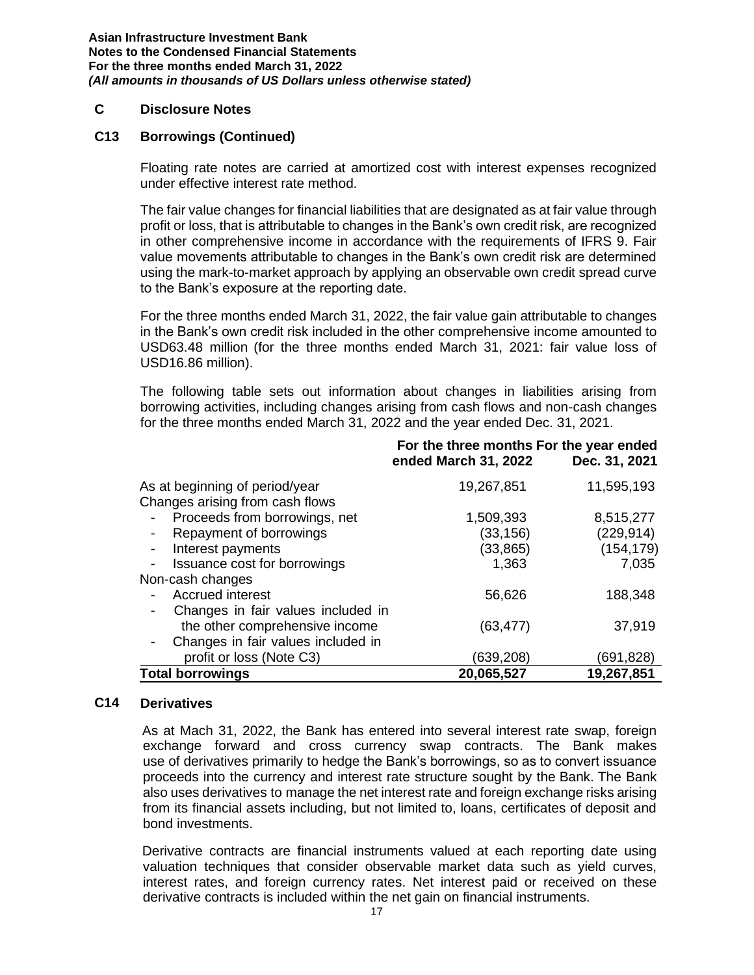#### **C Disclosure Notes**

#### **C13 Borrowings (Continued)**

Floating rate notes are carried at amortized cost with interest expenses recognized under effective interest rate method.

The fair value changes for financial liabilities that are designated as at fair value through profit or loss, that is attributable to changes in the Bank's own credit risk, are recognized in other comprehensive income in accordance with the requirements of IFRS 9. Fair value movements attributable to changes in the Bank's own credit risk are determined using the mark-to-market approach by applying an observable own credit spread curve to the Bank's exposure at the reporting date.

For the three months ended March 31, 2022, the fair value gain attributable to changes in the Bank's own credit risk included in the other comprehensive income amounted to USD63.48 million (for the three months ended March 31, 2021: fair value loss of USD16.86 million).

The following table sets out information about changes in liabilities arising from borrowing activities, including changes arising from cash flows and non-cash changes for the three months ended March 31, 2022 and the year ended Dec. 31, 2021.

|                                     | For the three months For the year ended<br>ended March 31, 2022 | Dec. 31, 2021 |
|-------------------------------------|-----------------------------------------------------------------|---------------|
| As at beginning of period/year      | 19,267,851                                                      | 11,595,193    |
| Changes arising from cash flows     |                                                                 |               |
| Proceeds from borrowings, net       | 1,509,393                                                       | 8,515,277     |
| Repayment of borrowings             | (33, 156)                                                       | (229, 914)    |
| Interest payments<br>$\blacksquare$ | (33, 865)                                                       | (154, 179)    |
| Issuance cost for borrowings        | 1,363                                                           | 7,035         |
| Non-cash changes                    |                                                                 |               |
| Accrued interest                    | 56,626                                                          | 188,348       |
| Changes in fair values included in  |                                                                 |               |
| the other comprehensive income      | (63, 477)                                                       | 37,919        |
| Changes in fair values included in  |                                                                 |               |
| profit or loss (Note C3)            | (639,208)                                                       | (691,828)     |
| <b>Total borrowings</b>             | 20,065,527                                                      | 19,267,851    |

#### **C14 Derivatives**

As at Mach 31, 2022, the Bank has entered into several interest rate swap, foreign exchange forward and cross currency swap contracts. The Bank makes use of derivatives primarily to hedge the Bank's borrowings, so as to convert issuance proceeds into the currency and interest rate structure sought by the Bank. The Bank also uses derivatives to manage the net interest rate and foreign exchange risks arising from its financial assets including, but not limited to, loans, certificates of deposit and bond investments.

Derivative contracts are financial instruments valued at each reporting date using valuation techniques that consider observable market data such as yield curves, interest rates, and foreign currency rates. Net interest paid or received on these derivative contracts is included within the net gain on financial instruments.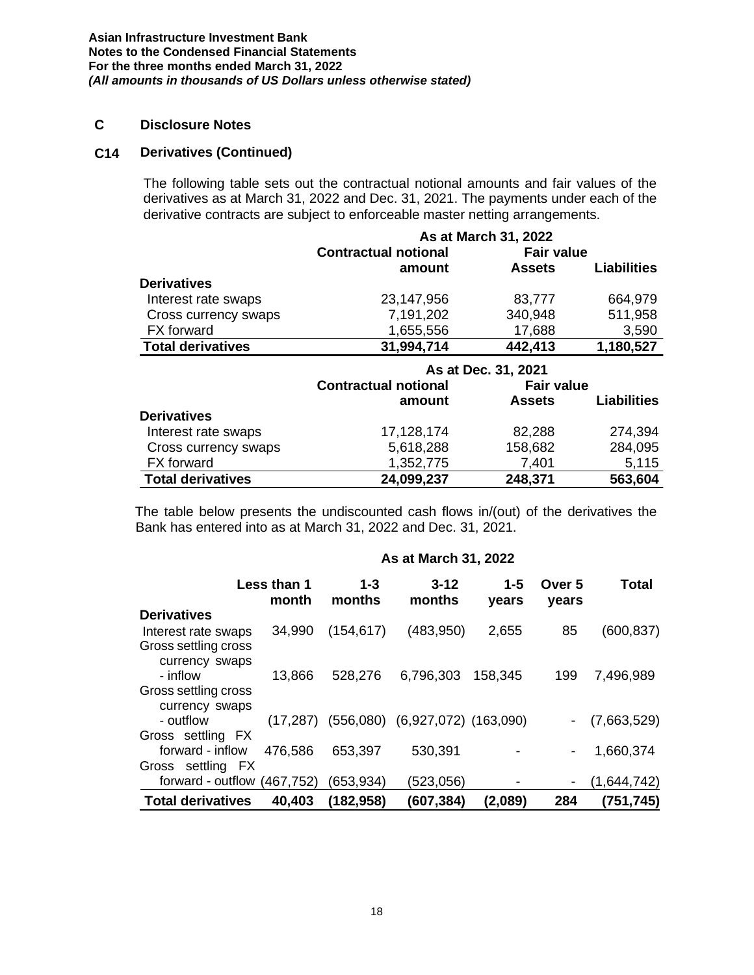#### **C Disclosure Notes**

#### **C14 Derivatives (Continued)**

The following table sets out the contractual notional amounts and fair values of the derivatives as at March 31, 2022 and Dec. 31, 2021. The payments under each of the derivative contracts are subject to enforceable master netting arrangements.

|                          |                             | As at March 31, 2022 |                    |  |
|--------------------------|-----------------------------|----------------------|--------------------|--|
|                          | <b>Contractual notional</b> | <b>Fair value</b>    |                    |  |
|                          | amount                      | <b>Assets</b>        | <b>Liabilities</b> |  |
| <b>Derivatives</b>       |                             |                      |                    |  |
| Interest rate swaps      | 23,147,956                  | 83,777               | 664,979            |  |
| Cross currency swaps     | 7,191,202                   | 340,948              | 511,958            |  |
| <b>FX</b> forward        | 1,655,556                   | 17,688               | 3,590              |  |
| <b>Total derivatives</b> | 31,994,714                  | 442,413              | 1,180,527          |  |
|                          | As at Dec. 31, 2021         |                      |                    |  |
|                          |                             |                      |                    |  |
|                          | <b>Contractual notional</b> | <b>Fair value</b>    |                    |  |
|                          | amount                      | <b>Assets</b>        | <b>Liabilities</b> |  |
| <b>Derivatives</b>       |                             |                      |                    |  |
| Interest rate swaps      | 17,128,174                  | 82,288               | 274,394            |  |
| Cross currency swaps     | 5,618,288                   | 158,682              | 284,095            |  |
| FX forward               | 1,352,775                   | 7,401                | 5,115              |  |

The table below presents the undiscounted cash flows in/(out) of the derivatives the Bank has entered into as at March 31, 2022 and Dec. 31, 2021.

|                                        | As at March 31, 2022 |                   |                                       |                  |                 |             |  |  |
|----------------------------------------|----------------------|-------------------|---------------------------------------|------------------|-----------------|-------------|--|--|
|                                        | Less than 1<br>month | $1 - 3$<br>months | $3 - 12$<br>months                    | $1 - 5$<br>vears | Over 5<br>years | Total       |  |  |
| <b>Derivatives</b>                     |                      |                   |                                       |                  |                 |             |  |  |
| Interest rate swaps                    | 34,990               | (154, 617)        | (483,950)                             | 2,655            | 85              | (600, 837)  |  |  |
| Gross settling cross                   |                      |                   |                                       |                  |                 |             |  |  |
| currency swaps                         |                      |                   |                                       |                  |                 |             |  |  |
| - inflow                               | 13,866               | 528,276           | 6,796,303                             | 158,345          | 199             | 7,496,989   |  |  |
| Gross settling cross<br>currency swaps |                      |                   |                                       |                  |                 |             |  |  |
| - outflow                              | (17, 287)            |                   | $(556,080)$ $(6,927,072)$ $(163,090)$ |                  |                 | (7,663,529) |  |  |
| Gross settling FX                      |                      |                   |                                       |                  |                 |             |  |  |
| forward - inflow                       | 476,586              | 653,397           | 530,391                               |                  |                 | 1,660,374   |  |  |
| Gross settling FX                      |                      |                   |                                       |                  |                 |             |  |  |
| forward - outflow                      | (467, 752)           | (653,934)         | (523,056)                             |                  |                 | (1,644,742) |  |  |
| <b>Total derivatives</b>               | 40,403               | (182,958)         | (607,384)                             | (2,089)          | 284             | (751,745)   |  |  |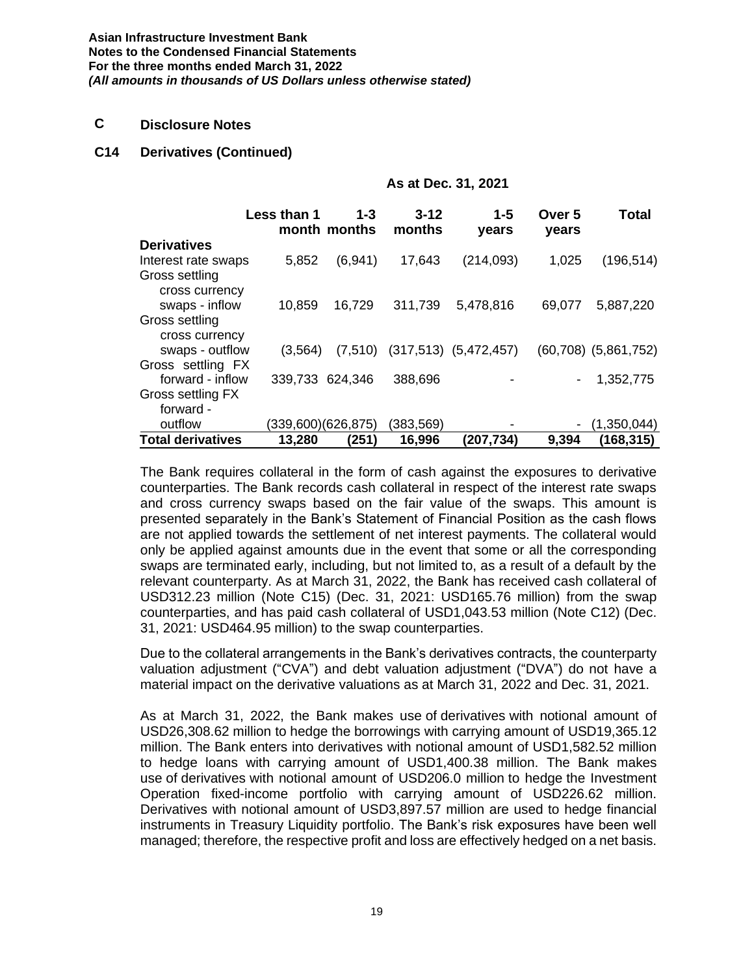#### **C Disclosure Notes**

#### **C14 Derivatives (Continued)**

|                          | As at Dec. 31, 2021 |                         |                    |                                     |                 |                             |
|--------------------------|---------------------|-------------------------|--------------------|-------------------------------------|-----------------|-----------------------------|
|                          | Less than 1         | $1 - 3$<br>month months | $3 - 12$<br>months | $1 - 5$<br>years                    | Over 5<br>years | <b>Total</b>                |
| <b>Derivatives</b>       |                     |                         |                    |                                     |                 |                             |
| Interest rate swaps      | 5,852               | (6,941)                 | 17,643             | (214, 093)                          | 1,025           | (196, 514)                  |
| Gross settling           |                     |                         |                    |                                     |                 |                             |
| cross currency           |                     |                         |                    |                                     |                 |                             |
| swaps - inflow           | 10,859              | 16,729                  | 311,739            | 5,478,816                           | 69,077          | 5,887,220                   |
| Gross settling           |                     |                         |                    |                                     |                 |                             |
| cross currency           |                     |                         |                    |                                     |                 |                             |
| swaps - outflow          | (3, 564)            |                         |                    | $(7,510)$ $(317,513)$ $(5,472,457)$ |                 | $(60, 708)$ $(5, 861, 752)$ |
| Gross settling FX        |                     |                         |                    |                                     |                 |                             |
| forward - inflow         | 339,733 624,346     |                         | 388,696            |                                     |                 | 1,352,775                   |
| Gross settling FX        |                     |                         |                    |                                     |                 |                             |
| forward -                |                     |                         |                    |                                     |                 |                             |
| outflow                  |                     | (339,600)(626,875)      | (383, 569)         |                                     |                 | (1,350,044)                 |
| <b>Total derivatives</b> | 13,280              | (251)                   | 16,996             | (207,734)                           | 9,394           | (168, 315)                  |

The Bank requires collateral in the form of cash against the exposures to derivative counterparties. The Bank records cash collateral in respect of the interest rate swaps and cross currency swaps based on the fair value of the swaps. This amount is presented separately in the Bank's Statement of Financial Position as the cash flows are not applied towards the settlement of net interest payments. The collateral would only be applied against amounts due in the event that some or all the corresponding swaps are terminated early, including, but not limited to, as a result of a default by the relevant counterparty. As at March 31, 2022, the Bank has received cash collateral of USD312.23 million (Note C15) (Dec. 31, 2021: USD165.76 million) from the swap counterparties, and has paid cash collateral of USD1,043.53 million (Note C12) (Dec. 31, 2021: USD464.95 million) to the swap counterparties.

Due to the collateral arrangements in the Bank's derivatives contracts, the counterparty valuation adjustment ("CVA") and debt valuation adjustment ("DVA") do not have a material impact on the derivative valuations as at March 31, 2022 and Dec. 31, 2021.

As at March 31, 2022, the Bank makes use of derivatives with notional amount of USD26,308.62 million to hedge the borrowings with carrying amount of USD19,365.12 million. The Bank enters into derivatives with notional amount of USD1,582.52 million to hedge loans with carrying amount of USD1,400.38 million. The Bank makes use of derivatives with notional amount of USD206.0 million to hedge the Investment Operation fixed-income portfolio with carrying amount of USD226.62 million. Derivatives with notional amount of USD3,897.57 million are used to hedge financial instruments in Treasury Liquidity portfolio. The Bank's risk exposures have been well managed; therefore, the respective profit and loss are effectively hedged on a net basis.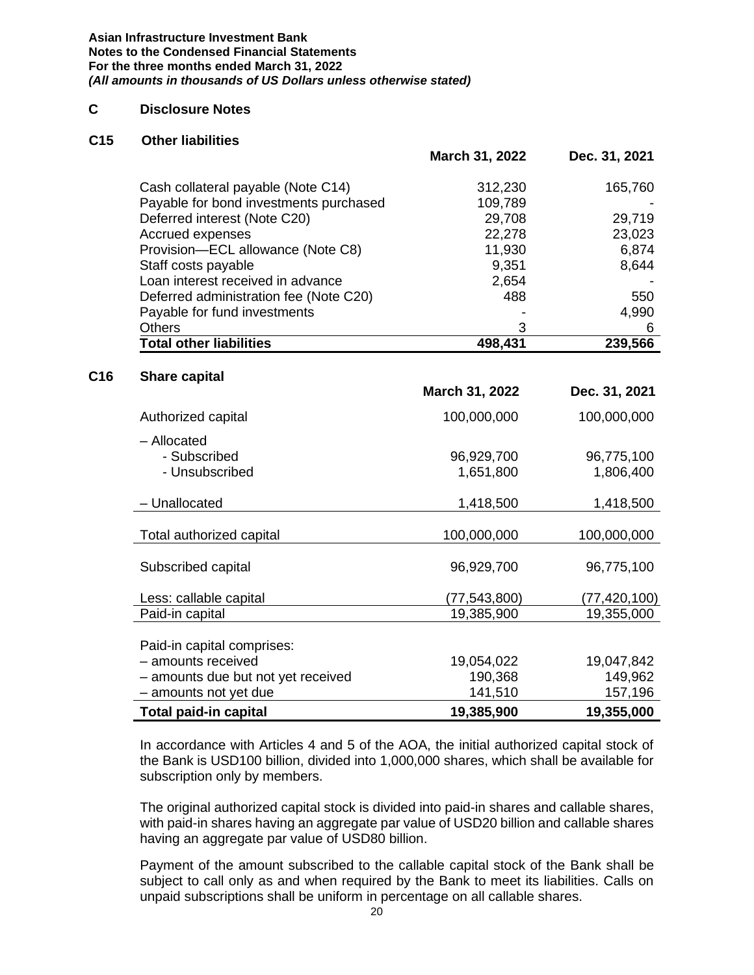#### **C Disclosure Notes**

#### **C15 Other liabilities**

|                                        | March 31, 2022 | Dec. 31, 2021 |  |
|----------------------------------------|----------------|---------------|--|
| Cash collateral payable (Note C14)     | 312,230        | 165,760       |  |
| Payable for bond investments purchased | 109,789        |               |  |
| Deferred interest (Note C20)           | 29,708         | 29,719        |  |
| Accrued expenses                       | 22,278         | 23,023        |  |
| Provision-ECL allowance (Note C8)      | 11,930         | 6,874         |  |
| Staff costs payable                    | 9,351          | 8,644         |  |
| Loan interest received in advance      | 2,654          |               |  |
| Deferred administration fee (Note C20) | 488            | 550           |  |
| Payable for fund investments           |                | 4,990         |  |
| <b>Others</b>                          | 3              | 6             |  |
| <b>Total other liabilities</b>         | 498,431        | 239,566       |  |

#### **C16 Share capital**

|                                    | March 31, 2022 | Dec. 31, 2021  |
|------------------------------------|----------------|----------------|
| Authorized capital                 | 100,000,000    | 100,000,000    |
| - Allocated                        |                |                |
| - Subscribed                       | 96,929,700     | 96,775,100     |
| - Unsubscribed                     | 1,651,800      | 1,806,400      |
| - Unallocated                      | 1,418,500      | 1,418,500      |
|                                    |                |                |
| Total authorized capital           | 100,000,000    | 100,000,000    |
| Subscribed capital                 | 96,929,700     | 96,775,100     |
| Less: callable capital             | (77,543,800)   | (77, 420, 100) |
| Paid-in capital                    | 19,385,900     | 19,355,000     |
| Paid-in capital comprises:         |                |                |
| - amounts received                 | 19,054,022     | 19,047,842     |
| - amounts due but not yet received | 190,368        | 149,962        |
| - amounts not yet due              | 141,510        | 157,196        |
| Total paid-in capital              | 19,385,900     | 19,355,000     |

In accordance with Articles 4 and 5 of the AOA, the initial authorized capital stock of the Bank is USD100 billion, divided into 1,000,000 shares, which shall be available for subscription only by members.

The original authorized capital stock is divided into paid-in shares and callable shares, with paid-in shares having an aggregate par value of USD20 billion and callable shares having an aggregate par value of USD80 billion.

Payment of the amount subscribed to the callable capital stock of the Bank shall be subject to call only as and when required by the Bank to meet its liabilities. Calls on unpaid subscriptions shall be uniform in percentage on all callable shares.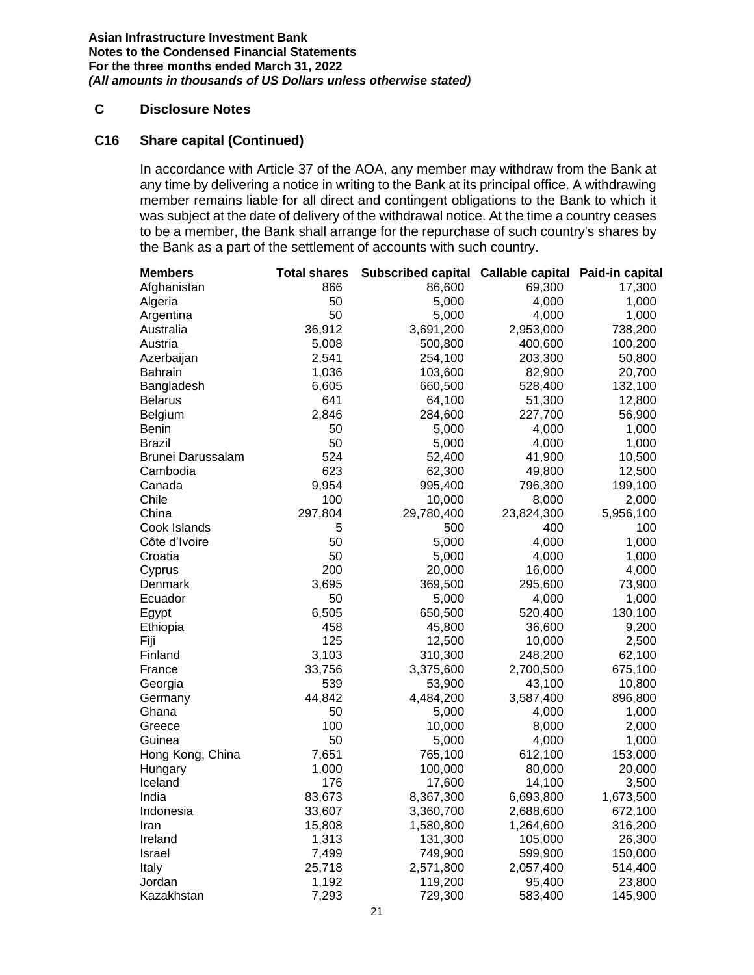### **C Disclosure Notes**

#### **C16 Share capital (Continued)**

In accordance with Article 37 of the AOA, any member may withdraw from the Bank at any time by delivering a notice in writing to the Bank at its principal office. A withdrawing member remains liable for all direct and contingent obligations to the Bank to which it was subject at the date of delivery of the withdrawal notice. At the time a country ceases to be a member, the Bank shall arrange for the repurchase of such country's shares by the Bank as a part of the settlement of accounts with such country.

| <b>Members</b>    | <b>Total shares</b> | Subscribed capital Callable capital Paid-in capital |            |           |
|-------------------|---------------------|-----------------------------------------------------|------------|-----------|
| Afghanistan       | 866                 | 86,600                                              | 69,300     | 17,300    |
| Algeria           | 50                  | 5,000                                               | 4,000      | 1,000     |
| Argentina         | 50                  | 5,000                                               | 4,000      | 1,000     |
| Australia         | 36,912              | 3,691,200                                           | 2,953,000  | 738,200   |
| Austria           | 5,008               | 500,800                                             | 400,600    | 100,200   |
| Azerbaijan        | 2,541               | 254,100                                             | 203,300    | 50,800    |
| Bahrain           | 1,036               | 103,600                                             | 82,900     | 20,700    |
| Bangladesh        | 6,605               | 660,500                                             | 528,400    | 132,100   |
| <b>Belarus</b>    | 641                 | 64,100                                              | 51,300     | 12,800    |
| Belgium           | 2,846               | 284,600                                             | 227,700    | 56,900    |
| Benin             | 50                  | 5,000                                               | 4,000      | 1,000     |
| Brazil            | 50                  | 5,000                                               | 4,000      | 1,000     |
| Brunei Darussalam | 524                 | 52,400                                              | 41,900     | 10,500    |
| Cambodia          | 623                 | 62,300                                              | 49,800     | 12,500    |
| Canada            | 9,954               | 995,400                                             | 796,300    | 199,100   |
| Chile             | 100                 | 10,000                                              | 8,000      | 2,000     |
| China             | 297,804             | 29,780,400                                          | 23,824,300 | 5,956,100 |
| Cook Islands      | 5                   | 500                                                 | 400        | 100       |
| Côte d'Ivoire     | 50                  | 5,000                                               | 4,000      | 1,000     |
| Croatia           | 50                  | 5,000                                               | 4,000      | 1,000     |
| Cyprus            | 200                 | 20,000                                              | 16,000     | 4,000     |
| Denmark           | 3,695               | 369,500                                             | 295,600    | 73,900    |
| Ecuador           | 50                  | 5,000                                               | 4,000      | 1,000     |
| Egypt             | 6,505               | 650,500                                             | 520,400    | 130,100   |
| Ethiopia          | 458                 | 45,800                                              | 36,600     | 9,200     |
| Fiji              | 125                 | 12,500                                              | 10,000     | 2,500     |
| Finland           | 3,103               | 310,300                                             | 248,200    | 62,100    |
| France            | 33,756              | 3,375,600                                           | 2,700,500  | 675,100   |
| Georgia           | 539                 | 53,900                                              | 43,100     | 10,800    |
| Germany           | 44,842              | 4,484,200                                           | 3,587,400  | 896,800   |
| Ghana             | 50                  | 5,000                                               | 4,000      | 1,000     |
| Greece            | 100                 | 10,000                                              | 8,000      | 2,000     |
| Guinea            | 50                  | 5,000                                               | 4,000      | 1,000     |
| Hong Kong, China  | 7,651               | 765,100                                             | 612,100    | 153,000   |
| Hungary           | 1,000               | 100,000                                             | 80,000     | 20,000    |
| Iceland           | 176                 | 17,600                                              | 14,100     | 3,500     |
| India             | 83,673              | 8,367,300                                           | 6,693,800  | 1,673,500 |
| Indonesia         | 33,607              | 3,360,700                                           | 2,688,600  | 672,100   |
| Iran              | 15,808              | 1,580,800                                           | 1,264,600  | 316,200   |
| Ireland           | 1,313               | 131,300                                             | 105,000    | 26,300    |
| Israel            | 7,499               | 749,900                                             | 599,900    | 150,000   |
| Italy             | 25,718              | 2,571,800                                           | 2,057,400  | 514,400   |
| Jordan            | 1,192               | 119,200                                             | 95,400     | 23,800    |
| Kazakhstan        | 7,293               | 729,300                                             | 583,400    | 145,900   |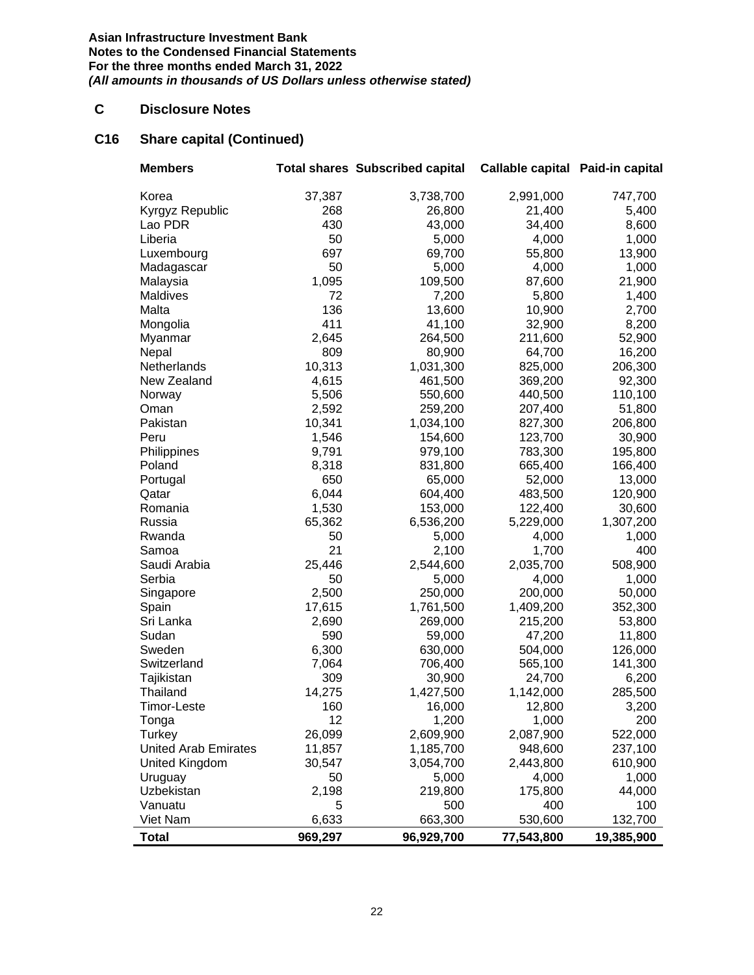# **C Disclosure Notes**

# **C16 Share capital (Continued)**

| <b>Members</b>              |              | <b>Total shares Subscribed capital</b> | Callable capital Paid-in capital |                  |
|-----------------------------|--------------|----------------------------------------|----------------------------------|------------------|
| Korea                       | 37,387       | 3,738,700                              | 2,991,000                        | 747,700          |
| Kyrgyz Republic             | 268          | 26,800                                 | 21,400                           | 5,400            |
| Lao PDR                     | 430          | 43,000                                 | 34,400                           | 8,600            |
| Liberia                     | 50           | 5,000                                  | 4,000                            | 1,000            |
| Luxembourg                  | 697          | 69,700                                 | 55,800                           | 13,900           |
| Madagascar                  | 50           | 5,000                                  | 4,000                            | 1,000            |
| Malaysia                    | 1,095        | 109,500                                | 87,600                           | 21,900           |
| Maldives                    | 72           | 7,200                                  | 5,800                            | 1,400            |
| Malta                       | 136          | 13,600                                 | 10,900                           | 2,700            |
| Mongolia                    | 411          | 41,100                                 | 32,900                           | 8,200            |
| Myanmar                     | 2,645        | 264,500                                | 211,600                          | 52,900           |
| Nepal                       | 809          | 80,900                                 | 64,700                           | 16,200           |
| Netherlands                 | 10,313       | 1,031,300                              | 825,000                          | 206,300          |
| New Zealand                 | 4,615        | 461,500                                | 369,200                          | 92,300           |
| Norway                      | 5,506        | 550,600                                | 440,500                          | 110,100          |
| Oman                        | 2,592        | 259,200                                | 207,400                          | 51,800           |
| Pakistan                    | 10,341       | 1,034,100                              | 827,300                          | 206,800          |
| Peru                        | 1,546        | 154,600                                | 123,700                          | 30,900           |
| Philippines                 | 9,791        | 979,100                                | 783,300                          | 195,800          |
| Poland                      | 8,318        | 831,800                                | 665,400                          | 166,400          |
| Portugal                    | 650          | 65,000                                 | 52,000                           | 13,000           |
| Qatar                       | 6,044        | 604,400                                | 483,500                          | 120,900          |
| Romania                     | 1,530        | 153,000                                | 122,400                          | 30,600           |
| Russia                      | 65,362       | 6,536,200                              | 5,229,000                        | 1,307,200        |
| Rwanda                      | 50           | 5,000                                  | 4,000                            | 1,000            |
| Samoa                       | 21           | 2,100                                  | 1,700                            | 400              |
| Saudi Arabia                | 25,446       | 2,544,600                              | 2,035,700                        | 508,900          |
| Serbia                      | 50           | 5,000                                  | 4,000                            | 1,000            |
| Singapore                   | 2,500        | 250,000                                | 200,000                          | 50,000           |
| Spain                       | 17,615       | 1,761,500                              | 1,409,200                        | 352,300          |
| Sri Lanka                   | 2,690        | 269,000                                | 215,200                          | 53,800           |
| Sudan                       | 590          | 59,000                                 | 47,200                           | 11,800           |
| Sweden                      | 6,300        | 630,000                                | 504,000                          | 126,000          |
| Switzerland                 | 7,064        | 706,400                                | 565,100                          | 141,300          |
| Tajikistan                  | 309          | 30,900                                 | 24,700                           | 6,200            |
| Thailand                    | 14,275       | 1,427,500                              | 1,142,000                        | 285,500          |
| Timor-Leste                 | 160          | 16,000                                 | 12,800                           | 3,200            |
| Tonga                       | 12           | 1,200                                  | 1,000                            | 200              |
| <b>Turkey</b>               | 26,099       | 2,609,900                              | 2,087,900                        | 522,000          |
| <b>United Arab Emirates</b> | 11,857       | 1,185,700                              | 948,600                          | 237,100          |
| United Kingdom              | 30,547<br>50 | 3,054,700                              | 2,443,800                        | 610,900<br>1,000 |
| Uruguay<br>Uzbekistan       |              | 5,000                                  | 4,000                            | 44,000           |
| Vanuatu                     | 2,198<br>5   | 219,800<br>500                         | 175,800<br>400                   | 100              |
| Viet Nam                    | 6,633        |                                        |                                  | 132,700          |
|                             |              | 663,300                                | 530,600                          |                  |
| <b>Total</b>                | 969,297      | 96,929,700                             | 77,543,800                       | 19,385,900       |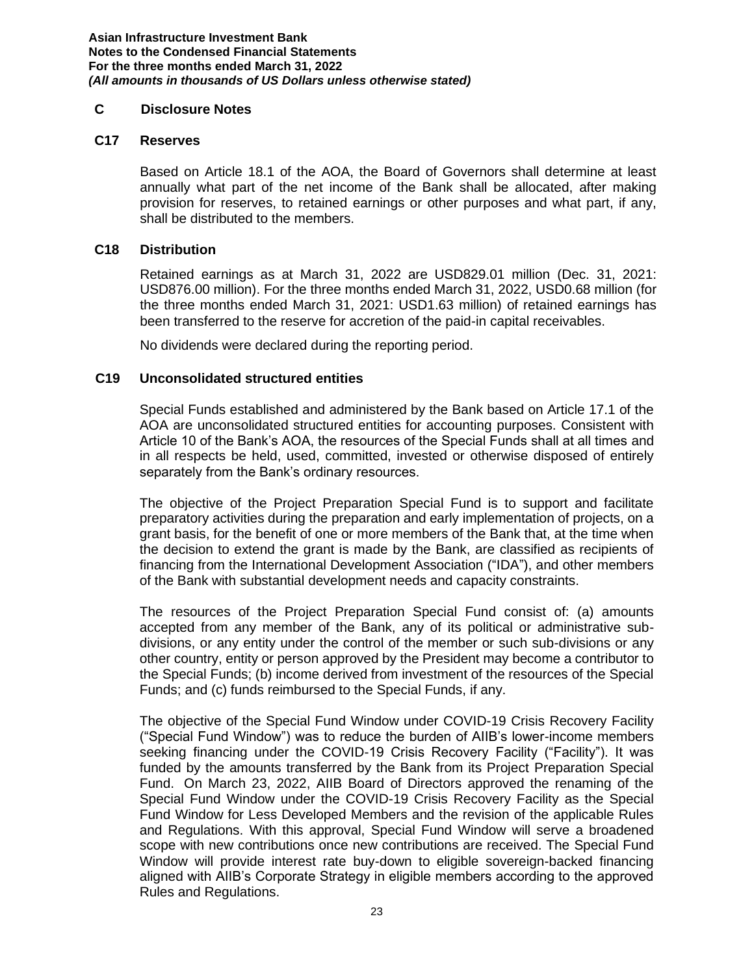#### **C Disclosure Notes**

#### **C17 Reserves**

Based on Article 18.1 of the AOA, the Board of Governors shall determine at least annually what part of the net income of the Bank shall be allocated, after making provision for reserves, to retained earnings or other purposes and what part, if any, shall be distributed to the members.

#### **C18 Distribution**

Retained earnings as at March 31, 2022 are USD829.01 million (Dec. 31, 2021: USD876.00 million). For the three months ended March 31, 2022, USD0.68 million (for the three months ended March 31, 2021: USD1.63 million) of retained earnings has been transferred to the reserve for accretion of the paid-in capital receivables.

No dividends were declared during the reporting period.

#### **C19 Unconsolidated structured entities**

Special Funds established and administered by the Bank based on Article 17.1 of the AOA are unconsolidated structured entities for accounting purposes. Consistent with Article 10 of the Bank's AOA, the resources of the Special Funds shall at all times and in all respects be held, used, committed, invested or otherwise disposed of entirely separately from the Bank's ordinary resources.

The objective of the Project Preparation Special Fund is to support and facilitate preparatory activities during the preparation and early implementation of projects, on a grant basis, for the benefit of one or more members of the Bank that, at the time when the decision to extend the grant is made by the Bank, are classified as recipients of financing from the International Development Association ("IDA"), and other members of the Bank with substantial development needs and capacity constraints.

The resources of the Project Preparation Special Fund consist of: (a) amounts accepted from any member of the Bank, any of its political or administrative subdivisions, or any entity under the control of the member or such sub-divisions or any other country, entity or person approved by the President may become a contributor to the Special Funds; (b) income derived from investment of the resources of the Special Funds; and (c) funds reimbursed to the Special Funds, if any.

The objective of the Special Fund Window under COVID-19 Crisis Recovery Facility ("Special Fund Window") was to reduce the burden of AIIB's lower-income members seeking financing under the COVID-19 Crisis Recovery Facility ("Facility"). It was funded by the amounts transferred by the Bank from its Project Preparation Special Fund. On March 23, 2022, AIIB Board of Directors approved the renaming of the Special Fund Window under the COVID-19 Crisis Recovery Facility as the Special Fund Window for Less Developed Members and the revision of the applicable Rules and Regulations. With this approval, Special Fund Window will serve a broadened scope with new contributions once new contributions are received. The Special Fund Window will provide interest rate buy-down to eligible sovereign-backed financing aligned with AIIB's Corporate Strategy in eligible members according to the approved Rules and Regulations.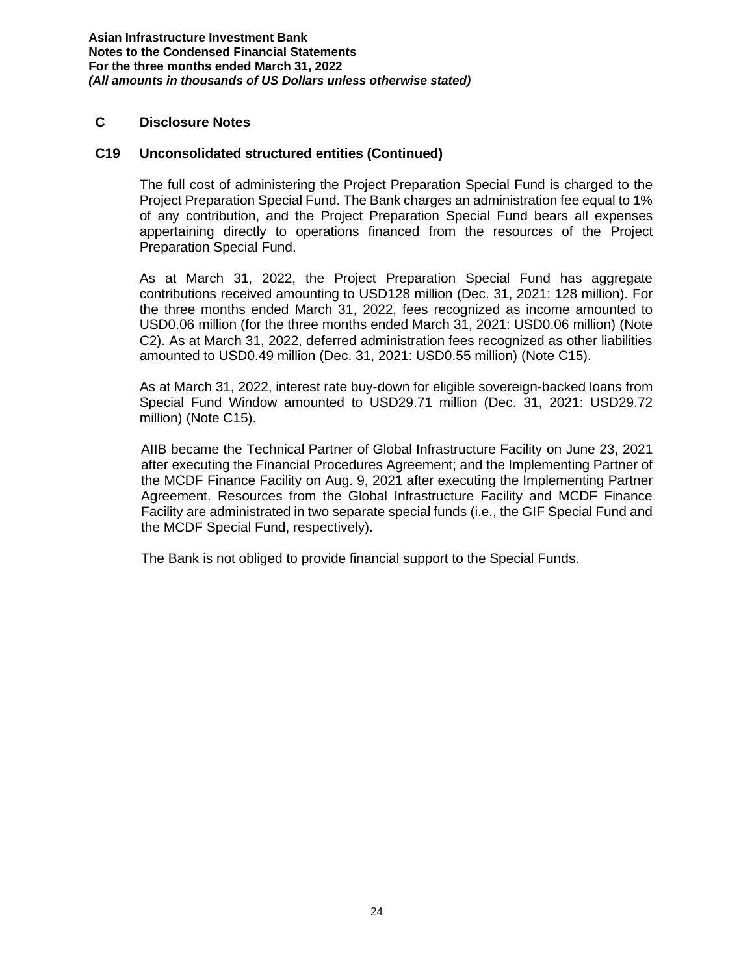#### **C Disclosure Notes**

#### **C19 Unconsolidated structured entities (Continued)**

The full cost of administering the Project Preparation Special Fund is charged to the Project Preparation Special Fund. The Bank charges an administration fee equal to 1% of any contribution, and the Project Preparation Special Fund bears all expenses appertaining directly to operations financed from the resources of the Project Preparation Special Fund.

As at March 31, 2022, the Project Preparation Special Fund has aggregate contributions received amounting to USD128 million (Dec. 31, 2021: 128 million). For the three months ended March 31, 2022, fees recognized as income amounted to USD0.06 million (for the three months ended March 31, 2021: USD0.06 million) (Note C2). As at March 31, 2022, deferred administration fees recognized as other liabilities amounted to USD0.49 million (Dec. 31, 2021: USD0.55 million) (Note C15).

As at March 31, 2022, interest rate buy-down for eligible sovereign-backed loans from Special Fund Window amounted to USD29.71 million (Dec. 31, 2021: USD29.72 million) (Note C15).

AIIB became the Technical Partner of Global Infrastructure Facility on June 23, 2021 after executing the Financial Procedures Agreement; and the Implementing Partner of the MCDF Finance Facility on Aug. 9, 2021 after executing the Implementing Partner Agreement. Resources from the Global Infrastructure Facility and MCDF Finance Facility are administrated in two separate special funds (i.e., the GIF Special Fund and the MCDF Special Fund, respectively).

The Bank is not obliged to provide financial support to the Special Funds.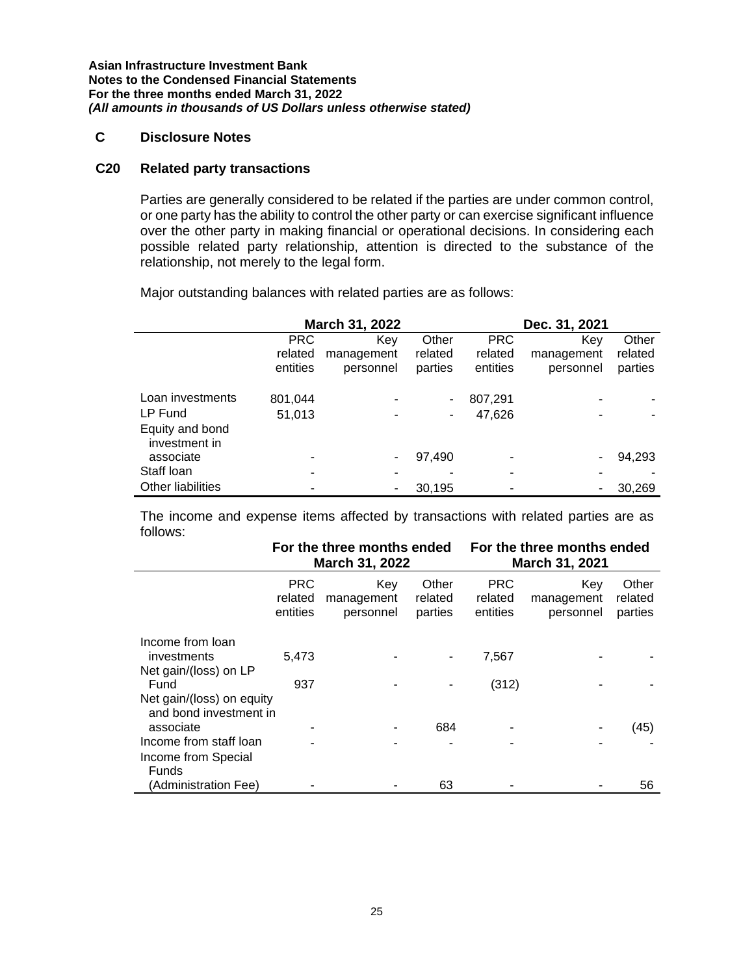# **C Disclosure Notes**

#### **C20 Related party transactions**

Parties are generally considered to be related if the parties are under common control, or one party has the ability to control the other party or can exercise significant influence over the other party in making financial or operational decisions. In considering each possible related party relationship, attention is directed to the substance of the relationship, not merely to the legal form.

Major outstanding balances with related parties are as follows:

|                                  | March 31, 2022 |            |         |            | Dec. 31, 2021 |         |
|----------------------------------|----------------|------------|---------|------------|---------------|---------|
|                                  | <b>PRC</b>     | Key        | Other   | <b>PRC</b> | Kev           | Other   |
|                                  | related        | management | related | related    | management    | related |
|                                  | entities       | personnel  | parties | entities   | personnel     | parties |
| Loan investments                 | 801,044        |            |         | 807,291    |               |         |
| LP Fund                          | 51,013         |            |         | 47.626     |               |         |
| Equity and bond<br>investment in |                |            |         |            |               |         |
| associate                        |                |            | 97,490  |            |               | 94,293  |
| Staff Ioan                       | $\blacksquare$ |            |         | -          |               |         |
| <b>Other liabilities</b>         |                |            | 30,195  |            |               | 30,269  |

The income and expense items affected by transactions with related parties are as follows:

|                                                               |                                   | For the three months ended<br><b>March 31, 2022</b> |                             |                                   | For the three months ended<br>March 31, 2021 |                             |  |
|---------------------------------------------------------------|-----------------------------------|-----------------------------------------------------|-----------------------------|-----------------------------------|----------------------------------------------|-----------------------------|--|
|                                                               | <b>PRC</b><br>related<br>entities | Key<br>management<br>personnel                      | Other<br>related<br>parties | <b>PRC</b><br>related<br>entities | Key<br>management<br>personnel               | Other<br>related<br>parties |  |
| Income from Ioan<br>investments<br>Net gain/(loss) on LP      | 5.473                             |                                                     |                             | 7,567                             |                                              |                             |  |
| Fund<br>Net gain/(loss) on equity                             | 937                               |                                                     |                             | (312)                             |                                              |                             |  |
| and bond investment in<br>associate<br>Income from staff loan |                                   |                                                     | 684                         |                                   |                                              | (45)                        |  |
| Income from Special<br>Funds                                  |                                   |                                                     |                             |                                   |                                              |                             |  |
| (Administration Fee)                                          |                                   |                                                     | 63                          |                                   |                                              | 56                          |  |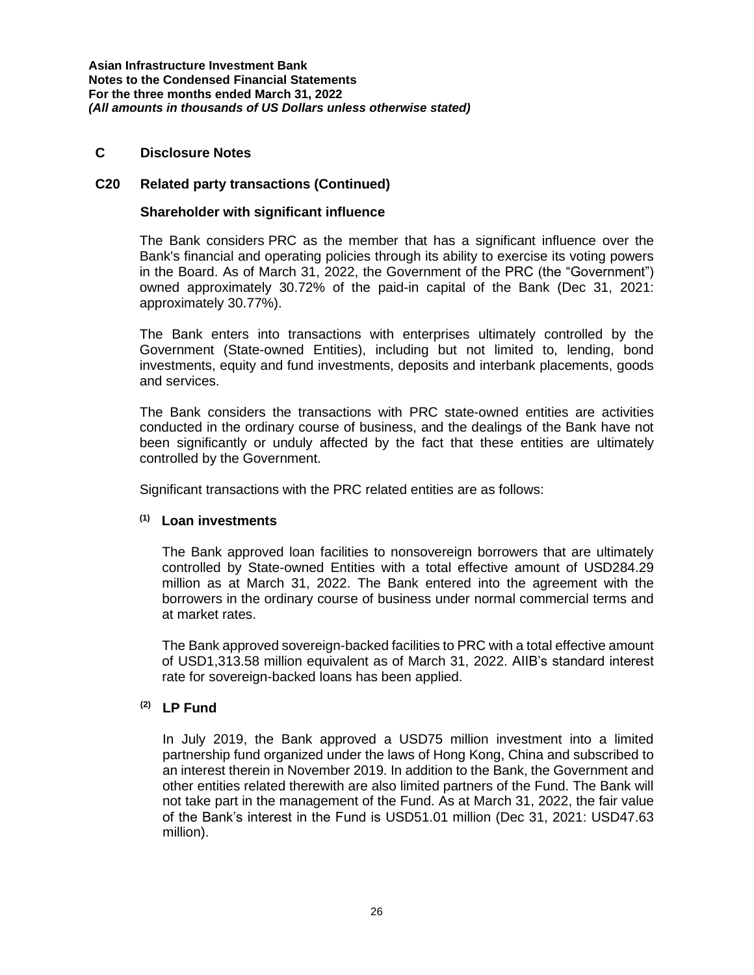#### **C Disclosure Notes**

#### **C20 Related party transactions (Continued)**

#### **Shareholder with significant influence**

The Bank considers PRC as the member that has a significant influence over the Bank's financial and operating policies through its ability to exercise its voting powers in the Board. As of March 31, 2022, the Government of the PRC (the "Government") owned approximately 30.72% of the paid-in capital of the Bank (Dec 31, 2021: approximately 30.77%).

The Bank enters into transactions with enterprises ultimately controlled by the Government (State-owned Entities), including but not limited to, lending, bond investments, equity and fund investments, deposits and interbank placements, goods and services.

The Bank considers the transactions with PRC state-owned entities are activities conducted in the ordinary course of business, and the dealings of the Bank have not been significantly or unduly affected by the fact that these entities are ultimately controlled by the Government.

Significant transactions with the PRC related entities are as follows:

#### **(1) Loan investments**

The Bank approved loan facilities to nonsovereign borrowers that are ultimately controlled by State-owned Entities with a total effective amount of USD284.29 million as at March 31, 2022. The Bank entered into the agreement with the borrowers in the ordinary course of business under normal commercial terms and at market rates.

The Bank approved sovereign-backed facilities to PRC with a total effective amount of USD1,313.58 million equivalent as of March 31, 2022. AIIB's standard interest rate for sovereign-backed loans has been applied.

# **(2) LP Fund**

In July 2019, the Bank approved a USD75 million investment into a limited partnership fund organized under the laws of Hong Kong, China and subscribed to an interest therein in November 2019. In addition to the Bank, the Government and other entities related therewith are also limited partners of the Fund. The Bank will not take part in the management of the Fund. As at March 31, 2022, the fair value of the Bank's interest in the Fund is USD51.01 million (Dec 31, 2021: USD47.63 million).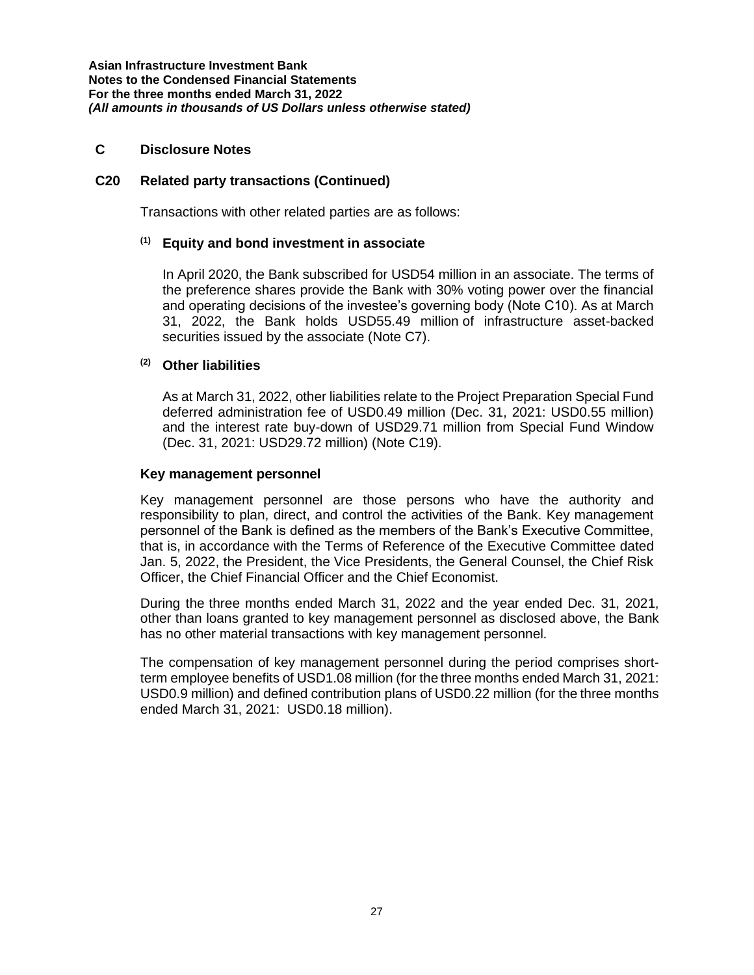### **C Disclosure Notes**

### **C20 Related party transactions (Continued)**

Transactions with other related parties are as follows:

#### **(1) Equity and bond investment in associate**

In April 2020, the Bank subscribed for USD54 million in an associate. The terms of the preference shares provide the Bank with 30% voting power over the financial and operating decisions of the investee's governing body (Note C10). As at March 31, 2022, the Bank holds USD55.49 million of infrastructure asset-backed securities issued by the associate (Note C7).

# **(2) Other liabilities**

As at March 31, 2022, other liabilities relate to the Project Preparation Special Fund deferred administration fee of USD0.49 million (Dec. 31, 2021: USD0.55 million) and the interest rate buy-down of USD29.71 million from Special Fund Window (Dec. 31, 2021: USD29.72 million) (Note C19).

#### **Key management personnel**

Key management personnel are those persons who have the authority and responsibility to plan, direct, and control the activities of the Bank. Key management personnel of the Bank is defined as the members of the Bank's Executive Committee, that is, in accordance with the Terms of Reference of the Executive Committee dated Jan. 5, 2022, the President, the Vice Presidents, the General Counsel, the Chief Risk Officer, the Chief Financial Officer and the Chief Economist.

During the three months ended March 31, 2022 and the year ended Dec. 31, 2021, other than loans granted to key management personnel as disclosed above, the Bank has no other material transactions with key management personnel.

The compensation of key management personnel during the period comprises shortterm employee benefits of USD1.08 million (for the three months ended March 31, 2021: USD0.9 million) and defined contribution plans of USD0.22 million (for the three months ended March 31, 2021: USD0.18 million).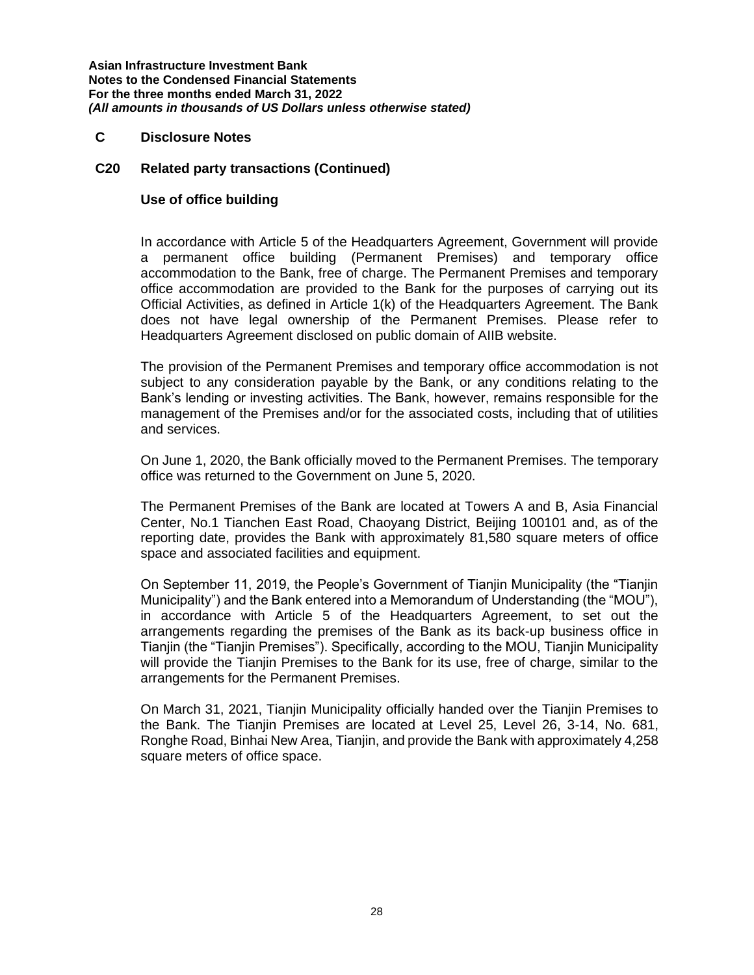#### **C Disclosure Notes**

#### **C20 Related party transactions (Continued)**

#### **Use of office building**

In accordance with Article 5 of the Headquarters Agreement, Government will provide a permanent office building (Permanent Premises) and temporary office accommodation to the Bank, free of charge. The Permanent Premises and temporary office accommodation are provided to the Bank for the purposes of carrying out its Official Activities, as defined in Article 1(k) of the Headquarters Agreement. The Bank does not have legal ownership of the Permanent Premises. Please refer to Headquarters Agreement disclosed on public domain of AIIB website.

The provision of the Permanent Premises and temporary office accommodation is not subject to any consideration payable by the Bank, or any conditions relating to the Bank's lending or investing activities. The Bank, however, remains responsible for the management of the Premises and/or for the associated costs, including that of utilities and services.

On June 1, 2020, the Bank officially moved to the Permanent Premises. The temporary office was returned to the Government on June 5, 2020.

The Permanent Premises of the Bank are located at Towers A and B, Asia Financial Center, No.1 Tianchen East Road, Chaoyang District, Beijing 100101 and, as of the reporting date, provides the Bank with approximately 81,580 square meters of office space and associated facilities and equipment.

On September 11, 2019, the People's Government of Tianjin Municipality (the "Tianjin Municipality") and the Bank entered into a Memorandum of Understanding (the "MOU"), in accordance with Article 5 of the Headquarters Agreement, to set out the arrangements regarding the premises of the Bank as its back-up business office in Tianjin (the "Tianjin Premises"). Specifically, according to the MOU, Tianjin Municipality will provide the Tianjin Premises to the Bank for its use, free of charge, similar to the arrangements for the Permanent Premises.

On March 31, 2021, Tianjin Municipality officially handed over the Tianjin Premises to the Bank. The Tianjin Premises are located at Level 25, Level 26, 3-14, No. 681, Ronghe Road, Binhai New Area, Tianjin, and provide the Bank with approximately 4,258 square meters of office space.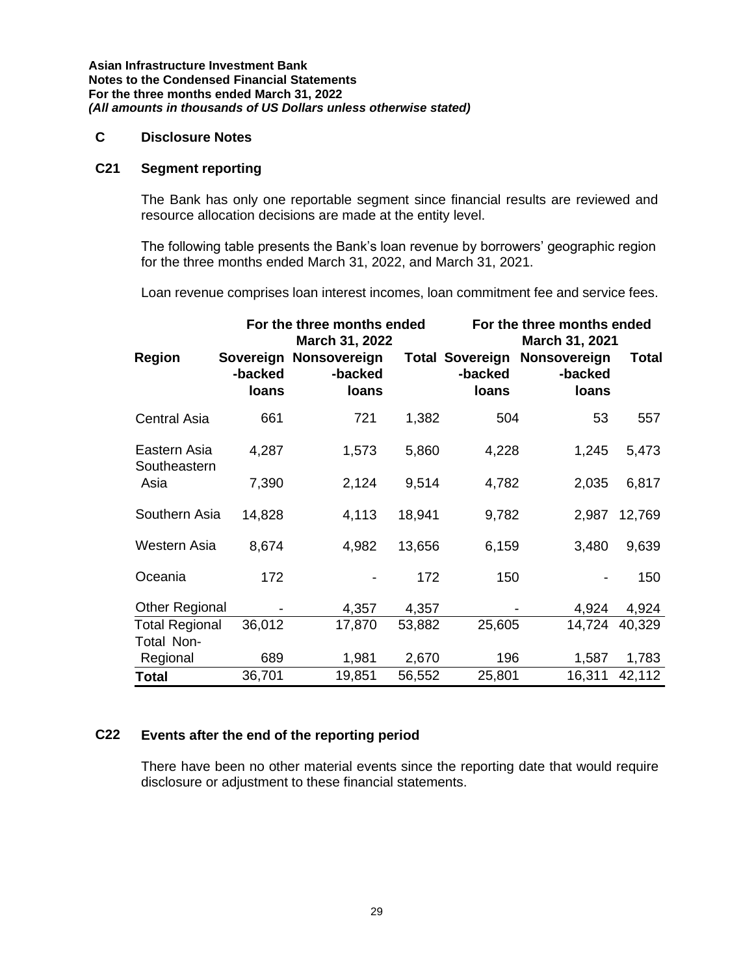#### **C Disclosure Notes**

#### **C21 Segment reporting**

The Bank has only one reportable segment since financial results are reviewed and resource allocation decisions are made at the entity level.

The following table presents the Bank's loan revenue by borrowers' geographic region for the three months ended March 31, 2022, and March 31, 2021.

Loan revenue comprises loan interest incomes, loan commitment fee and service fees.

|                              | For the three months ended<br>March 31, 2022 |                                            |        | For the three months ended<br>March 31, 2021 |                                                         |               |  |  |
|------------------------------|----------------------------------------------|--------------------------------------------|--------|----------------------------------------------|---------------------------------------------------------|---------------|--|--|
| <b>Region</b>                | -backed<br>loans                             | Sovereign Nonsovereign<br>-backed<br>loans |        | -backed<br>loans                             | <b>Total Sovereign Nonsovereign</b><br>-backed<br>loans | <b>Total</b>  |  |  |
| <b>Central Asia</b>          | 661                                          | 721                                        | 1,382  | 504                                          | 53                                                      | 557           |  |  |
| Eastern Asia<br>Southeastern | 4,287                                        | 1,573                                      | 5,860  | 4,228                                        | 1,245                                                   | 5,473         |  |  |
| Asia                         | 7,390                                        | 2,124                                      | 9,514  | 4,782                                        | 2,035                                                   | 6,817         |  |  |
| Southern Asia                | 14,828                                       | 4,113                                      | 18,941 | 9,782                                        | 2,987                                                   | 12,769        |  |  |
| <b>Western Asia</b>          | 8,674                                        | 4,982                                      | 13,656 | 6,159                                        | 3,480                                                   | 9,639         |  |  |
| Oceania                      | 172                                          |                                            | 172    | 150                                          |                                                         | 150           |  |  |
| <b>Other Regional</b>        |                                              | 4,357                                      | 4,357  |                                              | 4,924                                                   | 4,924         |  |  |
| <b>Total Regional</b>        | 36,012                                       | 17,870                                     | 53,882 | 25,605                                       |                                                         | 14,724 40,329 |  |  |
| Total Non-<br>Regional       | 689                                          | 1,981                                      | 2,670  | 196                                          | 1,587                                                   | 1,783         |  |  |
| <b>Total</b>                 | 36,701                                       | 19,851                                     | 56,552 | 25,801                                       | 16,311                                                  | 42,112        |  |  |

#### **C22 Events after the end of the reporting period**

There have been no other material events since the reporting date that would require disclosure or adjustment to these financial statements.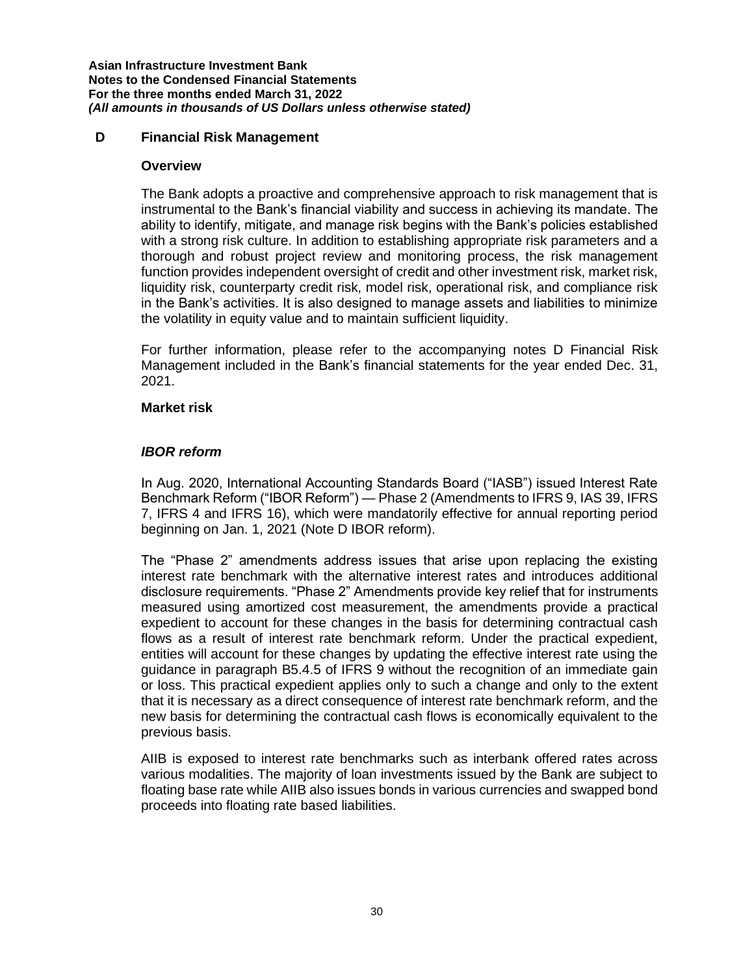### **D Financial Risk Management**

#### **Overview**

The Bank adopts a proactive and comprehensive approach to risk management that is instrumental to the Bank's financial viability and success in achieving its mandate. The ability to identify, mitigate, and manage risk begins with the Bank's policies established with a strong risk culture. In addition to establishing appropriate risk parameters and a thorough and robust project review and monitoring process, the risk management function provides independent oversight of credit and other investment risk, market risk, liquidity risk, counterparty credit risk, model risk, operational risk, and compliance risk in the Bank's activities. It is also designed to manage assets and liabilities to minimize the volatility in equity value and to maintain sufficient liquidity.

For further information, please refer to the accompanying notes D Financial Risk Management included in the Bank's financial statements for the year ended Dec. 31, 2021.

#### **Market risk**

#### *IBOR reform*

In Aug. 2020, International Accounting Standards Board ("IASB") issued Interest Rate Benchmark Reform ("IBOR Reform") — Phase 2 (Amendments to IFRS 9, IAS 39, IFRS 7, IFRS 4 and IFRS 16), which were mandatorily effective for annual reporting period beginning on Jan. 1, 2021 (Note D IBOR reform).

The "Phase 2" amendments address issues that arise upon replacing the existing interest rate benchmark with the alternative interest rates and introduces additional disclosure requirements. "Phase 2" Amendments provide key relief that for instruments measured using amortized cost measurement, the amendments provide a practical expedient to account for these changes in the basis for determining contractual cash flows as a result of interest rate benchmark reform. Under the practical expedient, entities will account for these changes by updating the effective interest rate using the guidance in paragraph B5.4.5 of IFRS 9 without the recognition of an immediate gain or loss. This practical expedient applies only to such a change and only to the extent that it is necessary as a direct consequence of interest rate benchmark reform, and the new basis for determining the contractual cash flows is economically equivalent to the previous basis.

AIIB is exposed to interest rate benchmarks such as interbank offered rates across various modalities. The majority of loan investments issued by the Bank are subject to floating base rate while AIIB also issues bonds in various currencies and swapped bond proceeds into floating rate based liabilities.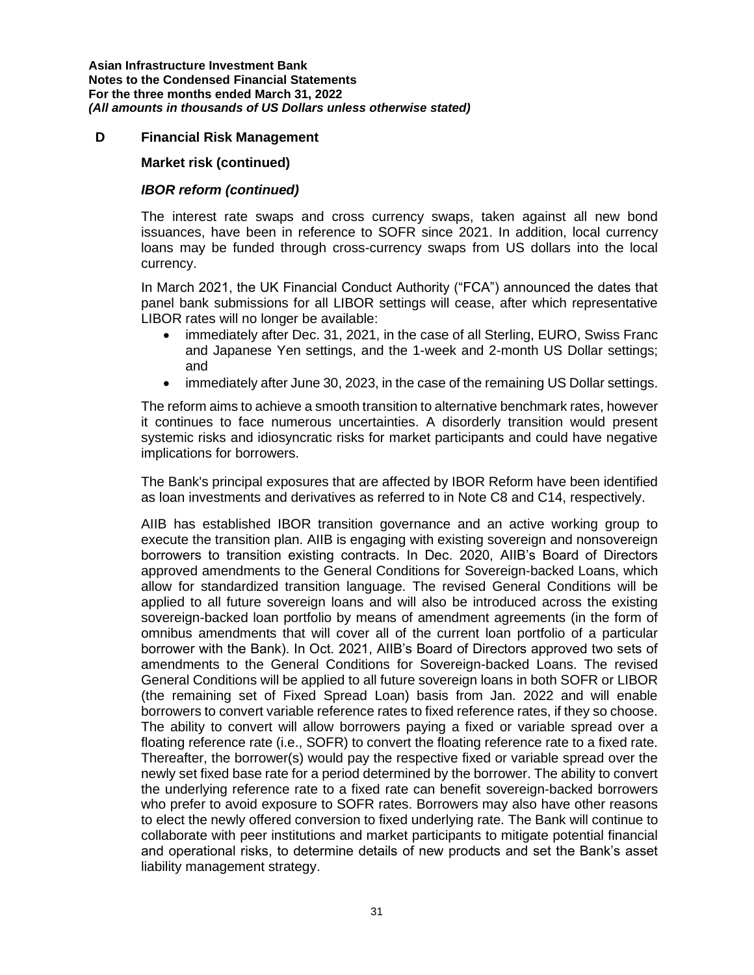### **D Financial Risk Management**

#### **Market risk (continued)**

# *IBOR reform (continued)*

The interest rate swaps and cross currency swaps, taken against all new bond issuances, have been in reference to SOFR since 2021. In addition, local currency loans may be funded through cross-currency swaps from US dollars into the local currency.

In March 2021, the UK Financial Conduct Authority ("FCA") announced the dates that panel bank submissions for all LIBOR settings will cease, after which representative LIBOR rates will no longer be available:

- immediately after Dec. 31, 2021, in the case of all Sterling, EURO, Swiss Franc and Japanese Yen settings, and the 1-week and 2-month US Dollar settings; and
- immediately after June 30, 2023, in the case of the remaining US Dollar settings.

The reform aims to achieve a smooth transition to alternative benchmark rates, however it continues to face numerous uncertainties. A disorderly transition would present systemic risks and idiosyncratic risks for market participants and could have negative implications for borrowers.

The Bank's principal exposures that are affected by IBOR Reform have been identified as loan investments and derivatives as referred to in Note C8 and C14, respectively.

AIIB has established IBOR transition governance and an active working group to execute the transition plan. AIIB is engaging with existing sovereign and nonsovereign borrowers to transition existing contracts. In Dec. 2020, AIIB's Board of Directors approved amendments to the General Conditions for Sovereign-backed Loans, which allow for standardized transition language. The revised General Conditions will be applied to all future sovereign loans and will also be introduced across the existing sovereign-backed loan portfolio by means of amendment agreements (in the form of omnibus amendments that will cover all of the current loan portfolio of a particular borrower with the Bank). In Oct. 2021, AIIB's Board of Directors approved two sets of amendments to the General Conditions for Sovereign-backed Loans. The revised General Conditions will be applied to all future sovereign loans in both SOFR or LIBOR (the remaining set of Fixed Spread Loan) basis from Jan. 2022 and will enable borrowers to convert variable reference rates to fixed reference rates, if they so choose. The ability to convert will allow borrowers paying a fixed or variable spread over a floating reference rate (i.e., SOFR) to convert the floating reference rate to a fixed rate. Thereafter, the borrower(s) would pay the respective fixed or variable spread over the newly set fixed base rate for a period determined by the borrower. The ability to convert the underlying reference rate to a fixed rate can benefit sovereign-backed borrowers who prefer to avoid exposure to SOFR rates. Borrowers may also have other reasons to elect the newly offered conversion to fixed underlying rate. The Bank will continue to collaborate with peer institutions and market participants to mitigate potential financial and operational risks, to determine details of new products and set the Bank's asset liability management strategy.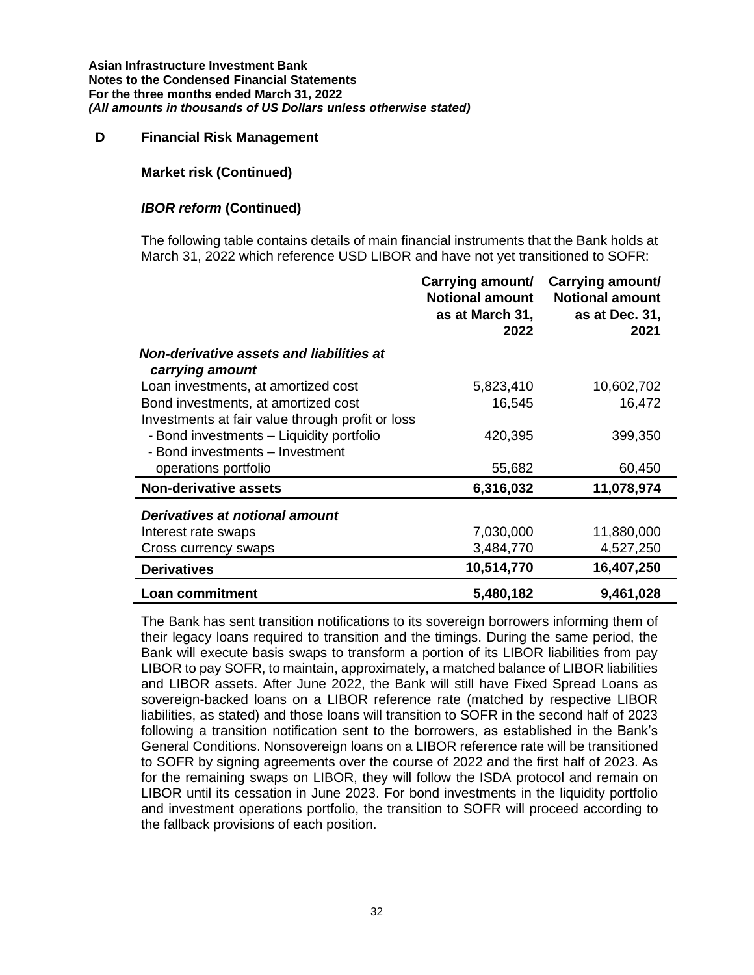#### **D Financial Risk Management**

#### **Market risk (Continued)**

#### *IBOR reform* **(Continued)**

The following table contains details of main financial instruments that the Bank holds at March 31, 2022 which reference USD LIBOR and have not yet transitioned to SOFR:

|                                                                             | Carrying amount/<br><b>Notional amount</b><br>as at March 31,<br>2022 | Carrying amount/<br><b>Notional amount</b><br>as at Dec. 31,<br>2021 |
|-----------------------------------------------------------------------------|-----------------------------------------------------------------------|----------------------------------------------------------------------|
| Non-derivative assets and liabilities at<br>carrying amount                 |                                                                       |                                                                      |
| Loan investments, at amortized cost                                         | 5,823,410                                                             | 10,602,702                                                           |
| Bond investments, at amortized cost                                         | 16,545                                                                | 16,472                                                               |
| Investments at fair value through profit or loss                            |                                                                       |                                                                      |
| - Bond investments - Liquidity portfolio<br>- Bond investments - Investment | 420,395                                                               | 399,350                                                              |
| operations portfolio                                                        | 55,682                                                                | 60,450                                                               |
| <b>Non-derivative assets</b>                                                | 6,316,032                                                             | 11,078,974                                                           |
| Derivatives at notional amount                                              |                                                                       |                                                                      |
| Interest rate swaps                                                         | 7,030,000                                                             | 11,880,000                                                           |
| Cross currency swaps                                                        | 3,484,770                                                             | 4,527,250                                                            |
| <b>Derivatives</b>                                                          | 10,514,770                                                            | 16,407,250                                                           |
| <b>Loan commitment</b>                                                      | 5,480,182                                                             | 9,461,028                                                            |

The Bank has sent transition notifications to its sovereign borrowers informing them of their legacy loans required to transition and the timings. During the same period, the Bank will execute basis swaps to transform a portion of its LIBOR liabilities from pay LIBOR to pay SOFR, to maintain, approximately, a matched balance of LIBOR liabilities and LIBOR assets. After June 2022, the Bank will still have Fixed Spread Loans as sovereign-backed loans on a LIBOR reference rate (matched by respective LIBOR liabilities, as stated) and those loans will transition to SOFR in the second half of 2023 following a transition notification sent to the borrowers, as established in the Bank's General Conditions. Nonsovereign loans on a LIBOR reference rate will be transitioned to SOFR by signing agreements over the course of 2022 and the first half of 2023. As for the remaining swaps on LIBOR, they will follow the ISDA protocol and remain on LIBOR until its cessation in June 2023. For bond investments in the liquidity portfolio and investment operations portfolio, the transition to SOFR will proceed according to the fallback provisions of each position.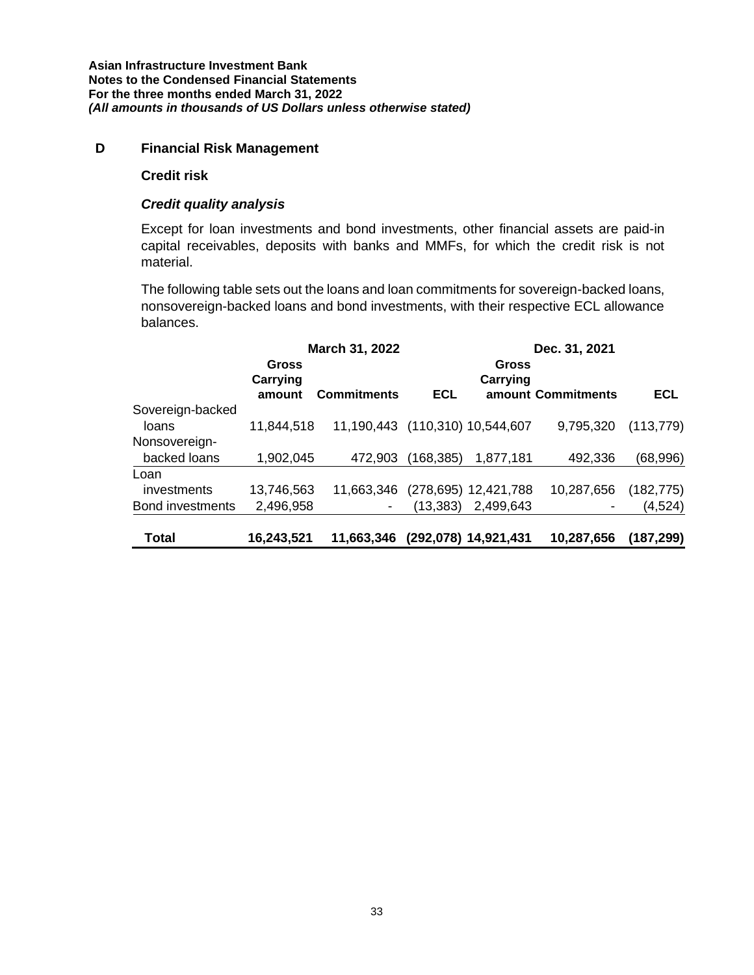#### **D Financial Risk Management**

#### **Credit risk**

#### *Credit quality analysis*

Except for loan investments and bond investments, other financial assets are paid-in capital receivables, deposits with banks and MMFs, for which the credit risk is not material.

The following table sets out the loans and loan commitments for sovereign-backed loans, nonsovereign-backed loans and bond investments, with their respective ECL allowance balances.

|                                                |                             | March 31, 2022                  |            | Dec. 31, 2021                     |                    |                       |  |
|------------------------------------------------|-----------------------------|---------------------------------|------------|-----------------------------------|--------------------|-----------------------|--|
|                                                | Gross<br>Carrying<br>amount | <b>Commitments</b>              | <b>ECL</b> | Gross<br>Carrying                 | amount Commitments | <b>ECL</b>            |  |
| Sovereign-backed<br>loans                      | 11,844,518                  | 11,190,443 (110,310) 10,544,607 |            |                                   | 9,795,320          | (113, 779)            |  |
| Nonsovereign-<br>backed loans                  | 1,902,045                   | 472,903                         | (168,385)  | 1,877,181                         | 492,336            | (68,996)              |  |
| Loan<br>investments<br><b>Bond investments</b> | 13,746,563<br>2,496,958     | 11,663,346                      | (13,383)   | (278,695) 12,421,788<br>2,499,643 | 10,287,656         | (182, 775)<br>(4,524) |  |
| Total                                          | 16,243,521                  | 11,663,346                      |            | (292,078) 14,921,431              | 10,287,656         | (187, 299)            |  |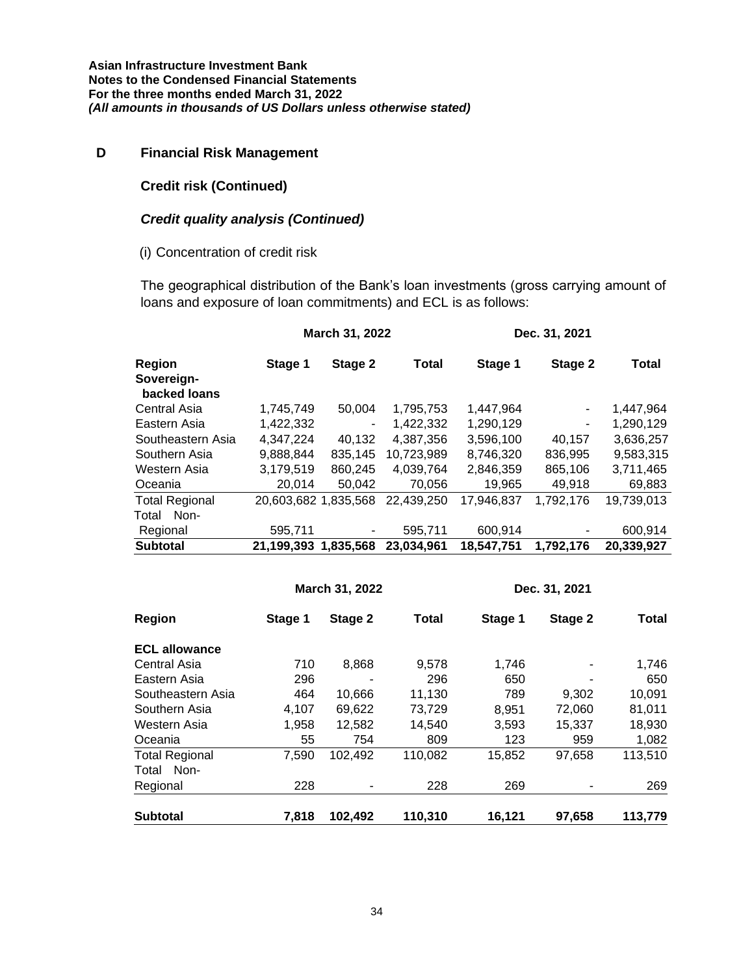# **D Financial Risk Management**

### **Credit risk (Continued)**

### *Credit quality analysis (Continued)*

### (i) Concentration of credit risk

The geographical distribution of the Bank's loan investments (gross carrying amount of loans and exposure of loan commitments) and ECL is as follows:

|                             |                      | March 31, 2022 |              |            | Dec. 31, 2021 |            |
|-----------------------------|----------------------|----------------|--------------|------------|---------------|------------|
| <b>Region</b><br>Sovereign- | Stage 1              | Stage 2        | <b>Total</b> | Stage 1    | Stage 2       | Total      |
| backed loans                |                      |                |              |            |               |            |
| Central Asia                | 1,745,749            | 50.004         | 1,795,753    | 1,447,964  | -             | 1,447,964  |
| Eastern Asia                | 1,422,332            | -              | 1,422,332    | 1,290,129  | -             | 1,290,129  |
| Southeastern Asia           | 4,347,224            | 40,132         | 4,387,356    | 3,596,100  | 40.157        | 3,636,257  |
| Southern Asia               | 9,888,844            | 835.145        | 10,723,989   | 8,746,320  | 836,995       | 9,583,315  |
| Western Asia                | 3,179,519            | 860,245        | 4,039,764    | 2,846,359  | 865,106       | 3,711,465  |
| Oceania                     | 20,014               | 50,042         | 70,056       | 19,965     | 49,918        | 69,883     |
| <b>Total Regional</b>       | 20.603.682 1.835.568 |                | 22,439,250   | 17,946,837 | 1,792,176     | 19,739,013 |
| Non-<br>Total               |                      |                |              |            |               |            |
| Regional                    | 595,711              | ۰              | 595,711      | 600,914    |               | 600,914    |
| <b>Subtotal</b>             | 21,199,393           | 1,835,568      | 23,034,961   | 18,547,751 | 1,792,176     | 20,339,927 |

|                       |         | March 31, 2022 |              |         | Dec. 31, 2021 |         |
|-----------------------|---------|----------------|--------------|---------|---------------|---------|
| <b>Region</b>         | Stage 1 | Stage 2        | <b>Total</b> | Stage 1 | Stage 2       | Total   |
| <b>ECL allowance</b>  |         |                |              |         |               |         |
| Central Asia          | 710     | 8,868          | 9,578        | 1.746   |               | 1,746   |
| Eastern Asia          | 296     |                | 296          | 650     |               | 650     |
| Southeastern Asia     | 464     | 10.666         | 11,130       | 789     | 9,302         | 10,091  |
| Southern Asia         | 4.107   | 69.622         | 73,729       | 8,951   | 72.060        | 81,011  |
| Western Asia          | 1,958   | 12.582         | 14,540       | 3,593   | 15,337        | 18,930  |
| Oceania               | 55      | 754            | 809          | 123     | 959           | 1,082   |
| <b>Total Regional</b> | 7,590   | 102.492        | 110,082      | 15,852  | 97,658        | 113,510 |
| Total Non-            |         |                |              |         |               |         |
| Regional              | 228     |                | 228          | 269     |               | 269     |
| <b>Subtotal</b>       | 7,818   | 102,492        | 110,310      | 16,121  | 97,658        | 113,779 |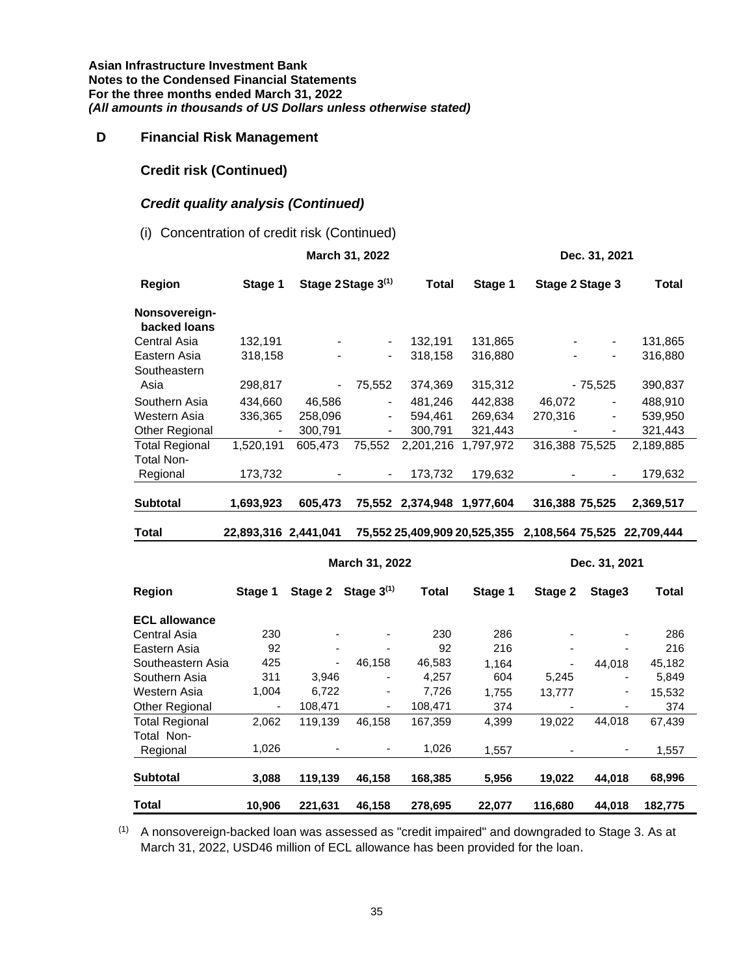### **D Financial Risk Management**

# **Credit risk (Continued)**

# *Credit quality analysis (Continued)*

#### (i) Concentration of credit risk (Continued)

|                                            |                          |                | March 31, 2022               |                            |           |                                                          | Dec. 31, 2021                |              |
|--------------------------------------------|--------------------------|----------------|------------------------------|----------------------------|-----------|----------------------------------------------------------|------------------------------|--------------|
| <b>Region</b>                              | Stage 1                  |                | Stage 2 Stage 3(1)           | <b>Total</b>               | Stage 1   | Stage 2 Stage 3                                          |                              | <b>Total</b> |
| Nonsovereign-<br>backed loans              |                          |                |                              |                            |           |                                                          |                              |              |
| Central Asia                               | 132,191                  |                | $\qquad \qquad \blacksquare$ | 132,191                    | 131,865   |                                                          | $\frac{1}{2}$                | 131,865      |
| Eastern Asia<br>Southeastern               | 318,158                  |                | $\qquad \qquad \blacksquare$ | 318,158                    | 316,880   |                                                          | $\blacksquare$               | 316,880      |
| Asia                                       | 298,817                  | $\blacksquare$ | 75,552                       | 374,369                    | 315,312   |                                                          | $-75,525$                    | 390,837      |
| Southern Asia                              | 434,660                  | 46,586         | $\overline{\phantom{0}}$     | 481,246                    | 442,838   | 46,072                                                   |                              | 488,910      |
| Western Asia                               | 336,365                  | 258,096        | $\frac{1}{2}$                | 594,461                    | 269,634   | 270,316                                                  | $\qquad \qquad \blacksquare$ | 539,950      |
| Other Regional                             | $\overline{\phantom{a}}$ | 300,791        | $\blacksquare$               | 300,791                    | 321,443   |                                                          | $\overline{\phantom{a}}$     | 321,443      |
| <b>Total Regional</b><br><b>Total Non-</b> | 1,520,191                | 605,473        | 75,552                       | 2,201,216                  | 1,797,972 | 316,388 75,525                                           |                              | 2,189,885    |
| Regional                                   | 173,732                  |                | $\blacksquare$               | 173,732                    | 179,632   |                                                          |                              | 179,632      |
|                                            |                          |                |                              |                            |           |                                                          |                              |              |
| <b>Subtotal</b>                            | 1,693,923                | 605,473        |                              | 75,552 2,374,948 1,977,604 |           | 316,388 75,525                                           |                              | 2,369,517    |
| <b>Total</b>                               | 22,893,316 2,441,041     |                |                              |                            |           | 75,552 25,409,909 20,525,355 2,108,564 75,525 22,709,444 |                              |              |
|                                            |                          |                | March 31, 2022               |                            |           |                                                          | Dec. 31, 2021                |              |
| <b>Region</b>                              | Stage 1                  | Stage 2        | Stage $3^{(1)}$              | <b>Total</b>               | Stage 1   | Stage 2                                                  | Stage3                       | <b>Total</b> |
| <b>ECL allowance</b>                       |                          |                |                              |                            |           |                                                          |                              |              |
| Central Asia                               | 230                      |                |                              | 230                        | 286       |                                                          | $\overline{\phantom{a}}$     | 286          |
| Eastern Asia                               | 92                       |                |                              | 92                         | 216       |                                                          |                              | 216          |
| Southeastern Asia                          | 425                      | $\frac{1}{2}$  | 46,158                       | 46,583                     | 1,164     |                                                          | 44,018                       | 45,182       |
| Southern Asia                              | 311                      | 3,946          |                              | 4,257                      | 604       | 5,245                                                    |                              | 5,849        |
| Western Asia                               | 1,004                    | 6,722          |                              | 7,726                      | 1,755     | 13,777                                                   | $\qquad \qquad \blacksquare$ | 15,532       |
| Other Regional                             |                          | 108,471        |                              | 108,471                    | 374       |                                                          |                              | 374          |
| <b>Total Regional</b>                      | 2,062                    | 119,139        | 46,158                       | 167,359                    | 4,399     | 19,022                                                   | 44,018                       | 67,439       |
| Total Non-                                 |                          |                |                              |                            |           |                                                          |                              |              |
| Regional                                   | 1,026                    |                |                              | 1,026                      | 1,557     |                                                          |                              | 1,557        |
| <b>Subtotal</b>                            | 3,088                    | 119,139        | 46,158                       | 168,385                    | 5,956     | 19,022                                                   | 44,018                       | 68,996       |
| <b>Total</b>                               | 10,906                   | 221,631        | 46,158                       | 278,695                    | 22,077    | 116,680                                                  | 44,018                       | 182,775      |

(1) A nonsovereign-backed loan was assessed as "credit impaired" and downgraded to Stage 3. As at March 31, 2022, USD46 million of ECL allowance has been provided for the loan.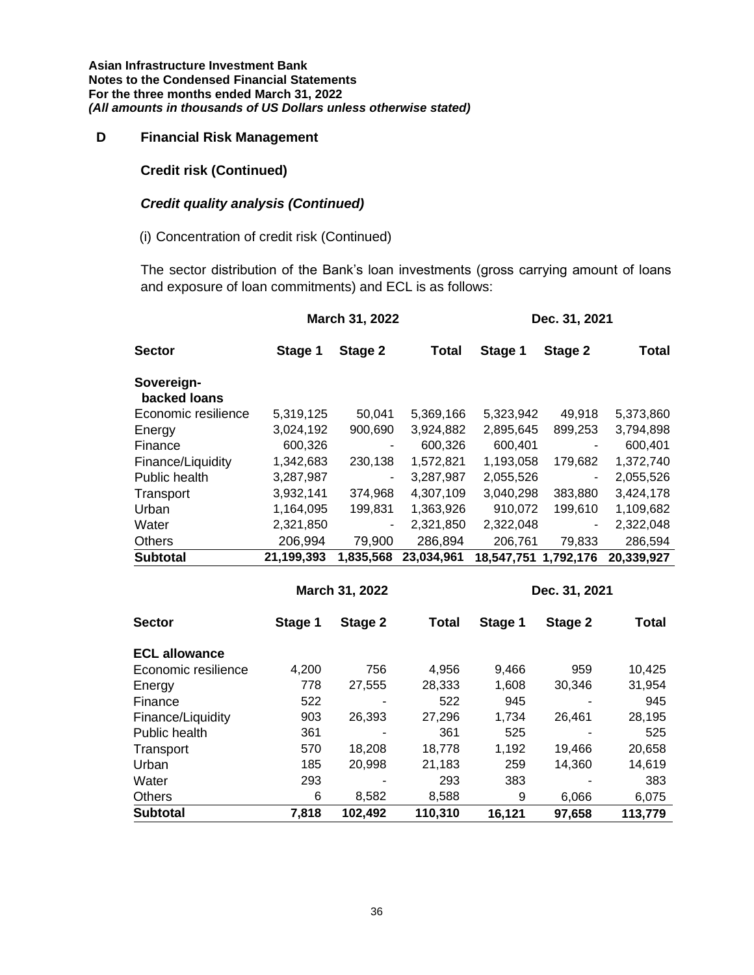# **D Financial Risk Management**

#### **Credit risk (Continued)**

#### *Credit quality analysis (Continued)*

### (i) Concentration of credit risk (Continued)

The sector distribution of the Bank's loan investments (gross carrying amount of loans and exposure of loan commitments) and ECL is as follows:

|                            |            | March 31, 2022           |              |            | Dec. 31, 2021            |              |
|----------------------------|------------|--------------------------|--------------|------------|--------------------------|--------------|
| <b>Sector</b>              | Stage 1    | Stage 2                  | <b>Total</b> | Stage 1    | Stage 2                  | <b>Total</b> |
| Sovereign-<br>backed loans |            |                          |              |            |                          |              |
| Economic resilience        | 5,319,125  | 50,041                   | 5,369,166    | 5,323,942  | 49,918                   | 5,373,860    |
| Energy                     | 3,024,192  | 900,690                  | 3,924,882    | 2,895,645  | 899,253                  | 3,794,898    |
| Finance                    | 600,326    |                          | 600,326      | 600,401    |                          | 600,401      |
| Finance/Liquidity          | 1,342,683  | 230,138                  | 1,572,821    | 1,193,058  | 179,682                  | 1,372,740    |
| Public health              | 3,287,987  | $\overline{\phantom{0}}$ | 3,287,987    | 2,055,526  | $\overline{\phantom{a}}$ | 2,055,526    |
| Transport                  | 3,932,141  | 374,968                  | 4,307,109    | 3,040,298  | 383,880                  | 3,424,178    |
| Urban                      | 1,164,095  | 199,831                  | 1,363,926    | 910,072    | 199,610                  | 1,109,682    |
| Water                      | 2,321,850  |                          | 2,321,850    | 2,322,048  |                          | 2,322,048    |
| <b>Others</b>              | 206,994    | 79,900                   | 286,894      | 206,761    | 79,833                   | 286,594      |
| <b>Subtotal</b>            | 21,199,393 | 1,835,568                | 23,034,961   | 18,547,751 | 1,792,176                | 20,339,927   |
|                            |            |                          |              |            |                          |              |
|                            |            | March 31, 2022           |              |            | Dec. 31, 2021            |              |
| <b>Sector</b>              | Stage 1    | Stage 2                  | <b>Total</b> | Stage 1    | Stage 2                  | <b>Total</b> |
| <b>ECL allowance</b>       |            |                          |              |            |                          |              |
| Economic resilience        | 4,200      | 756                      | 4,956        | 9,466      | 959                      | 10,425       |
| Energy                     | 778        | 27,555                   | 28,333       | 1,608      | 30,346                   | 31,954       |
| Finance                    | 522        |                          | 522          | 945        |                          | 945          |
| Finance/Liquidity          | 903        | 26,393                   | 27,296       | 1,734      | 26,461                   | 28,195       |
| Public health              | 361        |                          | 361          | 525        |                          | 525          |
| Transport                  | 570        | 18,208                   | 18,778       | 1,192      | 19,466                   | 20,658       |
| Urban                      | 185        | 20,998                   | 21,183       | 259        | 14,360                   | 14,619       |
| Water                      | 293        |                          | 293          | 383        |                          | 383          |
| Others                     | 6          | 8,582                    | 8,588        | 9          | 6,066                    | 6,075        |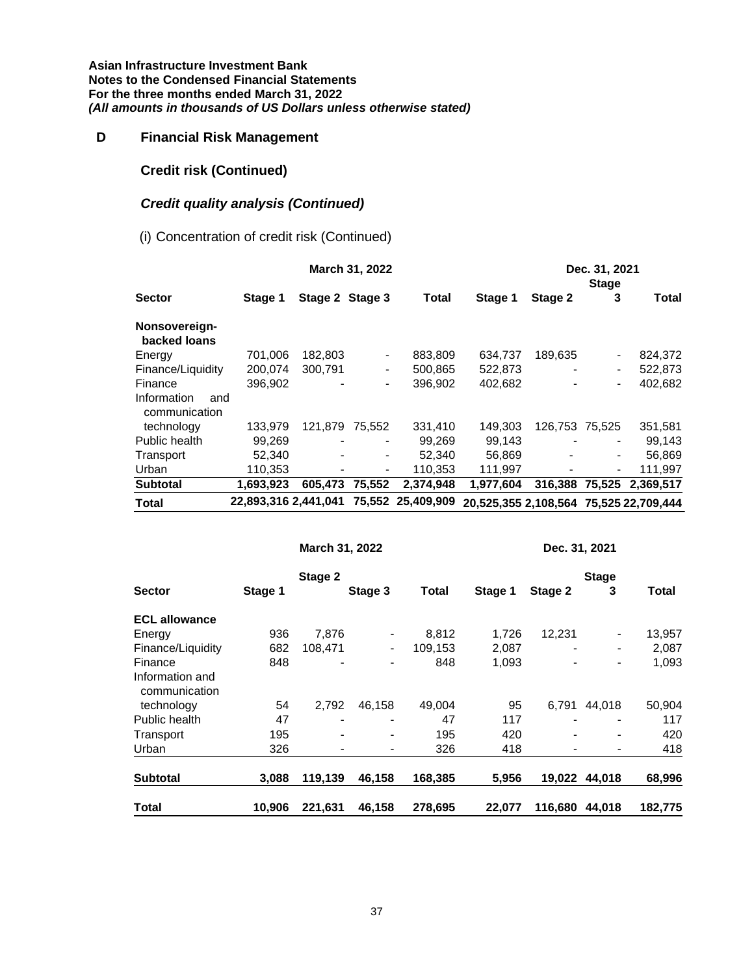# **D Financial Risk Management**

# **Credit risk (Continued)**

# *Credit quality analysis (Continued)*

(i) Concentration of credit risk (Continued)

|                                     |                      |                 | March 31, 2022               |                   |                                        |                | Dec. 31, 2021<br><b>Stage</b> |           |
|-------------------------------------|----------------------|-----------------|------------------------------|-------------------|----------------------------------------|----------------|-------------------------------|-----------|
| <b>Sector</b>                       | Stage 1              | Stage 2 Stage 3 |                              | Total             | Stage 1                                | Stage 2        | 3                             | Total     |
| Nonsovereign-<br>backed loans       |                      |                 |                              |                   |                                        |                |                               |           |
| Energy                              | 701,006              | 182,803         | $\qquad \qquad \blacksquare$ | 883,809           | 634,737                                | 189,635        |                               | 824,372   |
| Finance/Liquidity                   | 200.074              | 300.791         | $\blacksquare$               | 500,865           | 522,873                                |                | -                             | 522,873   |
| Finance                             | 396.902              |                 | -                            | 396.902           | 402.682                                |                | -                             | 402.682   |
| Information<br>and<br>communication |                      |                 |                              |                   |                                        |                |                               |           |
| technology                          | 133.979              | 121.879         | 75.552                       | 331,410           | 149.303                                | 126.753 75.525 |                               | 351,581   |
| Public health                       | 99,269               |                 | $\blacksquare$               | 99.269            | 99.143                                 |                | ٠                             | 99,143    |
| Transport                           | 52,340               | $\overline{a}$  | $\blacksquare$               | 52.340            | 56,869                                 |                | $\blacksquare$                | 56,869    |
| Urban                               | 110,353              |                 | $\blacksquare$               | 110,353           | 111,997                                |                | Ξ.                            | 111,997   |
| <b>Subtotal</b>                     | 1.693.923            | 605.473         | 75,552                       | 2,374,948         | 1.977.604                              | 316,388        | 75.525                        | 2.369.517 |
| <b>Total</b>                        | 22.893.316 2.441.041 |                 |                              | 75,552 25,409,909 | 20,525,355 2,108,564 75,525 22,709,444 |                |                               |           |

|                                  |         | March 31, 2022 |                |         |         | Dec. 31, 2021 |                          |         |
|----------------------------------|---------|----------------|----------------|---------|---------|---------------|--------------------------|---------|
|                                  |         | Stage 2        |                |         |         |               | <b>Stage</b>             |         |
| <b>Sector</b>                    | Stage 1 |                | Stage 3        | Total   | Stage 1 | Stage 2       | 3                        | Total   |
| <b>ECL allowance</b>             |         |                |                |         |         |               |                          |         |
| Energy                           | 936     | 7,876          |                | 8,812   | 1,726   | 12,231        |                          | 13,957  |
| Finance/Liquidity                | 682     | 108,471        | $\blacksquare$ | 109,153 | 2,087   |               | $\overline{\phantom{0}}$ | 2,087   |
| Finance                          | 848     |                |                | 848     | 1,093   |               | $\overline{\phantom{0}}$ | 1,093   |
| Information and<br>communication |         |                |                |         |         |               |                          |         |
| technology                       | 54      | 2,792          | 46,158         | 49,004  | 95      | 6,791         | 44,018                   | 50,904  |
| Public health                    | 47      | $\blacksquare$ |                | 47      | 117     |               |                          | 117     |
| Transport                        | 195     | $\blacksquare$ |                | 195     | 420     |               |                          | 420     |
| Urban                            | 326     |                |                | 326     | 418     |               |                          | 418     |
| <b>Subtotal</b>                  | 3,088   | 119,139        | 46,158         | 168,385 | 5,956   |               | 19,022 44,018            | 68,996  |
| Total                            | 10,906  | 221,631        | 46,158         | 278,695 | 22,077  | 116,680       | 44.018                   | 182.775 |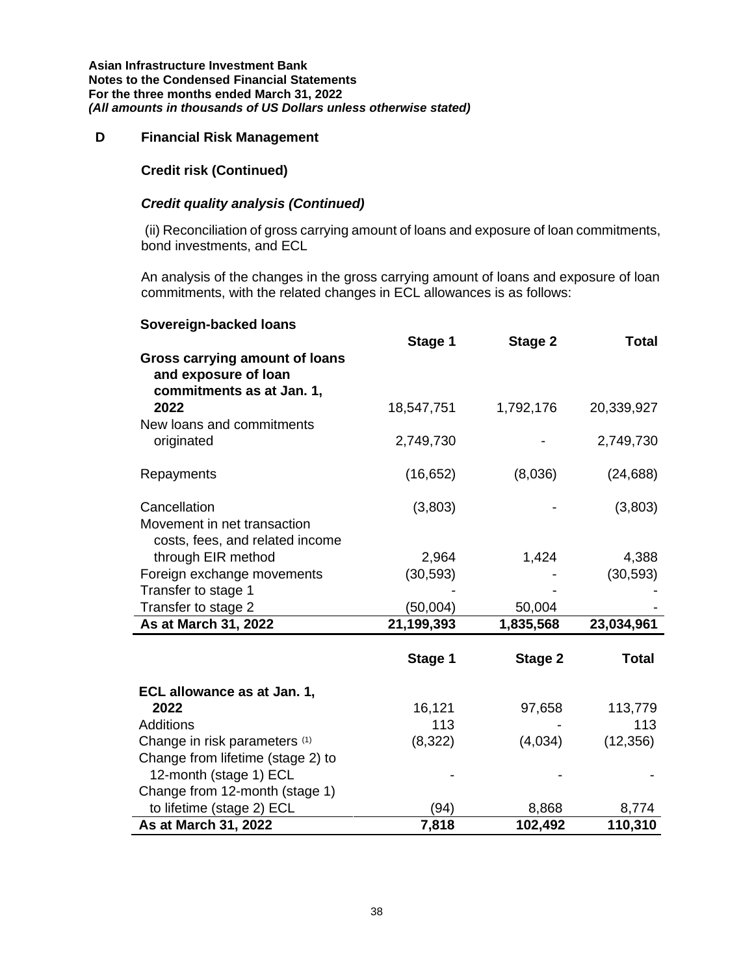#### **D Financial Risk Management**

### **Credit risk (Continued)**

# *Credit quality analysis (Continued)*

(ii) Reconciliation of gross carrying amount of loans and exposure of loan commitments, bond investments, and ECL

An analysis of the changes in the gross carrying amount of loans and exposure of loan commitments, with the related changes in ECL allowances is as follows:

| Sovereign-backed loans                                                                     |            |                |              |
|--------------------------------------------------------------------------------------------|------------|----------------|--------------|
| <b>Gross carrying amount of loans</b><br>and exposure of loan<br>commitments as at Jan. 1, | Stage 1    | Stage 2        | <b>Total</b> |
| 2022<br>New loans and commitments                                                          | 18,547,751 | 1,792,176      | 20,339,927   |
| originated                                                                                 | 2,749,730  |                | 2,749,730    |
| Repayments                                                                                 | (16, 652)  | (8,036)        | (24, 688)    |
| Cancellation<br>Movement in net transaction<br>costs, fees, and related income             | (3,803)    |                | (3,803)      |
| through EIR method                                                                         | 2,964      | 1,424          | 4,388        |
| Foreign exchange movements                                                                 | (30, 593)  |                | (30, 593)    |
| Transfer to stage 1                                                                        |            |                |              |
| Transfer to stage 2                                                                        | (50,004)   | 50,004         |              |
| As at March 31, 2022                                                                       | 21,199,393 | 1,835,568      | 23,034,961   |
|                                                                                            | Stage 1    | <b>Stage 2</b> | <b>Total</b> |
| ECL allowance as at Jan. 1,                                                                |            |                |              |
| 2022                                                                                       | 16,121     | 97,658         | 113,779      |
| <b>Additions</b>                                                                           | 113        |                | 113          |
| Change in risk parameters (1)                                                              | (8,322)    | (4,034)        | (12, 356)    |
| Change from lifetime (stage 2) to                                                          |            |                |              |
| 12-month (stage 1) ECL<br>Change from 12-month (stage 1)                                   |            |                |              |
| to lifetime (stage 2) ECL                                                                  | (94)       | 8,868          | 8,774        |
| As at March 31, 2022                                                                       | 7,818      | 102,492        | 110,310      |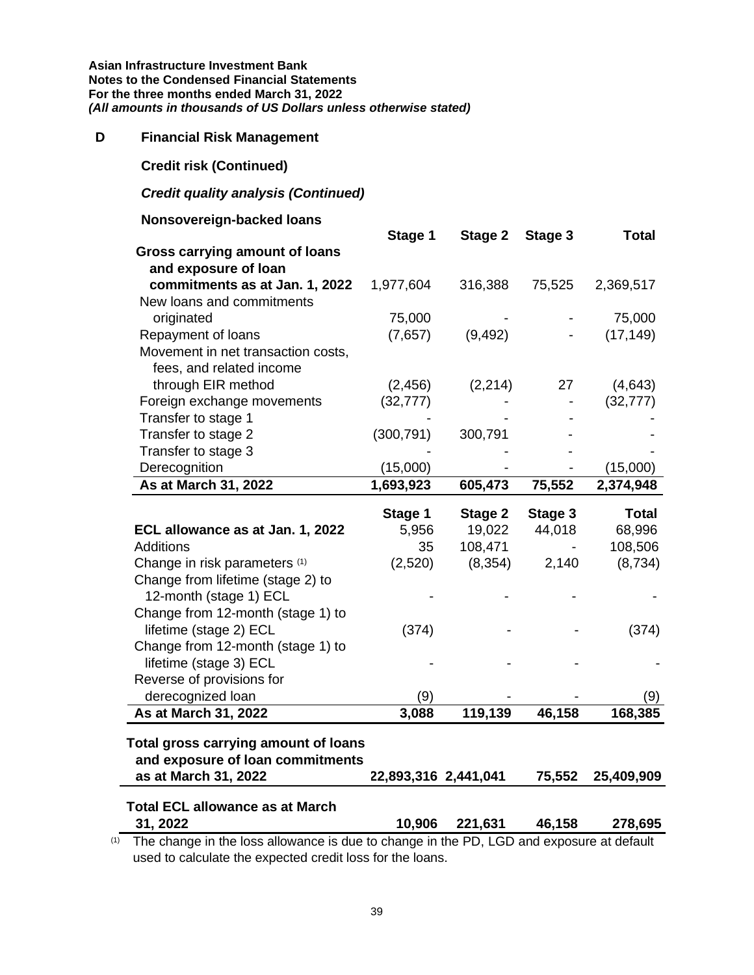#### **D Financial Risk Management**

**Credit risk (Continued)**

#### *Credit quality analysis (Continued)*

#### **Nonsovereign-backed loans**

|                                                                          | Stage 1    | Stage 2  | Stage 3 | <b>Total</b> |
|--------------------------------------------------------------------------|------------|----------|---------|--------------|
| <b>Gross carrying amount of loans</b>                                    |            |          |         |              |
| and exposure of loan                                                     |            |          |         |              |
| commitments as at Jan. 1, 2022                                           | 1,977,604  | 316,388  | 75,525  | 2,369,517    |
| New loans and commitments                                                |            |          |         |              |
| originated                                                               | 75,000     |          |         | 75,000       |
| Repayment of loans                                                       | (7,657)    | (9, 492) |         | (17, 149)    |
| Movement in net transaction costs,                                       |            |          |         |              |
| fees, and related income                                                 |            |          |         |              |
| through EIR method                                                       | (2, 456)   | (2, 214) | 27      | (4,643)      |
| Foreign exchange movements                                               | (32, 777)  |          |         | (32, 777)    |
| Transfer to stage 1                                                      |            |          |         |              |
| Transfer to stage 2                                                      | (300, 791) | 300,791  |         |              |
| Transfer to stage 3                                                      |            |          |         |              |
| Derecognition                                                            | (15,000)   |          |         | (15,000)     |
| As at March 31, 2022                                                     | 1,693,923  | 605,473  | 75,552  | 2,374,948    |
|                                                                          |            |          |         |              |
|                                                                          | Stage 1    | Stage 2  | Stage 3 | <b>Total</b> |
| ECL allowance as at Jan. 1, 2022                                         | 5,956      | 19,022   | 44,018  | 68,996       |
| <b>Additions</b>                                                         | 35         | 108,471  |         | 108,506      |
| Change in risk parameters (1)                                            | (2,520)    | (8, 354) | 2,140   | (8,734)      |
| Change from lifetime (stage 2) to                                        |            |          |         |              |
| 12-month (stage 1) ECL                                                   |            |          |         |              |
| Change from 12-month (stage 1) to                                        |            |          |         |              |
| lifetime (stage 2) ECL                                                   | (374)      |          |         | (374)        |
| Change from 12-month (stage 1) to                                        |            |          |         |              |
| lifetime (stage 3) ECL                                                   |            |          |         |              |
| Reverse of provisions for                                                |            |          |         |              |
| derecognized loan                                                        | (9)        |          |         | (9)          |
| As at March 31, 2022                                                     | 3,088      | 119,139  | 46,158  | 168,385      |
|                                                                          |            |          |         |              |
| Total gross carrying amount of loans<br>and exposure of loan commitments |            |          |         |              |

# **as at March 31, 2022 22,893,316 2,441,041 75,552 25,409,909 Total ECL allowance as at March**

**31, 2022 10,906 221,631 46,158 278,695**  $(1)$  The change in the loss allowance is due to change in the PD, LGD and exposure at default

used to calculate the expected credit loss for the loans.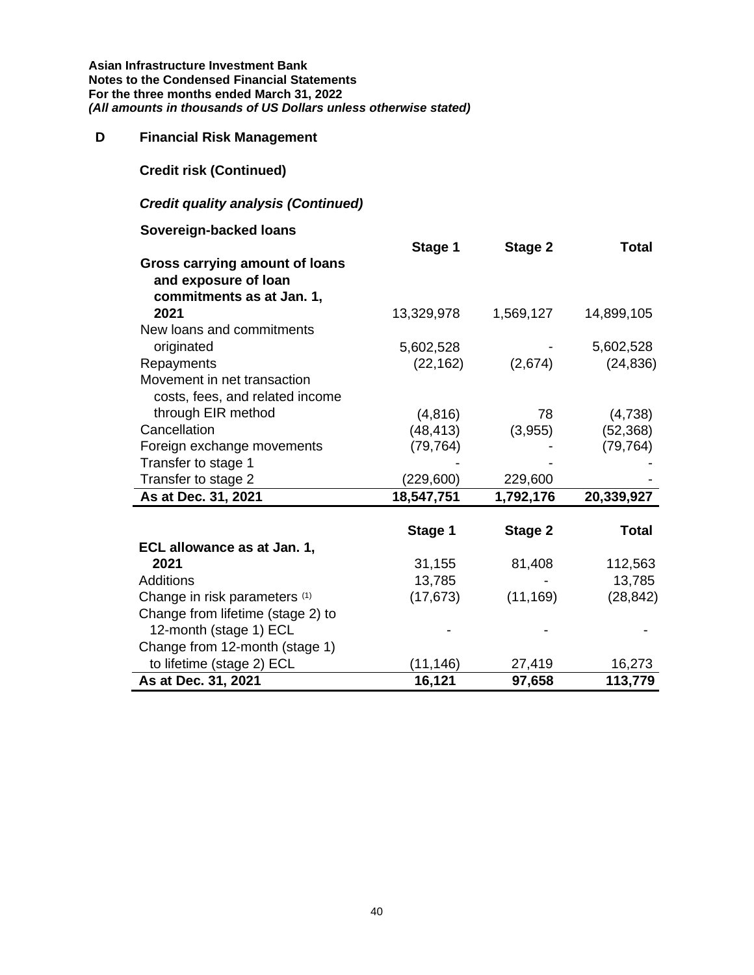# **D Financial Risk Management**

**Credit risk (Continued)**

# *Credit quality analysis (Continued)*

# **Sovereign-backed loans**

|                                       | Stage 1    | Stage 2        | <b>Total</b> |
|---------------------------------------|------------|----------------|--------------|
| <b>Gross carrying amount of loans</b> |            |                |              |
| and exposure of loan                  |            |                |              |
| commitments as at Jan. 1,             |            |                |              |
| 2021                                  | 13,329,978 | 1,569,127      | 14,899,105   |
| New loans and commitments             |            |                |              |
| originated                            | 5,602,528  |                | 5,602,528    |
| Repayments                            | (22, 162)  | (2,674)        | (24, 836)    |
| Movement in net transaction           |            |                |              |
| costs, fees, and related income       |            |                |              |
| through EIR method                    | (4, 816)   | 78             | (4,738)      |
| Cancellation                          | (48, 413)  | (3,955)        | (52, 368)    |
| Foreign exchange movements            | (79, 764)  |                | (79, 764)    |
| Transfer to stage 1                   |            |                |              |
| Transfer to stage 2                   | (229,600)  | 229,600        |              |
| As at Dec. 31, 2021                   | 18,547,751 | 1,792,176      | 20,339,927   |
|                                       |            |                |              |
|                                       | Stage 1    | <b>Stage 2</b> | <b>Total</b> |
| ECL allowance as at Jan. 1,           |            |                |              |
| 2021                                  | 31,155     | 81,408         | 112,563      |
| <b>Additions</b>                      | 13,785     |                | 13,785       |
| Change in risk parameters (1)         | (17, 673)  | (11, 169)      | (28, 842)    |
| Change from lifetime (stage 2) to     |            |                |              |
| 12-month (stage 1) ECL                |            |                |              |
| Change from 12-month (stage 1)        |            |                |              |
| to lifetime (stage 2) ECL             | (11, 146)  | 27,419         | 16,273       |
| As at Dec. 31, 2021                   | 16,121     | 97,658         | 113,779      |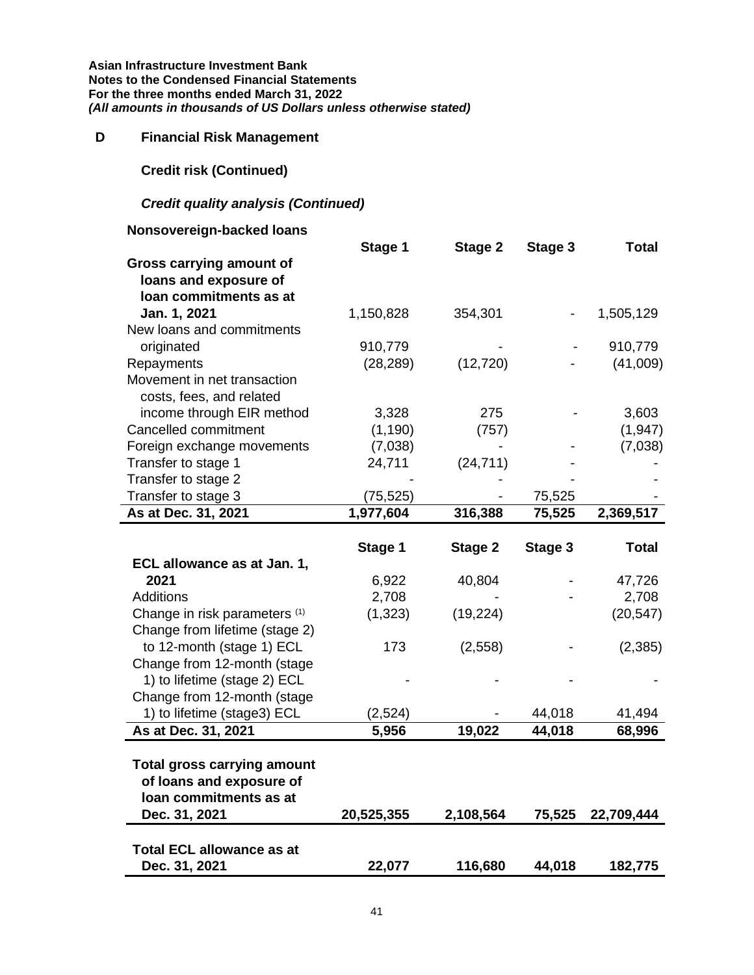# **D Financial Risk Management**

**Credit risk (Continued)**

# *Credit quality analysis (Continued)*

# **Nonsovereign-backed loans**

|                                                                | Stage 1        | Stage 2   | Stage 3 | <b>Total</b> |
|----------------------------------------------------------------|----------------|-----------|---------|--------------|
| Gross carrying amount of                                       |                |           |         |              |
| loans and exposure of                                          |                |           |         |              |
| loan commitments as at                                         |                |           |         |              |
| Jan. 1, 2021                                                   | 1,150,828      | 354,301   |         | 1,505,129    |
| New loans and commitments                                      |                |           |         |              |
| originated                                                     | 910,779        |           |         | 910,779      |
| Repayments                                                     | (28, 289)      | (12, 720) |         | (41,009)     |
| Movement in net transaction                                    |                |           |         |              |
| costs, fees, and related                                       |                |           |         |              |
| income through EIR method                                      | 3,328          | 275       |         | 3,603        |
| Cancelled commitment                                           | (1, 190)       | (757)     |         | (1, 947)     |
| Foreign exchange movements                                     | (7,038)        |           |         | (7,038)      |
| Transfer to stage 1                                            | 24,711         | (24, 711) |         |              |
| Transfer to stage 2                                            |                |           |         |              |
| Transfer to stage 3                                            | (75, 525)      |           | 75,525  |              |
| As at Dec. 31, 2021                                            | 1,977,604      | 316,388   | 75,525  | 2,369,517    |
|                                                                |                |           |         |              |
|                                                                | Stage 1        | Stage 2   | Stage 3 | <b>Total</b> |
| ECL allowance as at Jan. 1,<br>2021                            |                |           |         |              |
| <b>Additions</b>                                               | 6,922<br>2,708 | 40,804    |         | 47,726       |
|                                                                |                |           |         | 2,708        |
| Change in risk parameters (1)                                  | (1, 323)       | (19, 224) |         | (20, 547)    |
| Change from lifetime (stage 2)                                 |                |           |         |              |
| to 12-month (stage 1) ECL                                      | 173            | (2,558)   |         | (2, 385)     |
| Change from 12-month (stage                                    |                |           |         |              |
| 1) to lifetime (stage 2) ECL                                   |                |           |         |              |
| Change from 12-month (stage                                    |                |           |         |              |
| 1) to lifetime (stage3) ECL                                    | (2,524)        |           | 44,018  | 41,494       |
| As at Dec. 31, 2021                                            | 5,956          | 19,022    | 44,018  | 68,996       |
|                                                                |                |           |         |              |
| <b>Total gross carrying amount</b><br>of loans and exposure of |                |           |         |              |
| loan commitments as at                                         |                |           |         |              |
|                                                                |                |           |         |              |
| Dec. 31, 2021                                                  | 20,525,355     | 2,108,564 | 75,525  | 22,709,444   |
| <b>Total ECL allowance as at</b>                               |                |           |         |              |
| Dec. 31, 2021                                                  | 22,077         | 116,680   | 44,018  | 182,775      |
|                                                                |                |           |         |              |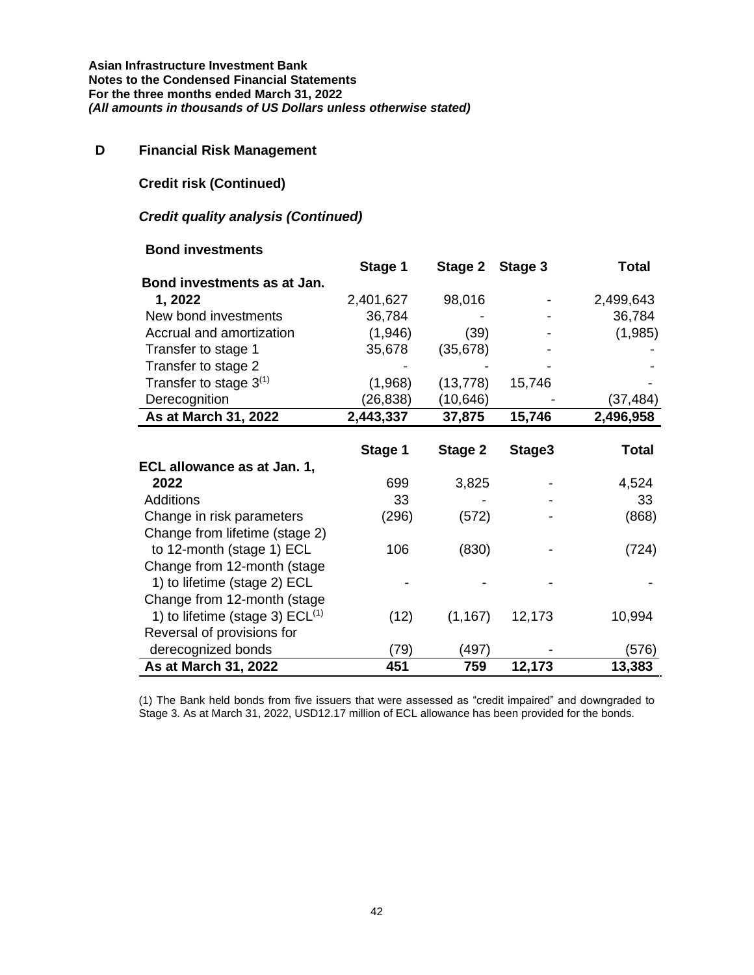# **D Financial Risk Management**

## **Credit risk (Continued)**

### *Credit quality analysis (Continued)*

### **Bond investments**

|                                      | Stage 1   | Stage 2   | Stage 3 | <b>Total</b> |
|--------------------------------------|-----------|-----------|---------|--------------|
| Bond investments as at Jan.          |           |           |         |              |
| 1,2022                               | 2,401,627 | 98,016    |         | 2,499,643    |
| New bond investments                 | 36,784    |           |         | 36,784       |
| Accrual and amortization             | (1,946)   | (39)      |         | (1,985)      |
| Transfer to stage 1                  | 35,678    | (35, 678) |         |              |
| Transfer to stage 2                  |           |           |         |              |
| Transfer to stage $3^{(1)}$          | (1,968)   | (13, 778) | 15,746  |              |
| Derecognition                        | (26, 838) | (10, 646) |         | (37,484)     |
| As at March 31, 2022                 | 2,443,337 | 37,875    | 15,746  | 2,496,958    |
|                                      |           |           |         |              |
|                                      | Stage 1   | Stage 2   | Stage3  | <b>Total</b> |
| ECL allowance as at Jan. 1,          |           |           |         |              |
| 2022                                 | 699       | 3,825     |         | 4,524        |
| <b>Additions</b>                     | 33        |           |         | 33           |
| Change in risk parameters            | (296)     | (572)     |         | (868)        |
| Change from lifetime (stage 2)       |           |           |         |              |
| to 12-month (stage 1) ECL            | 106       | (830)     |         | (724)        |
| Change from 12-month (stage          |           |           |         |              |
| 1) to lifetime (stage 2) ECL         |           |           |         |              |
| Change from 12-month (stage          |           |           |         |              |
| 1) to lifetime (stage 3) $ECL^{(1)}$ | (12)      | (1, 167)  | 12,173  | 10,994       |
| Reversal of provisions for           |           |           |         |              |
| derecognized bonds                   | (79)      | (497)     |         | (576)        |
| As at March 31, 2022                 | 451       | 759       | 12,173  | 13,383       |

(1) The Bank held bonds from five issuers that were assessed as "credit impaired" and downgraded to Stage 3. As at March 31, 2022, USD12.17 million of ECL allowance has been provided for the bonds.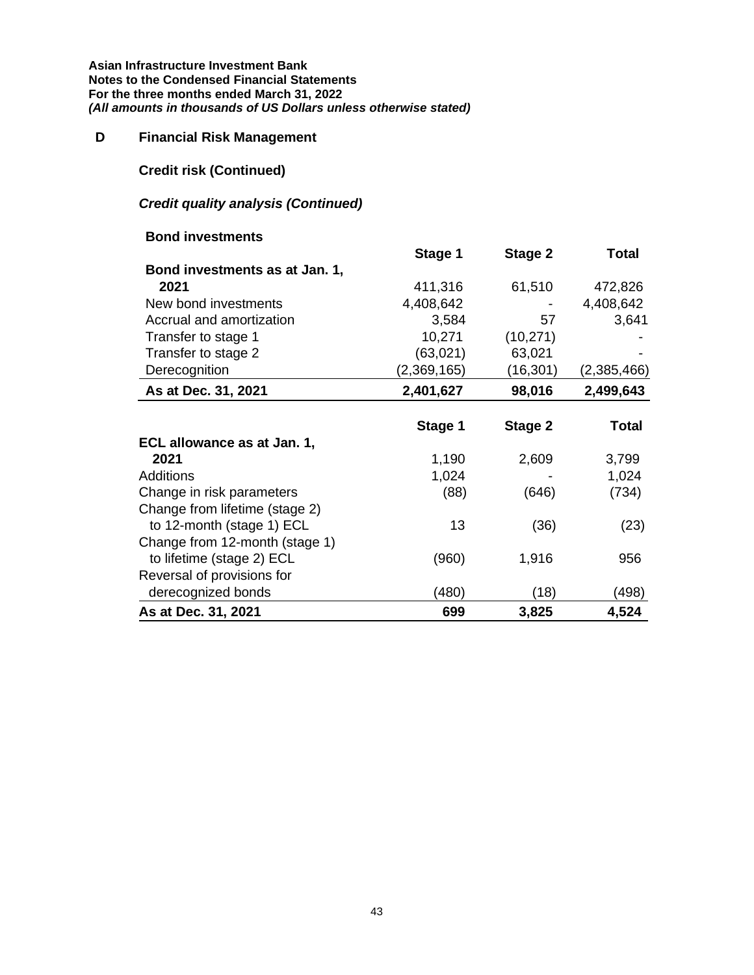# **D Financial Risk Management**

**Credit risk (Continued)**

# *Credit quality analysis (Continued)*

#### **Bond investments**

|                                | Stage 1     | Stage 2   | Total       |
|--------------------------------|-------------|-----------|-------------|
| Bond investments as at Jan. 1, |             |           |             |
| 2021                           | 411,316     | 61,510    | 472,826     |
| New bond investments           | 4,408,642   |           | 4,408,642   |
| Accrual and amortization       | 3,584       | 57        | 3,641       |
| Transfer to stage 1            | 10,271      | (10, 271) |             |
| Transfer to stage 2            | (63,021)    | 63,021    |             |
| Derecognition                  | (2,369,165) | (16, 301) | (2,385,466) |
| As at Dec. 31, 2021            | 2,401,627   | 98,016    | 2,499,643   |
|                                | Stage 1     | Stage 2   | Total       |
| ECL allowance as at Jan. 1,    |             |           |             |
| 2021                           | 1,190       | 2,609     | 3,799       |
| <b>Additions</b>               | 1,024       |           | 1,024       |
| Change in risk parameters      | (88)        | (646)     | (734)       |
| Change from lifetime (stage 2) |             |           |             |
| to 12-month (stage 1) ECL      | 13          | (36)      | (23)        |
| Change from 12-month (stage 1) |             |           |             |
| to lifetime (stage 2) ECL      | (960)       | 1,916     | 956         |
| Reversal of provisions for     |             |           |             |
| derecognized bonds             | (480)       | (18)      | (498)       |
| As at Dec. 31, 2021            | 699         | 3,825     | 4,524       |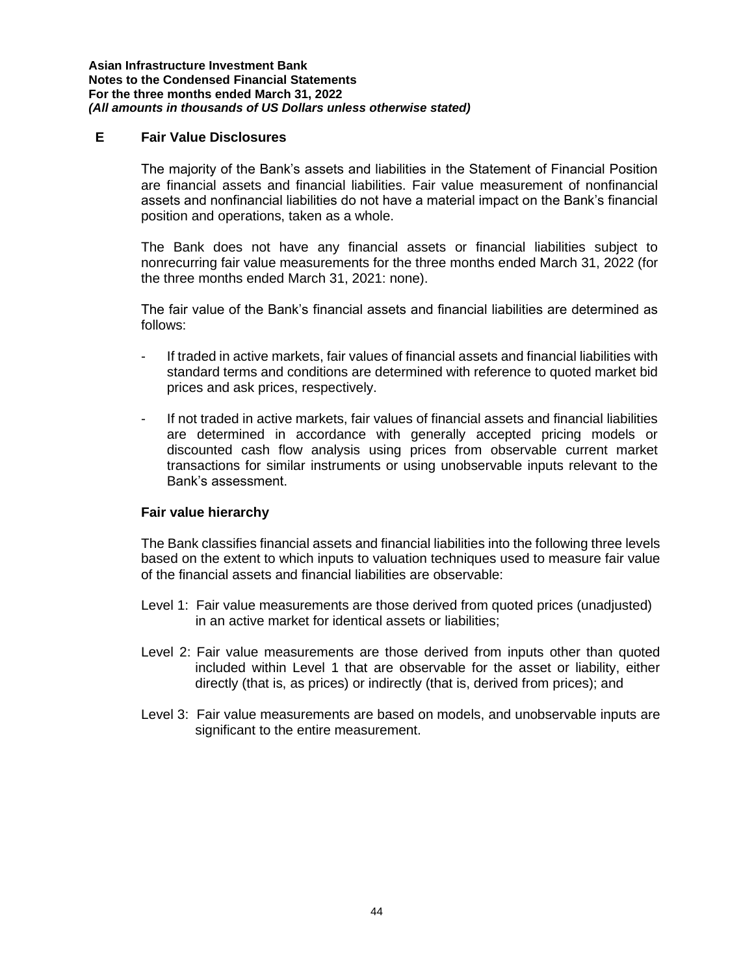### **E Fair Value Disclosures**

The majority of the Bank's assets and liabilities in the Statement of Financial Position are financial assets and financial liabilities. Fair value measurement of nonfinancial assets and nonfinancial liabilities do not have a material impact on the Bank's financial position and operations, taken as a whole.

The Bank does not have any financial assets or financial liabilities subject to nonrecurring fair value measurements for the three months ended March 31, 2022 (for the three months ended March 31, 2021: none).

The fair value of the Bank's financial assets and financial liabilities are determined as follows:

- If traded in active markets, fair values of financial assets and financial liabilities with standard terms and conditions are determined with reference to quoted market bid prices and ask prices, respectively.
- If not traded in active markets, fair values of financial assets and financial liabilities are determined in accordance with generally accepted pricing models or discounted cash flow analysis using prices from observable current market transactions for similar instruments or using unobservable inputs relevant to the Bank's assessment.

#### **Fair value hierarchy**

The Bank classifies financial assets and financial liabilities into the following three levels based on the extent to which inputs to valuation techniques used to measure fair value of the financial assets and financial liabilities are observable:

- Level 1: Fair value measurements are those derived from quoted prices (unadjusted) in an active market for identical assets or liabilities;
- Level 2: Fair value measurements are those derived from inputs other than quoted included within Level 1 that are observable for the asset or liability, either directly (that is, as prices) or indirectly (that is, derived from prices); and
- Level 3: Fair value measurements are based on models, and unobservable inputs are significant to the entire measurement.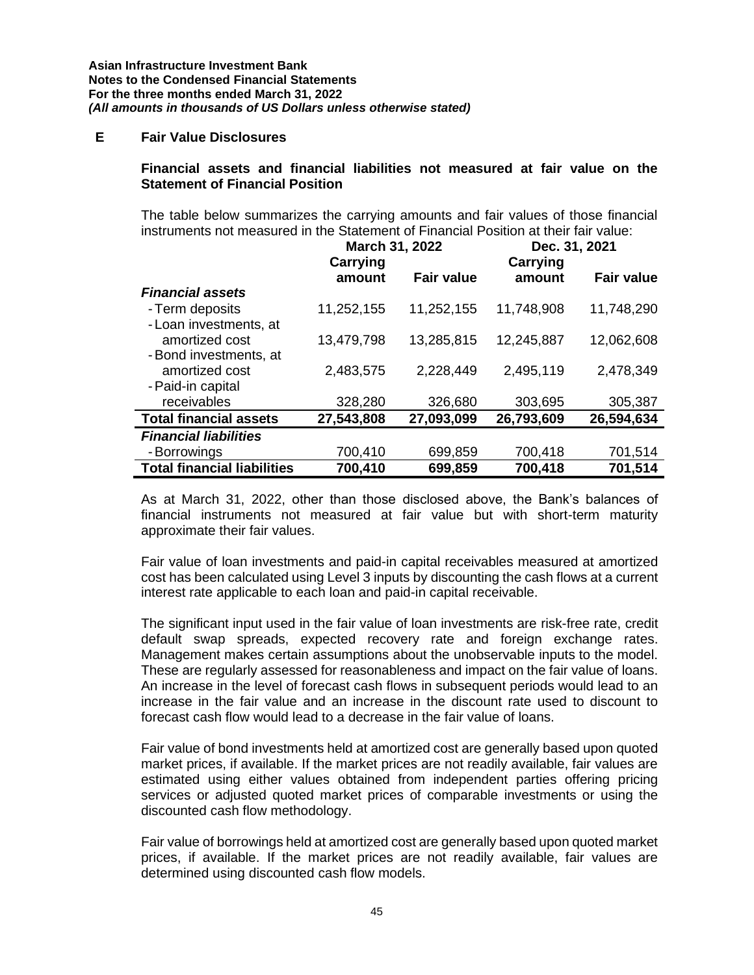### **E Fair Value Disclosures**

#### **Financial assets and financial liabilities not measured at fair value on the Statement of Financial Position**

The table below summarizes the carrying amounts and fair values of those financial instruments not measured in the Statement of Financial Position at their fair value:

|                                    | March 31, 2022     |                   | Dec. 31, 2021      |                   |
|------------------------------------|--------------------|-------------------|--------------------|-------------------|
|                                    | Carrying<br>amount | <b>Fair value</b> | Carrying<br>amount | <b>Fair value</b> |
| <b>Financial assets</b>            |                    |                   |                    |                   |
| - Term deposits                    | 11,252,155         | 11,252,155        | 11,748,908         | 11,748,290        |
| - Loan investments, at             |                    |                   |                    |                   |
| amortized cost                     | 13,479,798         | 13,285,815        | 12,245,887         | 12,062,608        |
| - Bond investments, at             |                    |                   |                    |                   |
| amortized cost                     | 2,483,575          | 2,228,449         | 2,495,119          | 2,478,349         |
| - Paid-in capital                  |                    |                   |                    |                   |
| receivables                        | 328,280            | 326,680           | 303,695            | 305,387           |
| <b>Total financial assets</b>      | 27,543,808         | 27,093,099        | 26,793,609         | 26,594,634        |
| <b>Financial liabilities</b>       |                    |                   |                    |                   |
| - Borrowings                       | 700,410            | 699,859           | 700,418            | 701,514           |
| <b>Total financial liabilities</b> | 700,410            | 699,859           | 700,418            | 701,514           |

As at March 31, 2022, other than those disclosed above, the Bank's balances of financial instruments not measured at fair value but with short-term maturity approximate their fair values.

Fair value of loan investments and paid-in capital receivables measured at amortized cost has been calculated using Level 3 inputs by discounting the cash flows at a current interest rate applicable to each loan and paid-in capital receivable.

The significant input used in the fair value of loan investments are risk-free rate, credit default swap spreads, expected recovery rate and foreign exchange rates. Management makes certain assumptions about the unobservable inputs to the model. These are regularly assessed for reasonableness and impact on the fair value of loans. An increase in the level of forecast cash flows in subsequent periods would lead to an increase in the fair value and an increase in the discount rate used to discount to forecast cash flow would lead to a decrease in the fair value of loans.

Fair value of bond investments held at amortized cost are generally based upon quoted market prices, if available. If the market prices are not readily available, fair values are estimated using either values obtained from independent parties offering pricing services or adjusted quoted market prices of comparable investments or using the discounted cash flow methodology.

Fair value of borrowings held at amortized cost are generally based upon quoted market prices, if available. If the market prices are not readily available, fair values are determined using discounted cash flow models.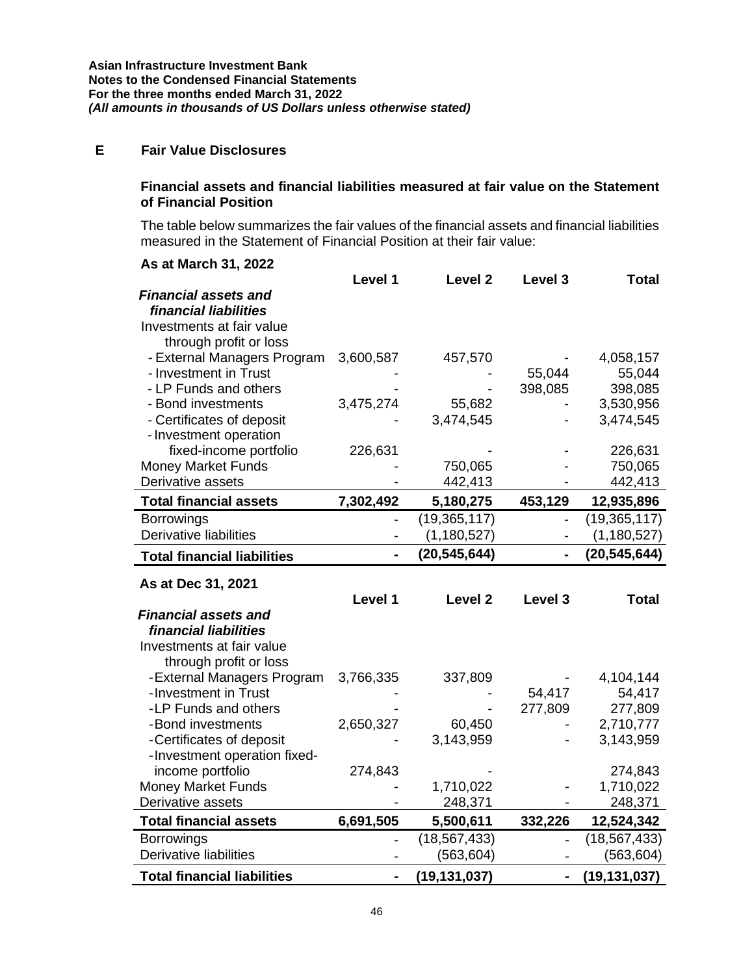# **E Fair Value Disclosures**

#### **Financial assets and financial liabilities measured at fair value on the Statement of Financial Position**

The table below summarizes the fair values of the financial assets and financial liabilities measured in the Statement of Financial Position at their fair value:

| As at March 31, 2022               |                              |                    |         |                |
|------------------------------------|------------------------------|--------------------|---------|----------------|
|                                    | Level 1                      | Level <sub>2</sub> | Level 3 | <b>Total</b>   |
| <b>Financial assets and</b>        |                              |                    |         |                |
| financial liabilities              |                              |                    |         |                |
| Investments at fair value          |                              |                    |         |                |
| through profit or loss             |                              |                    |         |                |
| - External Managers Program        | 3,600,587                    | 457,570            |         | 4,058,157      |
| - Investment in Trust              |                              |                    | 55,044  | 55,044         |
| - LP Funds and others              |                              |                    | 398,085 | 398,085        |
| - Bond investments                 | 3,475,274                    | 55,682             |         | 3,530,956      |
| - Certificates of deposit          |                              | 3,474,545          |         | 3,474,545      |
| - Investment operation             |                              |                    |         |                |
| fixed-income portfolio             | 226,631                      |                    |         | 226,631        |
| <b>Money Market Funds</b>          |                              | 750,065            |         | 750,065        |
| Derivative assets                  |                              | 442,413            |         | 442,413        |
| <b>Total financial assets</b>      | 7,302,492                    | 5,180,275          | 453,129 | 12,935,896     |
| <b>Borrowings</b>                  |                              | (19, 365, 117)     |         | (19, 365, 117) |
| <b>Derivative liabilities</b>      | $\qquad \qquad \blacksquare$ | (1, 180, 527)      |         | (1, 180, 527)  |
| <b>Total financial liabilities</b> |                              | (20, 545, 644)     |         | (20, 545, 644) |
|                                    |                              |                    |         |                |
|                                    |                              |                    |         |                |
| As at Dec 31, 2021                 |                              |                    |         |                |
|                                    | Level 1                      | Level <sub>2</sub> | Level 3 | Total          |
| <b>Financial assets and</b>        |                              |                    |         |                |
| financial liabilities              |                              |                    |         |                |
| Investments at fair value          |                              |                    |         |                |
| through profit or loss             |                              |                    |         |                |
| -External Managers Program         | 3,766,335                    | 337,809            |         | 4,104,144      |
| -Investment in Trust               |                              |                    | 54,417  | 54,417         |
| -LP Funds and others               |                              |                    | 277,809 | 277,809        |
| -Bond investments                  | 2,650,327                    | 60,450             |         | 2,710,777      |
| -Certificates of deposit           |                              | 3,143,959          |         | 3,143,959      |
| -Investment operation fixed-       |                              |                    |         |                |
| income portfolio                   | 274,843                      |                    |         | 274,843        |
| Money Market Funds                 |                              | 1,710,022          |         | 1,710,022      |
| Derivative assets                  |                              | 248,371            |         | 248,371        |
| <b>Total financial assets</b>      | 6,691,505                    | 5,500,611          | 332,226 | 12,524,342     |
| <b>Borrowings</b>                  |                              | (18, 567, 433)     |         | (18, 567, 433) |
| <b>Derivative liabilities</b>      |                              | (563, 604)         |         | (563,604)      |